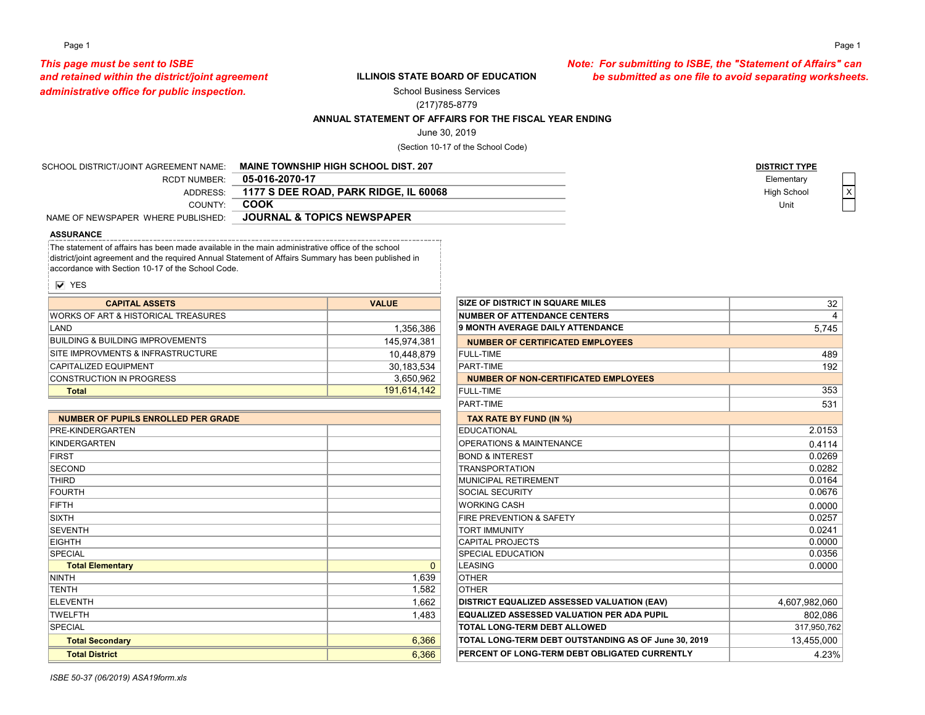### Page 1 Page 1

# *administrative office for public inspection.*

### **ILLINOIS STATE BOARD OF EDUCATION**

*This page must be sent to ISBE Note: For submitting to ISBE, the "Statement of Affairs" can and retained within the district/joint agreement be submitted as one file to avoid separating worksheets.*

School Business Services

### (217)785-8779

### **ANNUAL STATEMENT OF AFFAIRS FOR THE FISCAL YEAR ENDING**

June 30, 2019

(Section 10-17 of the School Code)

| SCHOOL DISTRICT/JOINT AGREEMENT NAME: | <b>MAINE TOWNSHIP HIGH SCHOOL DIST. 207</b> | <b>DISTRICT TYPE</b> |  |
|---------------------------------------|---------------------------------------------|----------------------|--|
| <b>RCDT NUMBER:</b>                   | 05-016-2070-17                              | Elementary           |  |
| <b>ADDRESS:</b>                       | 1177 S DEE ROAD. PARK RIDGE. IL 60068       | High School          |  |
| COUNTY:                               | COOK                                        | Unit                 |  |
| NAME OF NEWSPAPER WHERE PUBLISHED:    | <b>JOURNAL &amp; TOPICS NEWSPAPER</b>       |                      |  |
|                                       |                                             |                      |  |

### **ASSURANCE**

The statement of affairs has been made available in the main administrative office of the school district/joint agreement and the required Annual Statement of Affairs Summary has been published in accordance with Section 10-17 of the School Code.

**V** YES

| <b>CAPITAL ASSETS</b>                           | <b>VALUE</b> | <b>SIZE OF DISTRICT IN SQUARE MILES</b> |
|-------------------------------------------------|--------------|-----------------------------------------|
| <b>IWORKS OF ART &amp; HISTORICAL TREASURES</b> |              | <b>INUMBER OF ATTENDANCE CENTERS</b>    |
| ILAND                                           | 1,356,386    | <b>9 MONTH AVERAGE DAILY ATTENDANCE</b> |
| BUILDING & BUILDING IMPROVEMENTS                | 145,974,381  | NUMBER OF CERTIFICATED EMPLOYEES        |
| <b>ISITE IMPROVMENTS &amp; INFRASTRUCTURE</b>   | 10,448,879   | FULL-TIME                               |
| <b>CAPITALIZED EQUIPMENT</b>                    | 30,183,534   | <b>PART-TIMF</b>                        |
| <b>ICONSTRUCTION IN PROGRESS</b>                | 3,650,962    | NUMBER OF NON-CERTIFICATED EMPLOYEES    |
| Total                                           | 191,614,142  | FULL-TIME                               |
|                                                 |              |                                         |

| <b>PRE-KINDERGARTEN</b><br>KINDERGARTEN | <b>EDUCATIONAL</b><br><b>OPERATIONS &amp; MAINTENANCE</b> |
|-----------------------------------------|-----------------------------------------------------------|
|                                         |                                                           |
|                                         |                                                           |
| <b>FIRST</b>                            | <b>BOND &amp; INTEREST</b>                                |
| <b>SECOND</b>                           | <b>TRANSPORTATION</b>                                     |
| <b>THIRD</b>                            | MUNICIPAL RETIREMENT                                      |
| <b>FOURTH</b>                           | <b>SOCIAL SECURITY</b>                                    |
| FIFTH                                   | <b>WORKING CASH</b>                                       |
| <b>SIXTH</b>                            | <b>FIRE PREVENTION &amp; SAFETY</b>                       |
| <b>SEVENTH</b>                          | <b>TORT IMMUNITY</b>                                      |
| <b>EIGHTH</b>                           | <b>CAPITAL PROJECTS</b>                                   |
| <b>SPECIAL</b>                          | <b>SPECIAL EDUCATION</b>                                  |
| <b>Total Elementary</b><br>$\Omega$     | <b>LEASING</b>                                            |
| 1.639<br><b>NINTH</b>                   | <b>OTHER</b>                                              |
| 1,582<br><b>TENTH</b>                   | <b>OTHER</b>                                              |
| 1,662<br><b>ELEVENTH</b>                | DISTRICT EQUALIZED ASSESSED VA                            |
| <b>TWELFTH</b><br>1,483                 | <b>EQUALIZED ASSESSED VALUATION</b>                       |
| <b>SPECIAL</b>                          | <b>TOTAL LONG-TERM DEBT ALLOWED</b>                       |
| 6,366<br><b>Total Secondary</b>         | TOTAL LONG-TERM DEBT OUTSTAN                              |
| 6,366<br><b>Total District</b>          | PERCENT OF LONG-TERM DEBT OBI                             |

| <b>CAPITAL ASSETS</b>                   | <b>VALUE</b> | <b>SIZE OF DISTRICT IN SQUARE MILES</b>              | 32            |
|-----------------------------------------|--------------|------------------------------------------------------|---------------|
| RKS OF ART & HISTORICAL TREASURES       |              | <b>NUMBER OF ATTENDANCE CENTERS</b>                  | 4             |
|                                         | 1,356,386    | 9 MONTH AVERAGE DAILY ATTENDANCE                     | 5,745         |
| DING & BUILDING IMPROVEMENTS.           | 145,974,381  | <b>NUMBER OF CERTIFICATED EMPLOYEES</b>              |               |
| <b>IMPROVMENTS &amp; INFRASTRUCTURE</b> | 10,448,879   | <b>FULL-TIME</b>                                     | 489           |
| <b>ITALIZED EQUIPMENT</b>               | 30,183,534   | <b>PART-TIME</b>                                     | 192           |
| <b>ISTRUCTION IN PROGRESS</b>           | 3,650,962    | <b>NUMBER OF NON-CERTIFICATED EMPLOYEES</b>          |               |
| <b>Total</b>                            | 191,614,142  | <b>FULL-TIME</b>                                     | 353           |
|                                         |              | PART-TIME                                            | 531           |
| UMBER OF PUPILS ENROLLED PER GRADE      |              | TAX RATE BY FUND (IN %)                              |               |
| -KINDERGARTEN                           |              | <b>EDUCATIONAL</b>                                   | 2.0153        |
| <b>DERGARTEN</b>                        |              | <b>OPERATIONS &amp; MAINTENANCE</b>                  | 0.4114        |
| ĵТ.                                     |              | <b>BOND &amp; INTEREST</b>                           | 0.0269        |
| OND                                     |              | <b>TRANSPORTATION</b>                                | 0.0282        |
| RD.                                     |              | MUNICIPAL RETIREMENT                                 | 0.0164        |
| <b>RTH</b>                              |              | SOCIAL SECURITY                                      | 0.0676        |
| Ή                                       |              | <b>WORKING CASH</b>                                  | 0.0000        |
| Ή                                       |              | FIRE PREVENTION & SAFETY                             | 0.0257        |
| <b>ENTH</b>                             |              | <b>TORT IMMUNITY</b>                                 | 0.0241        |
| <b>HTH</b>                              |              | <b>CAPITAL PROJECTS</b>                              | 0.0000        |
| <b>CIAL</b>                             |              | <b>SPECIAL EDUCATION</b>                             | 0.0356        |
| <b>Total Elementary</b>                 | $\Omega$     | LEASING                                              | 0.0000        |
| ГH                                      | 1,639        | <b>OTHER</b>                                         |               |
| TН                                      | 1,582        | <b>OTHER</b>                                         |               |
| VENTH                                   | 1.662        | DISTRICT EQUALIZED ASSESSED VALUATION (EAV)          | 4,607,982,060 |
| <b>LFTH</b>                             | 1.483        | <b>EQUALIZED ASSESSED VALUATION PER ADA PUPIL</b>    | 802,086       |
| <b>CIAL</b>                             |              | <b>TOTAL LONG-TERM DEBT ALLOWED</b>                  | 317,950,762   |
| <b>Total Secondary</b>                  | 6,366        | TOTAL LONG-TERM DEBT OUTSTANDING AS OF June 30, 2019 | 13,455,000    |
| <b>Total District</b>                   | 6,366        | PERCENT OF LONG-TERM DEBT OBLIGATED CURRENTLY        | 4.23%         |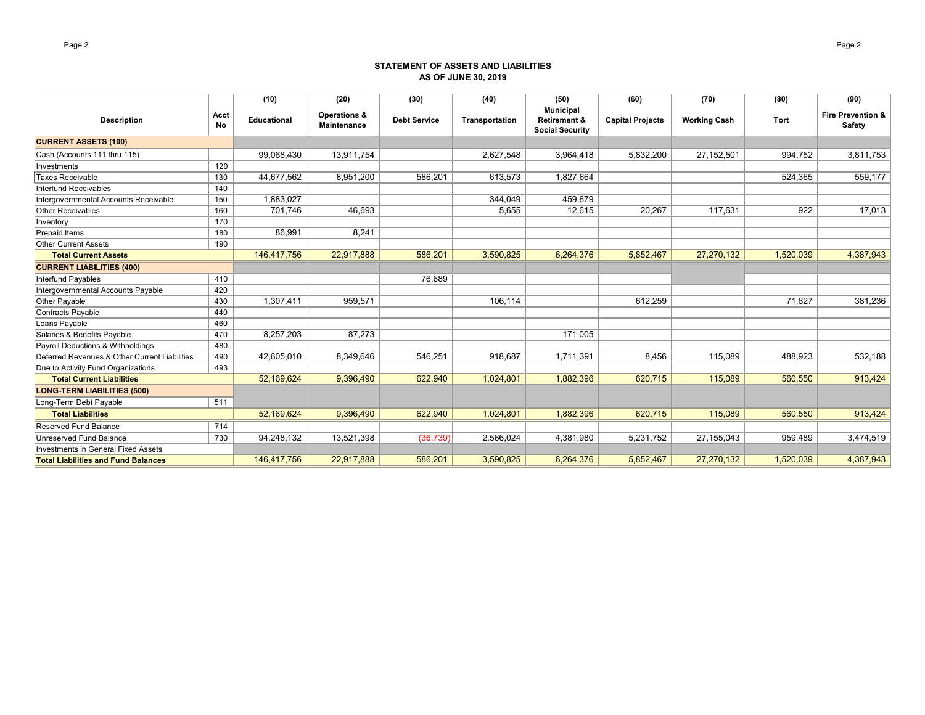### **STATEMENT OF ASSETS AND LIABILITIES AS OF JUNE 30, 2019**

|                                               |            | (10)               | (20)                               | (30)                | (40)           | (50)                                                                  | (60)                    | (70)                | (80)      | (90)                                   |
|-----------------------------------------------|------------|--------------------|------------------------------------|---------------------|----------------|-----------------------------------------------------------------------|-------------------------|---------------------|-----------|----------------------------------------|
| <b>Description</b>                            | Acct<br>No | <b>Educational</b> | Operations &<br><b>Maintenance</b> | <b>Debt Service</b> | Transportation | <b>Municipal</b><br><b>Retirement &amp;</b><br><b>Social Security</b> | <b>Capital Projects</b> | <b>Working Cash</b> | Tort      | <b>Fire Prevention &amp;</b><br>Safety |
| <b>CURRENT ASSETS (100)</b>                   |            |                    |                                    |                     |                |                                                                       |                         |                     |           |                                        |
| Cash (Accounts 111 thru 115)                  |            | 99,068,430         | 13,911,754                         |                     | 2,627,548      | 3,964,418                                                             | 5,832,200               | 27,152,501          | 994,752   | 3,811,753                              |
| Investments                                   | 120        |                    |                                    |                     |                |                                                                       |                         |                     |           |                                        |
| Taxes Receivable                              | 130        | 44,677,562         | 8,951,200                          | 586,201             | 613,573        | 1,827,664                                                             |                         |                     | 524,365   | 559,177                                |
| Interfund Receivables                         | 140        |                    |                                    |                     |                |                                                                       |                         |                     |           |                                        |
| Intergovernmental Accounts Receivable         | 150        | 1,883,027          |                                    |                     | 344,049        | 459,679                                                               |                         |                     |           |                                        |
| <b>Other Receivables</b>                      | 160        | 701,746            | 46.693                             |                     | 5,655          | 12,615                                                                | 20,267                  | 117,631             | 922       | 17,013                                 |
| Inventory                                     | 170        |                    |                                    |                     |                |                                                                       |                         |                     |           |                                        |
| Prepaid Items                                 | 180        | 86,991             | 8,241                              |                     |                |                                                                       |                         |                     |           |                                        |
| <b>Other Current Assets</b>                   | 190        |                    |                                    |                     |                |                                                                       |                         |                     |           |                                        |
| <b>Total Current Assets</b>                   |            | 146,417,756        | 22,917,888                         | 586,201             | 3,590,825      | 6,264,376                                                             | 5,852,467               | 27,270,132          | 1,520,039 | 4,387,943                              |
| <b>CURRENT LIABILITIES (400)</b>              |            |                    |                                    |                     |                |                                                                       |                         |                     |           |                                        |
| <b>Interfund Payables</b>                     | 410        |                    |                                    | 76,689              |                |                                                                       |                         |                     |           |                                        |
| Intergovernmental Accounts Payable            | 420        |                    |                                    |                     |                |                                                                       |                         |                     |           |                                        |
| Other Payable                                 | 430        | 1,307,411          | 959,571                            |                     | 106,114        |                                                                       | 612,259                 |                     | 71,627    | 381,236                                |
| <b>Contracts Payable</b>                      | 440        |                    |                                    |                     |                |                                                                       |                         |                     |           |                                        |
| Loans Payable                                 | 460        |                    |                                    |                     |                |                                                                       |                         |                     |           |                                        |
| Salaries & Benefits Payable                   | 470        | 8,257,203          | 87,273                             |                     |                | 171,005                                                               |                         |                     |           |                                        |
| Payroll Deductions & Withholdings             | 480        |                    |                                    |                     |                |                                                                       |                         |                     |           |                                        |
| Deferred Revenues & Other Current Liabilities | 490        | 42,605,010         | 8,349,646                          | 546,251             | 918,687        | 1,711,391                                                             | 8,456                   | 115,089             | 488,923   | 532,188                                |
| Due to Activity Fund Organizations            | 493        |                    |                                    |                     |                |                                                                       |                         |                     |           |                                        |
| <b>Total Current Liabilities</b>              |            | 52.169.624         | 9,396,490                          | 622,940             | 1,024,801      | 1.882.396                                                             | 620.715                 | 115,089             | 560,550   | 913,424                                |
| <b>LONG-TERM LIABILITIES (500)</b>            |            |                    |                                    |                     |                |                                                                       |                         |                     |           |                                        |
| Long-Term Debt Payable                        | 511        |                    |                                    |                     |                |                                                                       |                         |                     |           |                                        |
| <b>Total Liabilities</b>                      |            | 52,169,624         | 9,396,490                          | 622,940             | 1,024,801      | 1,882,396                                                             | 620,715                 | 115,089             | 560,550   | 913,424                                |
| Reserved Fund Balance                         | 714        |                    |                                    |                     |                |                                                                       |                         |                     |           |                                        |
| <b>Unreserved Fund Balance</b>                | 730        | 94,248,132         | 13,521,398                         | (36, 739)           | 2,566,024      | 4,381,980                                                             | 5,231,752               | 27,155,043          | 959,489   | 3,474,519                              |
| <b>Investments in General Fixed Assets</b>    |            |                    |                                    |                     |                |                                                                       |                         |                     |           |                                        |
| <b>Total Liabilities and Fund Balances</b>    |            | 146,417,756        | 22,917,888                         | 586,201             | 3,590,825      | 6,264,376                                                             | 5,852,467               | 27,270,132          | 1,520,039 | 4,387,943                              |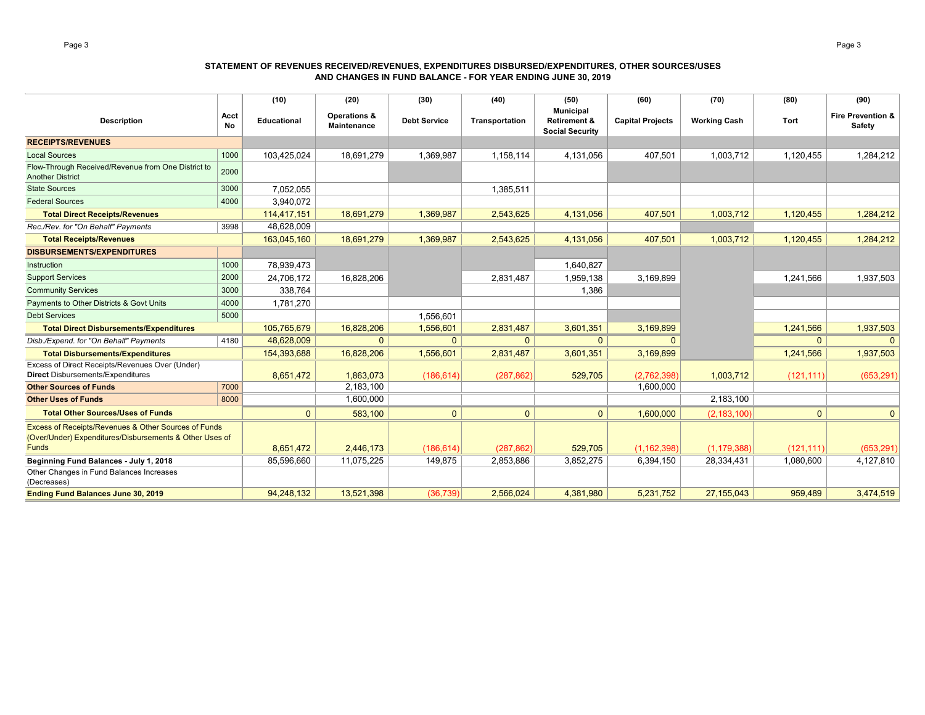### **STATEMENT OF REVENUES RECEIVED/REVENUES, EXPENDITURES DISBURSED/EXPENDITURES, OTHER SOURCES/USES AND CHANGES IN FUND BALANCE - FOR YEAR ENDING JUNE 30, 2019**

|                                                                                                                                 |            | (10)        | (20)                               | (30)                | (40)           | (50)                                                                  | (60)                    | (70)                | (80)       | (90)                                          |
|---------------------------------------------------------------------------------------------------------------------------------|------------|-------------|------------------------------------|---------------------|----------------|-----------------------------------------------------------------------|-------------------------|---------------------|------------|-----------------------------------------------|
| <b>Description</b>                                                                                                              | Acct<br>No | Educational | Operations &<br><b>Maintenance</b> | <b>Debt Service</b> | Transportation | <b>Municipal</b><br><b>Retirement &amp;</b><br><b>Social Security</b> | <b>Capital Projects</b> | <b>Working Cash</b> | Tort       | <b>Fire Prevention &amp;</b><br><b>Safety</b> |
| <b>RECEIPTS/REVENUES</b>                                                                                                        |            |             |                                    |                     |                |                                                                       |                         |                     |            |                                               |
| <b>Local Sources</b>                                                                                                            | 1000       | 103,425,024 | 18,691,279                         | 1,369,987           | 1,158,114      | 4,131,056                                                             | 407,501                 | 1,003,712           | 1,120,455  | 1,284,212                                     |
| Flow-Through Received/Revenue from One District to<br><b>Another District</b>                                                   | 2000       |             |                                    |                     |                |                                                                       |                         |                     |            |                                               |
| <b>State Sources</b>                                                                                                            | 3000       | 7,052,055   |                                    |                     | 1,385,511      |                                                                       |                         |                     |            |                                               |
| <b>Federal Sources</b>                                                                                                          | 4000       | 3.940.072   |                                    |                     |                |                                                                       |                         |                     |            |                                               |
| <b>Total Direct Receipts/Revenues</b>                                                                                           |            | 114.417.151 | 18,691,279                         | 1,369,987           | 2,543,625      | 4,131,056                                                             | 407,501                 | 1,003,712           | 1,120,455  | 1,284,212                                     |
| Rec./Rev. for "On Behalf" Payments                                                                                              | 3998       | 48,628,009  |                                    |                     |                |                                                                       |                         |                     |            |                                               |
| <b>Total Receipts/Revenues</b>                                                                                                  |            | 163,045,160 | 18,691,279                         | 1,369,987           | 2,543,625      | 4,131,056                                                             | 407,501                 | 1,003,712           | 1,120,455  | 1,284,212                                     |
| <b>DISBURSEMENTS/EXPENDITURES</b>                                                                                               |            |             |                                    |                     |                |                                                                       |                         |                     |            |                                               |
| Instruction                                                                                                                     | 1000       | 78,939,473  |                                    |                     |                | 1,640,827                                                             |                         |                     |            |                                               |
| <b>Support Services</b>                                                                                                         | 2000       | 24,706,172  | 16,828,206                         |                     | 2,831,487      | 1,959,138                                                             | 3,169,899               |                     | 1,241,566  | 1,937,503                                     |
| <b>Community Services</b>                                                                                                       | 3000       | 338,764     |                                    |                     |                | 1,386                                                                 |                         |                     |            |                                               |
| Payments to Other Districts & Govt Units                                                                                        | 4000       | 1,781,270   |                                    |                     |                |                                                                       |                         |                     |            |                                               |
| <b>Debt Services</b>                                                                                                            | 5000       |             |                                    | 1,556,601           |                |                                                                       |                         |                     |            |                                               |
| <b>Total Direct Disbursements/Expenditures</b>                                                                                  |            | 105,765,679 | 16,828,206                         | 1,556,601           | 2,831,487      | 3,601,351                                                             | 3,169,899               |                     | 1,241,566  | 1,937,503                                     |
| Disb./Expend. for "On Behalf" Payments                                                                                          | 4180       | 48,628,009  | $\Omega$                           | $\mathbf{0}$        | $\Omega$       | $\Omega$                                                              | $\Omega$                |                     | $\Omega$   |                                               |
| <b>Total Disbursements/Expenditures</b>                                                                                         |            | 154,393,688 | 16,828,206                         | 1,556,601           | 2,831,487      | 3,601,351                                                             | 3,169,899               |                     | 1,241,566  | 1,937,503                                     |
| Excess of Direct Receipts/Revenues Over (Under)<br><b>Direct Disbursements/Expenditures</b>                                     |            | 8,651,472   | 1,863,073                          | (186, 614)          | (287, 862)     | 529,705                                                               | (2,762,398)             | 1,003,712           | (121, 111) | (653, 291)                                    |
| <b>Other Sources of Funds</b>                                                                                                   | 7000       |             | 2,183,100                          |                     |                |                                                                       | 1,600,000               |                     |            |                                               |
| <b>Other Uses of Funds</b>                                                                                                      | 8000       |             | 1,600,000                          |                     |                |                                                                       |                         | 2,183,100           |            |                                               |
| <b>Total Other Sources/Uses of Funds</b>                                                                                        |            | $\Omega$    | 583,100                            | $\mathbf{0}$        | $\Omega$       | $\Omega$                                                              | 1,600,000               | (2, 183, 100)       | $\Omega$   | $\Omega$                                      |
| Excess of Receipts/Revenues & Other Sources of Funds<br>(Over/Under) Expenditures/Disbursements & Other Uses of<br><b>Funds</b> |            | 8,651,472   | 2,446,173                          | (186, 614)          | (287, 862)     | 529,705                                                               | (1, 162, 398)           | (1, 179, 388)       | (121, 111) | (653, 291)                                    |
| Beginning Fund Balances - July 1, 2018                                                                                          |            | 85,596,660  | 11,075,225                         | 149,875             | 2,853,886      | 3,852,275                                                             | 6,394,150               | 28,334,431          | 1,080,600  | 4,127,810                                     |
| Other Changes in Fund Balances Increases<br>(Decreases)                                                                         |            |             |                                    |                     |                |                                                                       |                         |                     |            |                                               |
| <b>Ending Fund Balances June 30, 2019</b>                                                                                       |            | 94,248,132  | 13,521,398                         | (36, 739)           | 2,566,024      | 4,381,980                                                             | 5,231,752               | 27, 155, 043        | 959,489    | 3,474,519                                     |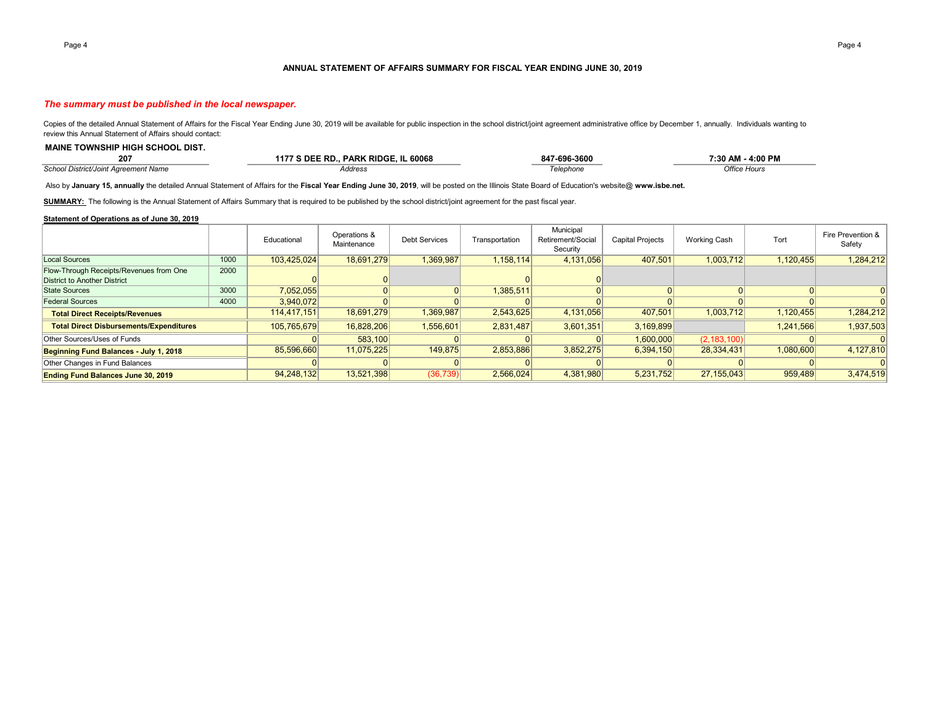#### **ANNUAL STATEMENT OF AFFAIRS SUMMARY FOR FISCAL YEAR ENDING JUNE 30, 2019**

### *The summary must be published in the local newspaper.*

Copies of the detailed Annual Statement of Affairs for the Fiscal Year Ending June 30, 2019 will be available for public inspection in the school district/joint agreement administrative office by December 1, annually. Indi review this Annual Statement of Affairs should contact:

| 207                                         | . PARK RIDGE.<br>'S DEE RD<br><b>IL 60068</b><br>$117 -$ | 847-696-3600 | 4:00 PM<br>7:30 AM |
|---------------------------------------------|----------------------------------------------------------|--------------|--------------------|
| <b>School District/Joint Agreement Name</b> | Address                                                  | Telephone    | Office Hours       |

Also by **January 15, annually** the detailed Annual Statement of Affairs for the **Fiscal Year Ending June 30, 2019**, will be posted on the Illinois State Board of Education's website@ **www.isbe.net.**

SUMMARY: The following is the Annual Statement of Affairs Summary that is required to be published by the school district/joint agreement for the past fiscal year.

### **Statement of Operations as of June 30, 2019**

**MAINE TOWNSHIP HIGH SCHOOL DIST.** 

|                                                |      | Educational | Operations &<br>Maintenance | <b>Debt Services</b> | Transportation | Municipal<br>Retirement/Social<br>Security | <b>Capital Projects</b> | Working Cash  | Tort      | Fire Prevention &<br>Safety |
|------------------------------------------------|------|-------------|-----------------------------|----------------------|----------------|--------------------------------------------|-------------------------|---------------|-----------|-----------------------------|
| Local Sources                                  | 1000 | 103.425.024 | 18,691,279                  | 1,369,987            | 1,158,114      | 4,131,056                                  | 407,501                 | 1,003,712     | 1,120,455 | 1,284,212                   |
| Flow-Through Receipts/Revenues from One        | 2000 |             |                             |                      |                |                                            |                         |               |           |                             |
| District to Another District                   |      |             |                             |                      |                |                                            |                         |               |           |                             |
| State Sources                                  | 3000 | 7,052,055   |                             |                      | 1,385,511      |                                            |                         |               |           |                             |
| <b>Federal Sources</b>                         | 4000 | 3,940,072   |                             |                      |                |                                            |                         |               |           |                             |
| <b>Total Direct Receipts/Revenues</b>          |      | 114.417.151 | 18,691,279                  | 1,369,987            | 2,543,625      | 4,131,056                                  | 407,501                 | 1,003,712     | 1,120,455 | 1,284,212                   |
| <b>Total Direct Disbursements/Expenditures</b> |      | 105,765,679 | 16,828,206                  | 1,556,601            | 2,831,487      | 3,601,351                                  | 3,169,899               |               | 1,241,566 | 1,937,503                   |
| Other Sources/Uses of Funds                    |      |             | 583,100                     |                      |                |                                            | 1,600,000               | (2, 183, 100) |           |                             |
| Beginning Fund Balances - July 1, 2018         |      | 85,596,660  | 11,075,225                  | 149,875              | 2,853,886      | 3,852,275                                  | 6,394,150               | 28,334,431    | 1,080,600 | 4,127,810                   |
| Other Changes in Fund Balances                 |      |             |                             |                      |                |                                            |                         |               |           |                             |
| <b>Ending Fund Balances June 30, 2019</b>      |      | 94,248,132  | 13,521,398                  | (36, 739)            | 2,566,024      | 4,381,980                                  | 5.231.752               | 27.155.043    | 959,489   | 3,474,519                   |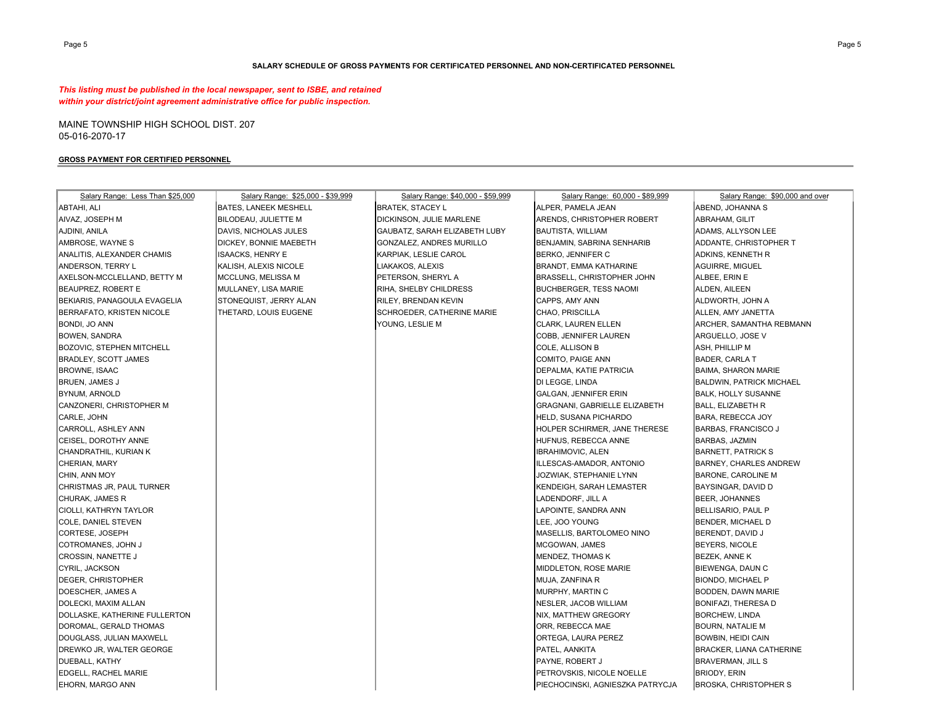### **SALARY SCHEDULE OF GROSS PAYMENTS FOR CERTIFICATED PERSONNEL AND NON-CERTIFICATED PERSONNEL**

*This listing must be published in the local newspaper, sent to ISBE, and retained within your district/joint agreement administrative office for public inspection.*

MAINE TOWNSHIP HIGH SCHOOL DIST. 207 05-016-2070-17

#### **GROSS PAYMENT FOR CERTIFIED PERSONNEL**

| Salary Range: Less Than \$25,000 | Salary Range: \$25,000 - \$39,999 | Salary Range: \$40,000 - \$59,999 | Salary Range: 60,000 - \$89,999  | Salary Range: \$90,000 and over |
|----------------------------------|-----------------------------------|-----------------------------------|----------------------------------|---------------------------------|
| ABTAHI, ALI                      | BATES, LANEEK MESHELL             | <b>BRATEK, STACEY L</b>           | ALPER, PAMELA JEAN               | ABEND, JOHANNA S                |
| AIVAZ, JOSEPH M                  | BILODEAU, JULIETTE M              | DICKINSON, JULIE MARLENE          | ARENDS, CHRISTOPHER ROBERT       | ABRAHAM, GILIT                  |
| AJDINI, ANILA                    | DAVIS, NICHOLAS JULES             | GAUBATZ, SARAH ELIZABETH LUBY     | BAUTISTA, WILLIAM                | ADAMS, ALLYSON LEE              |
| AMBROSE, WAYNE S                 | DICKEY, BONNIE MAEBETH            | GONZALEZ, ANDRES MURILLO          | BENJAMIN, SABRINA SENHARIB       | ADDANTE, CHRISTOPHER T          |
| ANALITIS, ALEXANDER CHAMIS       | ISAACKS, HENRY E                  | KARPIAK, LESLIE CAROL             | BERKO, JENNIFER C                | <b>ADKINS, KENNETH R</b>        |
| ANDERSON, TERRY L                | KALISH, ALEXIS NICOLE             | LIAKAKOS, ALEXIS                  | BRANDT, EMMA KATHARINE           | AGUIRRE, MIGUEL                 |
| AXELSON-MCCLELLAND, BETTY M      | MCCLUNG, MELISSA M                | PETERSON, SHERYL A                | BRASSELL, CHRISTOPHER JOHN       | ALBEE, ERIN E                   |
| BEAUPREZ, ROBERT E               | MULLANEY, LISA MARIE              | RIHA, SHELBY CHILDRESS            | <b>BUCHBERGER, TESS NAOMI</b>    | ALDEN, AILEEN                   |
| BEKIARIS, PANAGOULA EVAGELIA     | STONEQUIST, JERRY ALAN            | <b>RILEY, BRENDAN KEVIN</b>       | CAPPS, AMY ANN                   | ALDWORTH, JOHN A                |
| BERRAFATO, KRISTEN NICOLE        | THETARD, LOUIS EUGENE             | SCHROEDER, CATHERINE MARIE        | CHAO, PRISCILLA                  | ALLEN, AMY JANETTA              |
| BONDI, JO ANN                    |                                   | YOUNG, LESLIE M                   | <b>CLARK, LAUREN ELLEN</b>       | ARCHER, SAMANTHA REBMANN        |
| BOWEN, SANDRA                    |                                   |                                   | COBB, JENNIFER LAUREN            | ARGUELLO, JOSE V                |
| <b>BOZOVIC, STEPHEN MITCHELL</b> |                                   |                                   | COLE, ALLISON B                  | ASH, PHILLIP M                  |
| <b>BRADLEY, SCOTT JAMES</b>      |                                   |                                   | COMITO, PAIGE ANN                | <b>BADER, CARLA T</b>           |
| <b>BROWNE, ISAAC</b>             |                                   |                                   | DEPALMA, KATIE PATRICIA          | <b>BAIMA, SHARON MARIE</b>      |
| BRUEN, JAMES J                   |                                   |                                   | DI LEGGE, LINDA                  | <b>BALDWIN, PATRICK MICHAEL</b> |
| <b>BYNUM, ARNOLD</b>             |                                   |                                   | GALGAN, JENNIFER ERIN            | <b>BALK, HOLLY SUSANNE</b>      |
| CANZONERI, CHRISTOPHER M         |                                   |                                   | GRAGNANI, GABRIELLE ELIZABETH    | <b>BALL, ELIZABETH R</b>        |
| CARLE, JOHN                      |                                   |                                   | HELD, SUSANA PICHARDO            | BARA, REBECCA JOY               |
| CARROLL, ASHLEY ANN              |                                   |                                   | HOLPER SCHIRMER, JANE THERESE    | <b>BARBAS, FRANCISCO J</b>      |
| CEISEL, DOROTHY ANNE             |                                   |                                   | HUFNUS, REBECCA ANNE             | BARBAS, JAZMIN                  |
| CHANDRATHIL, KURIAN K            |                                   |                                   | <b>IBRAHIMOVIC, ALEN</b>         | <b>BARNETT, PATRICK S</b>       |
| CHERIAN, MARY                    |                                   |                                   | ILLESCAS-AMADOR, ANTONIO         | <b>BARNEY, CHARLES ANDREW</b>   |
| CHIN, ANN MOY                    |                                   |                                   | JOZWIAK, STEPHANIE LYNN          | <b>BARONE, CAROLINE M</b>       |
| CHRISTMAS JR, PAUL TURNER        |                                   |                                   | KENDEIGH, SARAH LEMASTER         | BAYSINGAR, DAVID D              |
| CHURAK, JAMES R                  |                                   |                                   | LADENDORF, JILL A                | BEER, JOHANNES                  |
| CIOLLI, KATHRYN TAYLOR           |                                   |                                   | LAPOINTE, SANDRA ANN             | <b>BELLISARIO, PAUL P</b>       |
| COLE, DANIEL STEVEN              |                                   |                                   | LEE, JOO YOUNG                   | BENDER, MICHAEL D               |
| CORTESE, JOSEPH                  |                                   |                                   | MASELLIS, BARTOLOMEO NINO        | BERENDT, DAVID J                |
| COTROMANES, JOHN J               |                                   |                                   | MCGOWAN, JAMES                   | <b>BEYERS, NICOLE</b>           |
| CROSSIN, NANETTE J               |                                   |                                   | <b>MENDEZ, THOMAS K</b>          | BEZEK, ANNE K                   |
| CYRIL, JACKSON                   |                                   |                                   | MIDDLETON, ROSE MARIE            | BIEWENGA, DAUN C                |
| DEGER, CHRISTOPHER               |                                   |                                   | MUJA, ZANFINA R                  | <b>BIONDO, MICHAEL P</b>        |
| DOESCHER, JAMES A                |                                   |                                   | MURPHY, MARTIN C                 | BODDEN, DAWN MARIE              |
| DOLECKI, MAXIM ALLAN             |                                   |                                   | NESLER, JACOB WILLIAM            | <b>BONIFAZI, THERESA D</b>      |
| DOLLASKE, KATHERINE FULLERTON    |                                   |                                   | NIX, MATTHEW GREGORY             | <b>BORCHEW, LINDA</b>           |
| DOROMAL, GERALD THOMAS           |                                   |                                   | ORR, REBECCA MAE                 | <b>BOURN, NATALIE M</b>         |
| DOUGLASS, JULIAN MAXWELL         |                                   |                                   | ORTEGA, LAURA PEREZ              | <b>BOWBIN, HEIDI CAIN</b>       |
| DREWKO JR, WALTER GEORGE         |                                   |                                   | PATEL, AANKITA                   | <b>BRACKER, LIANA CATHERINE</b> |
| DUEBALL, KATHY                   |                                   |                                   | PAYNE, ROBERT J                  | <b>BRAVERMAN, JILL S</b>        |
| EDGELL, RACHEL MARIE             |                                   |                                   | PETROVSKIS, NICOLE NOELLE        | <b>BRIODY, ERIN</b>             |
| EHORN, MARGO ANN                 |                                   |                                   | PIECHOCINSKI, AGNIESZKA PATRYCJA | <b>BROSKA, CHRISTOPHER S</b>    |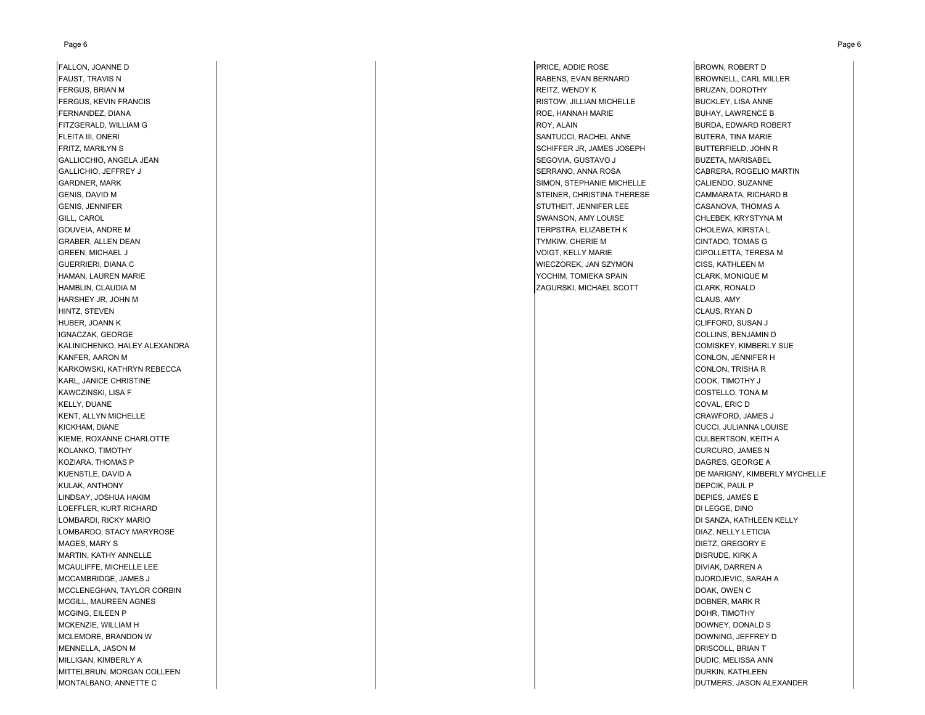#### Page 6 Page 6

FAUST, TRAVIS N RABENS, EVAN BERNARD BROWNELL, CARL MILLER FERGUS, BRIAN M REITZ, WENDY K BRUZAN, DOROTHY FERGUS, KEVIN FRANCIS **RISTOW, JILLIAN MICHELLE** BUCKLEY, LISA ANNENE RISTOW, JILLIAN MICHELLE BUCKLEY, LISA ANNE FERNANDEZ, DIANA ROE, HANNAH MARIE ROE, HANNAH MARIE ROE, HANNAH MARIE BUHAY, LAWRENCE B FITZGERALD, WILLIAM G ROY, ALAIN BURDA, EDWARD ROBERT FLEITA III, ONERI SANTUCCI, RACHEL ANNE BUTERA, TINA MARIE FRITZ, MARILYN S SCHIFFER JR, JAMES JOSEPH BUTTERFIELD, JOHN R GALLICCHIO, ANGELA JEAN SEGOVIA, GUSTAVO J BUZETA, MARISABEL GALLICHIO, JEFFREY J SERRANO, ANNA ROSA CABRERA, ROGELIO MARTIN GARDNER, MARK SIMON, STEPHANIE MICHELLE CALIENDO, SUZANNE CALIENDO, SUZANNE GENIS, DAVID M STEINER, CHRISTINA THERESE CAMMARATA, RICHARD B GENIS, JENNIFER STUTHEIT, JENNIFER LEE CASANOVA, THOMAS ANN STUTHEIT, SENNIFER LEE CASANOVA, THOMAS A GILL, CAROL SWANSON, AMY LOUISE CHLEBEK, KRYSTYNA M GOUVEIA, ANDRE M TERPSTRA, ELIZABETH K CHOLEWA, KIRSTA L GRABER, ALLEN DEAN TYMKIW, CHERIE M CINTADO, TOMAS G GREEN, MICHAEL J VOIGT, KELLY MARIE CIPOLLETTA, TERESA M GUERRIERI, DIANA C WIECZOREK, JAN SZYMON CISS, KATHLEEN M HAMAN, LAUREN MARIE YOCHIM, TOMIEKA SPAIN CLARK, MONIQUE M HAMBLIN, CLAUDIA M ZAGURSKI, MICHAEL SCOTT CLARK, RONALD HARSHEY JR, JOHN M CLAUS, AMY HINTZ, STEVEN CLAUS, RYAN D HUBER, JOANN K CLIFFORD, SUSAN J IGNACZAK, GEORGE COLLINS, BENJAMIN D KALINICHENKO, HALEY ALEXANDRA COMISKEY, KIMBERLY SUE KANFER, AARON M CONLON, JENNIFER H KARKOWSKI, KATHRYN REBECCA CONLON, TRISHA R KARL, JANICE CHRISTINE COOK, TIMOTHY J KAWCZINSKI, LISA F COSTELLO, TONA M KELLY, DUANE COVAL, ERIC D KENT, ALLYN MICHELLE CHANTORD, JAMES JOURNALE CRAWFORD, JAMES JOURNALE CRAWFORD, JAMES JOURNALE CRAWFORD, JAMES J KICKHAM, DIANE CUCCI, JULIANNA LOUISE KIEME, ROXANNE CHARLOTTE COMPUTE AND RESERVED ON A SERVED ON THE COLLEGEN OF COLLEGENTS ON KEITH A SERVED ON THE COLLEGENTS ON KEITH A KOLANKO, TIMOTHY CURCURO, JAMES N KOZIARA, THOMAS P DAGRES, GEORGE A KULAK, ANTHONY DEPCIK, PAUL P LINDSAY, JOSHUA HAKIM DEPIES, JAMES E LOEFFLER, KURT RICHARD DI LEGGE, DINO LOMBARDI, RICKY MARIO DI SANZA, KATHLEEN KELLY LOMBARDO, STACY MARYROSE DIAZ, NELLY LETICIA MAGES, MARY S DIETZ, GREGORY E DIETZ, DESCRIPTION OF DIETZ, DESCRIPTION OF DIETZ, DIETZ, DIETZ, GREGORY E DIETZ, DIETZ, DIETZ, DIETZ, DIETZ, DIETZ, DIETZ, DIETZ, DIETZ, DIETZ, DIETZ, DIETZ, DIETZ, DIETZ, DIETZ, DIETZ, DIET MARTIN, KATHY ANNELLE **Annual Martin Annual Martin Annual Martin Annual Martin Annual Martin Annual Dispuble, KIRK A** MCAULIFFE, MICHELLE LEE **DIVIAK, DARREN A** MCCAMBRIDGE, JAMES J DJORDJEVIC, SARAH A MCCLENEGHAN, TAYLOR CORBIN DERINING THE SERVER OF THE SERVER OF THE SERVER OF THE SERVER OF THE SERVER OF THE SERVER OF THE SERVER OF THE SERVER OF THE SERVER OF THE SERVER OF THE SERVER OF THE SERVER OF THE SERVER OF THE MCGILL, MAUREEN AGNES PORTUGAL DESCRIPTION OF THE SERVICE OF THE SERVICE OF THE SERVICE OF THE SERVICE OF THE SERVICE OF THE SERVICE OF THE SERVICE OF THE SERVICE OF THE SERVICE OF THE SERVICE OF THE SERVICE OF THE SERVICE MCGING, EILEEN P DOHR, TIMOTHY MCKENZIE, WILLIAM H DOWNEY, DONALD S MCLEMORE, BRANDON WMENNELLA, JASON M DRISCOLL, BRIAN T MILLIGAN, KIMBERLY A DUDIC, MELISSA ANN MITTELBRUN, MORGAN COLLEEN **DURKIN, KATHLEEN** DURKIN, KATHLEEN DURKIN, KATHLEEN DURKIN, KATHLEEN DURKIN, KATHLEEN MONTALBANO, ANNETTE CWEE PRESENTIE CHARAISSE SUIT AND A CHARAISSE SUIT AND A CHARAISSE SUIT AND DUTMERS, JASON ALEXANDER

FALLON, JOANNE D BROWN, ROBERT D BROWN, ROBERT D BROWN, ROBERT D

KUENSTLE, DAVID A DE MARIGNY, KIMBERLY MYCHELLE DOWNING, JEFFREY D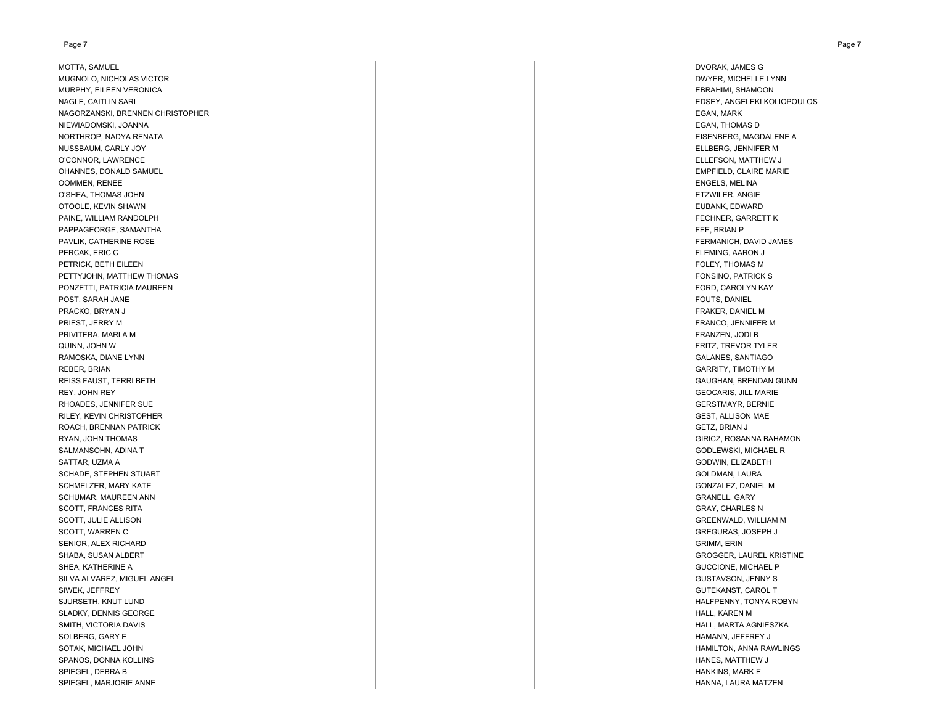MOTTA, SAMUEL DVORAK, JAMES G MUGNOLO, NICHOLAS VICTOR **External contracts and the contracts of the contracts of the contracts of the contracts of the contracts of the contracts of pwyer, michELLE LYNN** MURPHY, EILEEN VERONICA **EBRAHIMI, SHAMOON** EBRAHIMI, SHAMOON NAGLE, CAITLIN SARI EDSEY, ANGELEKI KOLIOPOULOS NAGORZANSKI, BRENNEN CHRISTOPHER EGAN, MARK NIEWIADOMSKI, JOANNA EGAN, THOMAS D NORTHROP, NADYA RENATA FINAL EISENBERG, MAGDALENE A EISENBERG, MAGDALENE A EISENBERG, MAGDALENE A EISENBERG, MAGDALENE A NUSSBAUM, CARLY JOY ELLBERG, JENNIFER M O'CONNOR, LAWRENCE **ELLEFSON, MATTHEW J** OHANNES, DONALD SAMUEL **EMPFIELD, CLAIRE MARIE** OOMMEN, RENEE ENGELS, MELINA O'SHEA, THOMAS JOHN ETZWILER, ANGIE OTOOLE, KEVIN SHAWN EUBANK, EDWARD EUBANK, EDWARD EUBANK, EDWARD EUBANK, EDWARD EUBANK, EDWARD PAINE, WILLIAM RANDOLPH FECHNER, GARRETT K PAPPAGEORGE, SAMANTHA FEE, BRIAN P PAVLIK, CATHERINE ROSE FERMANICH, DAVID JAMES FERMANICH, DAVID JAMES FERMANICH, DAVID JAMES FERMANICH, DAVID JAMES PERCAK, ERIC C FLEMING, AARON J PETRICK, BETH EILEEN FOLEY, THOMAS MARKET HERE IS A STATE OF THE STATE OF THE STATE OF THE STATE OF THOMAS MARKET AND THE STATE OF THE STATE OF THE STATE OF THE STATE OF THE STATE OF THE STATE OF THE STATE OF THE STATE OF PETTYJOHN, MATTHEW THOMAS GENERAL HERO STANDARD HERO STANDARD HERO STANDARD HERO STANDARD HERO STANDARD FONSINO, PATRICK S PONZETTI, PATRICIA MAUREEN FORD, CAROLYN KAY POST, SARAH JANE FOUTS, DANIEL AND A SERVER OF THE SALE OF THE SALE OF THE SALE OF THE SALE OF THE SALE OF THE SALE OF THE SALE OF THE SALE OF THE SALE OF THE SALE OF THE SALE OF THE SALE OF THE SALE OF THE SALE OF THE SAL PRACKO, BRYAN JAN SAN HELMEN HELMEN HELMEN HELMEN HELMEN HELMEN HELMEN HELMEN HELMEN HELMEN HELMEN HELMEN HELMEN HELMEN HELMEN HELMEN HELMEN HELMEN HELMEN HELMEN HELMEN HELMEN HELMEN HELMEN HELMEN HELMEN HELMEN HELMEN HELM PRIEST, JERRY MUSIC CONTROLLER METHODS AND THE RESERVE OF THE RESERVE OF THE RESERVE OF THE RESERVE OF THE RESERVE OF THE RESERVE OF THE RESERVE OF THE RESERVE OF THE RESERVE OF THE RESERVE OF THE RESERVE OF THE RESERVE OF PRIVITERA, MARLA M FRANZEN, JODI B QUINN, JOHN WRAMOSKA, DIANE LYNN GALANES, SANTIAGO REBER, BRIAN GARRITY, TIMOTHY M REISS FAUST, TERRI BETH GAUGHAN, BRENDAN GUNN REY, JOHN REY GEOCARIS, JILL MARIE RHOADES, JENNIFER SUE GERSTMAYR, BERNIE GERSTMAYR, BERNIE GERSTMAYR, BERNIE GERSTMAYR, BERNIE GERSTMAYR, BERNIE RILEY, KEVIN CHRISTOPHER GEST, ALLISON MAE GEST, ALLISON MAE GEST, ALLISON MAE GEST, ALLISON MAE GEST, ALLISON MAE ROACH, BRENNAN PATRICK GETZ, BRIAN J RYAN, JOHN THOMAS GIRICZ, ROSANNA BAHAMON SALMANSOHN, ADINA T GODLEWSKI, MICHAEL R SATTAR, UZMA A GODWIN, ELIZABETH SCHADE, STEPHEN STUART GOLDMAN, LAURA SCHMELZER, MARY KATE GONZALEZ, DANIEL M SCHUMAR, MAUREEN ANN GRANELL, GARY (GRANELL, GARY ) (STANELL, GARY ) (STANELL, GARY ) (STANELL, GARY ) (STANELL, GARY SCOTT, FRANCES RITA GRAY, CHARLES N. GRAY, CHARLES N. GRAY, CHARLES N. GRAY, CHARLES N. GRAY, CHARLES N. GRAY, CHARLES N. SCOTT, JULIE ALLISON GREENWALD, WILLIAM M SCOTT, WARREN C GREGURAS, JOSEPH J SENIOR, ALEX RICHARD GRIMM, ERIN GRIMM, ERIN GRIMM, ERIN GRIMM, ERIN GRIMM, ERIN GRIMM, ERIN GRIMM, ERIN GRIMM, ERIN SHABA, SUSAN ALBERT GROGGER, LAUREL KRISTINE (GROGGER, LAUREL KRISTINE) (GROGGER, LAUREL KRISTINE) (GROGGER, LAUREL KRISTINE SHEA, KATHERINE A GUCCIONE, MICHAEL P SILVA ALVAREZ, MIGUEL ANGEL GUSTAVSON, JENNY S SIWEK, JEFFREY GUTEKANST, CAROL T SJURSETH, KNUT LUND HALFPENNY, TONYA ROBYN SLADKY, DENNIS GEORGE FRAMEN IN DER STRUKT HALL, KAREN MED THE STRUKT HALL, KAREN MED THALL, KAREN MED THALL, KAREN M SMITH, VICTORIA DAVIS HALL, MARTA AGNIESZKA SOLBERG, GARY E HAMANN, JEFFREY J SOTAK, MICHAEL JOHN HAMILTON, ANNA RAWLINGS SPANOS, DONNA KOLLINS HANES, MATTHEW J SPIEGEL, DEBRA B HANKINS, MARK EN HANKINS, MARK EN HANKINS, HANKINS, HANKINS, HANKINS, HANKINS, HANKINS, HANKINS, HANKINS, HANKINS, HANKINS, HANKINS, HANKINS, HANKINS, HANKINS, HANKINS, HANKINS, HANKINS, HANKINS, HANKINS, SPIEGEL, MARJORIE ANNE HANNA, LAURA MATZEN

FRITZ, TREVOR TYLER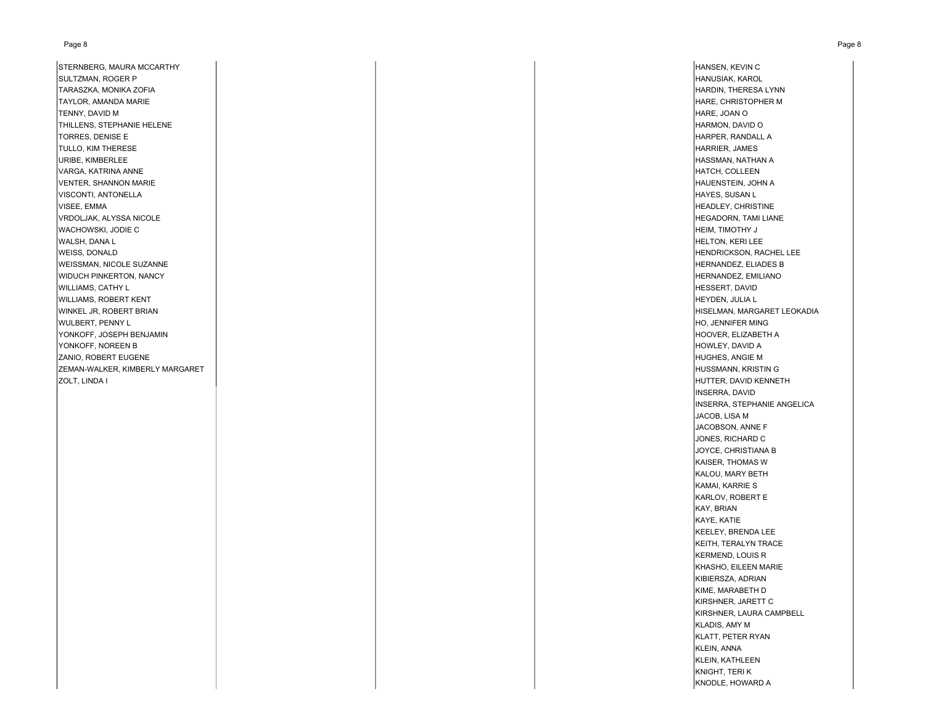#### Page 8 Page 8

STERNBERG, MAURA MCCARTHY HANSEN, KEVIN CHANGER HANSEN, KEVIN CHANGER HANSEN, KEVIN CHANGER HANSEN, KEVIN CHANGER SULTZMAN, ROGER P HANUSIAK, KAROL TARASZKA, MONIKA ZOFIA HARDIN, THERESA LYNN TAYLOR, AMANDA MARIE HARE, CHRISTOPHER M TENNY, DAVID M HARE, JOAN O THILLENS, STEPHANIE HELENE HARMON, DAVID O TORRES, DENISE E **HARPER, RANDALL A** TULLO, KIM THERESE HARRIER, JAMES URIBE, KIMBERLEE HASSMAN, NATHAN A VARGA, KATRINA ANNE HATCH, COLLEEN VENTER, SHANNON MARIE **HAUENSTEIN, JOHN A. HAUENSTEIN, JOHN A. HAUENSTEIN, JOHN A. HAUENSTEIN, JOHN A. HAUENSTEIN, JOHN A. HAUENSTEIN, JOHN A. HAUENSTEIN, JOHN A. HAUENSTEIN, JOHN A. HAUENSTEIN, JOHN A. HAUENSTEIN, JOHN A.** VISCONTI, ANTONELLA **HAYES, SUSAN LE SUSAN LE SUSAN LE SUSAN LE SUSAN LE SUSAN LE SUSAN LE SUSAN LE SUSAN LE SUSAN L** VISEE, EMMA headley, CHRISTINE (HEADLEY, CHRISTINE ) which is a state of the contract of the contract of the contract of the contract of the contract of the contract of the contract of the contract of the contract of the c VRDOLJAK, ALYSSA NICOLE HEGADORN, TAMI LIANE WACHOWSKI, JODIE CWARE CHEIM, TIMOTHY J WALSH, DANA L HELTON, KERI LEE WEISS, DONALD **HENDRICKSON, RACHEL LEE** WEISSMAN, NICOLE SUZANNE HERNANDEZ, ELIADES B WIDUCH PINKERTON, NANCY POWERT AND THERNANDEZ, EMILIANO AND THERNANDEZ, EMILIANO WILLIAMS, CATHY L HESSERT, DAVID WILLIAMS, ROBERT KENT HEYDEN, JULIA L WINKEL JR, ROBERT BRIAN HISELMAN, MARGARET LEOKADIA (NISELMAN, MARGARET LEOKADIA) WULBERT, PENNY LUIS CHARGE ANNO HO, JENNIFER MING (HO, JENNIFER MING) (HO, JENNIFER MING) (HO, JENNIFER MING) YONKOFF, JOSEPH BENJAMIN HOOVER, ELIZABETH A YONKOFF, NOREEN B HOWLEY, DAVID A HOWLEY, DAVID A HOWLEY, DAVID A HOWLEY, DAVID A HOWLEY, DAVID A ZANIO, ROBERT EUGENE HUGHES, ANGIE M ZEMAN-WALKER, KIMBERLY MARGARET HUSSMANN, KRISTIN G ZOLT, LINDA I HUTTER, DAVID KENNETH

INSERRA, DAVID INSERRA, STEPHANIE ANGELICA JACOB, LISA M JACOBSON, ANNE F JONES, RICHARD C JOYCE, CHRISTIANA B KAISER, THOMAS WKALOU, MARY BETH KAMAI, KARRIE S KARLOV, ROBERT E KAY, BRIAN KAYE, KATIE KEELEY, BRENDA LEE KEITH, TERALYN TRACE KERMEND, LOUIS R KHASHO, EILEEN MARIE KIBIERSZA, ADRIAN KIME, MARABETH D KIRSHNER, JARETT C KIRSHNER, LAURA CAMPBELL KLADIS, AMY M KLATT, PETER RYAN KLEIN, ANNA KLEIN, KATHLEEN KNIGHT, TERI K KNODLE, HOWARD A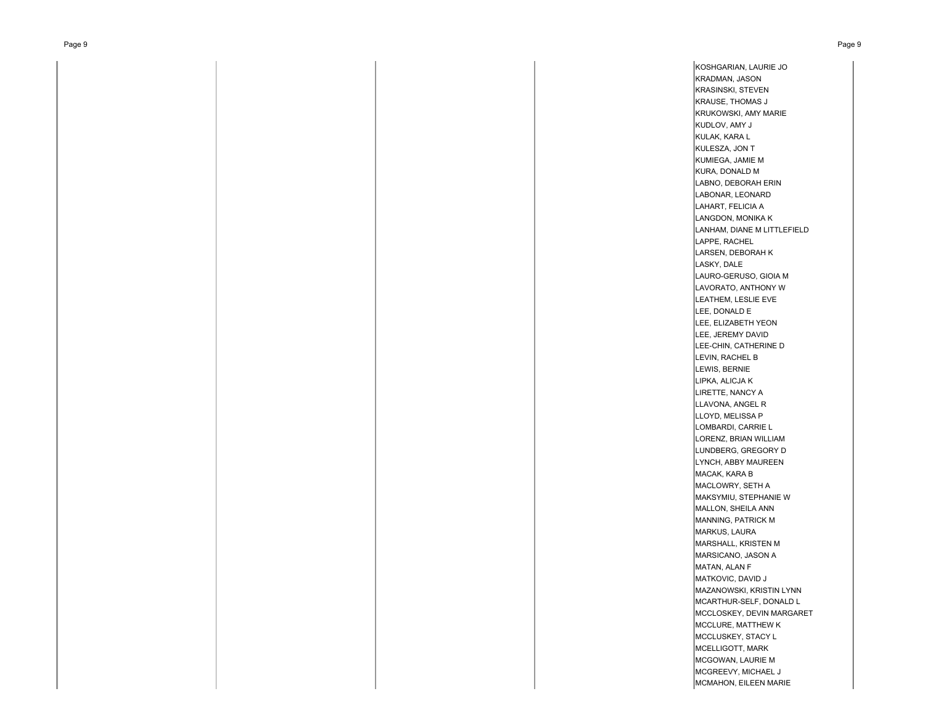KOSHGARIAN, LAURIE JO KRADMAN, JASON KRASINSKI, STEVEN KRAUSE, THOMAS J KRUKOWSKI, AMY MARIE KUDLOV, AMY J KULAK, KARA L KULESZA, JON T KUMIEGA, JAMIE M KURA, DONALD M LABNO, DEBORAH ERIN LABONAR, LEONARD LAHART, FELICIA A LANGDON, MONIKA K LANHAM, DIANE M LITTLEFIELD LAPPE, RACHEL LARSEN, DEBORAH K LASKY, DALE LAURO-GERUSO, GIOIA M LAVORATO, ANTHONY WLEATHEM, LESLIE EVE LEE, DONALD E LEE, ELIZABETH YEON LEE, JEREMY DAVID LEE-CHIN, CATHERINE D LEVIN, RACHEL B LEWIS, BERNIE LIPKA, ALICJA K LIRETTE, NANCY A LLAVONA, ANGEL R LLOYD, MELISSA P LOMBARDI, CARRIE L LORENZ, BRIAN WILLIAM LUNDBERG, GREGORY D LYNCH, ABBY MAUREEN MACAK, KARA B MACLOWRY, SETH A MAKSYMIU, STEPHANIE WMALLON, SHEILA ANN MANNING, PATRICK M MARKUS, LAURA MARSHALL, KRISTEN M MARSICANO, JASON A MATAN, ALAN F MATKOVIC, DAVID J MAZANOWSKI, KRISTIN LYNN MCARTHUR-SELF, DONALD L MCCLOSKEY, DEVIN MARGARET MCCLURE, MATTHEW K MCCLUSKEY, STACY L MCELLIGOTT, MARK MCGOWAN, LAURIE M MCGREEVY, MICHAEL J MCMAHON, EILEEN MARIE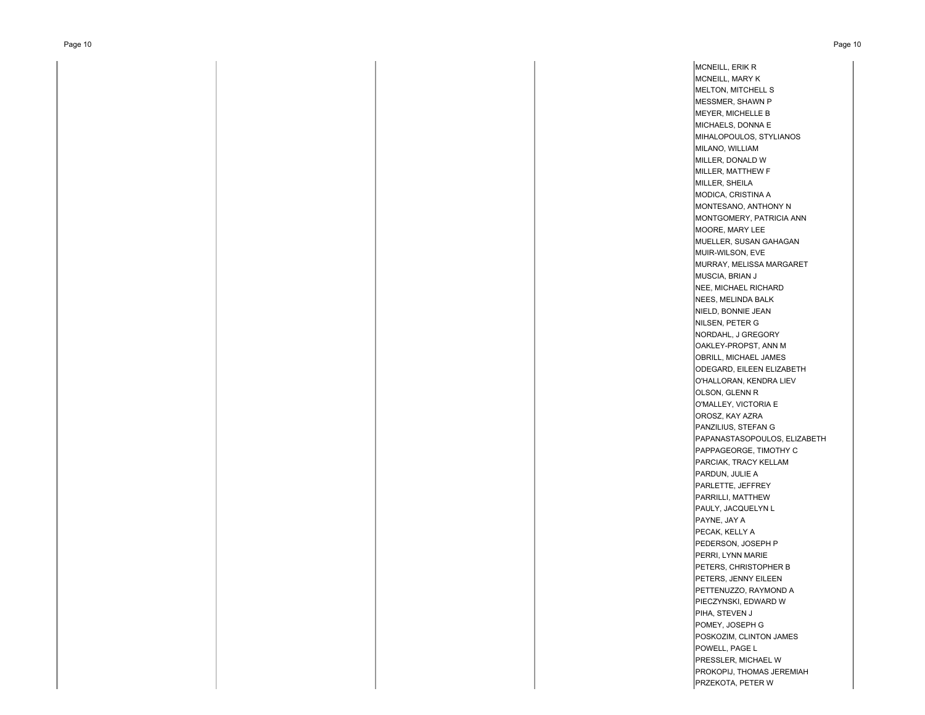MCNEILL, ERIK R MCNEILL, MARY K MELTON, MITCHELL S MESSMER, SHAWN P MEYER, MICHELLE B MICHAELS, DONNA E MIHALOPOULOS, STYLIANOS MILANO, WILLIAM MILLER, DONALD W MILLER, MATTHEW F MILLER, SHEILA MODICA, CRISTINA A MONTESANO, ANTHONY N MONTGOMERY, PATRICIA ANN MOORE, MARY LEE MUELLER, SUSAN GAHAGAN MUIR-WILSON, EVE MURRAY, MELISSA MARGARET MUSCIA, BRIAN J NEE, MICHAEL RICHARD NEES, MELINDA BALK NIELD, BONNIE JEAN NILSEN, PETER G NORDAHL, J GREGORY OAKLEY-PROPST, ANN M OBRILL, MICHAEL JAMES ODEGARD, EILEEN ELIZABETH O'HALLORAN, KENDRA LIEV OLSON, GLENN R O'MALLEY, VICTORIA E OROSZ, KAY AZRA PANZILIUS, STEFAN G PAPANASTASOPOULOS, ELIZABETH PAPPAGEORGE, TIMOTHY C PARCIAK, TRACY KELLAM PARDUN, JULIE A PARLETTE, JEFFREY PARRILLI, MATTHEW PAULY, JACQUELYN L PAYNE, JAY A PECAK, KELLY A PEDERSON, JOSEPH P PERRI, LYNN MARIE PETERS, CHRISTOPHER B PETERS, JENNY EILEEN PETTENUZZO, RAYMOND A PIECZYNSKI, EDWARD W PIHA, STEVEN J POMEY, JOSEPH G POSKOZIM, CLINTON JAMES POWELL, PAGE L PRESSLER, MICHAEL W PROKOPIJ, THOMAS JEREMIAH PRZEKOTA, PETER W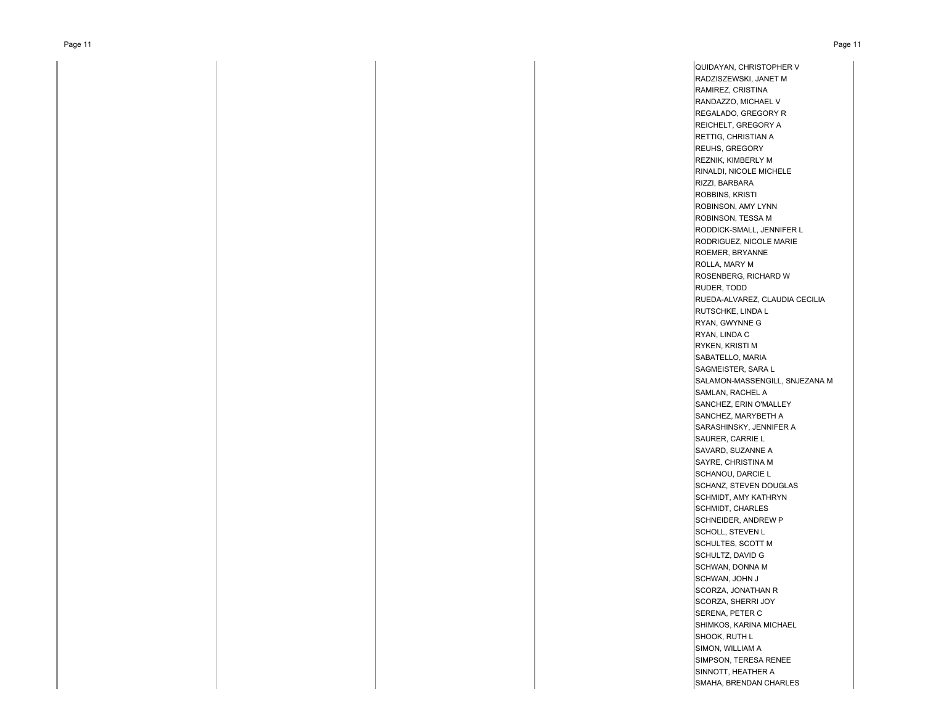QUIDAYAN, CHRISTOPHER V RADZISZEWSKI, JANET M RAMIREZ, CRISTINA RANDAZZO, MICHAEL V REGALADO, GREGORY R REICHELT, GREGORY A RETTIG, CHRISTIAN A REUHS, GREGORY REZNIK, KIMBERLY M RINALDI, NICOLE MICHELE RIZZI, BARBARA ROBBINS, KRISTI ROBINSON, AMY LYNN ROBINSON, TESSA M RODDICK-SMALL, JENNIFER L RODRIGUEZ, NICOLE MARIE ROEMER, BRYANNE ROLLA, MARY M ROSENBERG, RICHARD W RUDER, TODD RUEDA-ALVAREZ, CLAUDIA CECILIA RUTSCHKE, LINDA L RYAN, GWYNNE G RYAN, LINDA C RYKEN, KRISTI M SABATELLO, MARIA SAGMEISTER, SARA L SALAMON-MASSENGILL, SNJEZANA M SAMLAN, RACHEL A SANCHEZ, ERIN O'MALLEY SANCHEZ, MARYBETH A SARASHINSKY, JENNIFER A SAURER, CARRIE L SAVARD, SUZANNE A SAYRE, CHRISTINA M SCHANOU, DARCIE L SCHANZ, STEVEN DOUGLAS SCHMIDT, AMY KATHRYN SCHMIDT, CHARLES SCHNEIDER, ANDREW P SCHOLL, STEVEN L SCHULTES, SCOTT M SCHULTZ, DAVID G SCHWAN, DONNA M SCHWAN, JOHN J SCORZA, JONATHAN R SCORZA, SHERRI JOY SERENA, PETER C SHIMKOS, KARINA MICHAEL SHOOK, RUTH L SIMON, WILLIAM A SIMPSON, TERESA RENEE SINNOTT, HEATHER A SMAHA, BRENDAN CHARLES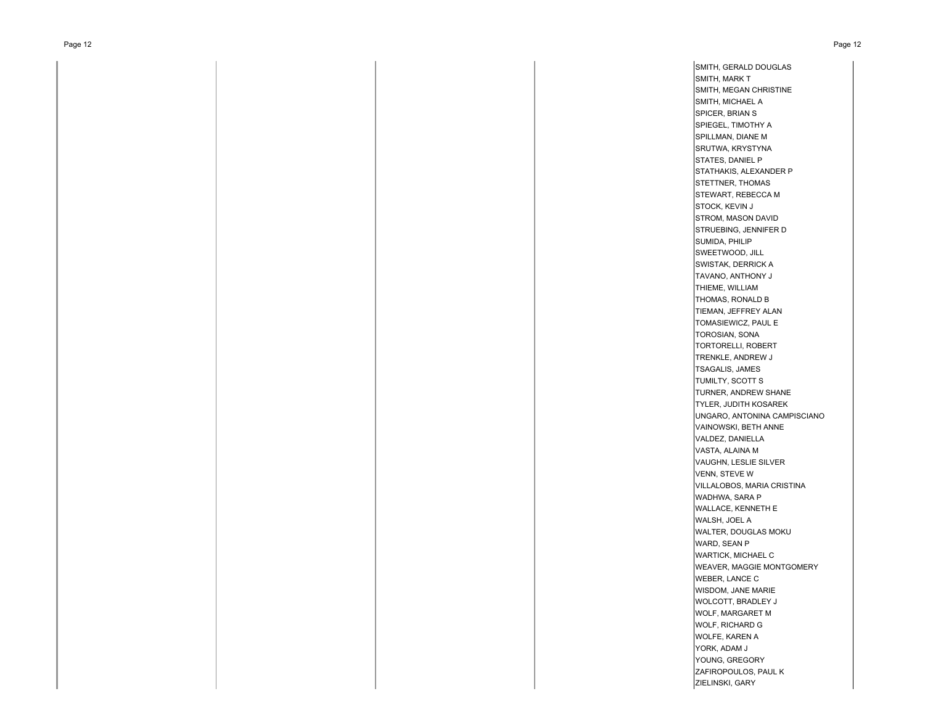SMITH, GERALD DOUGLAS SMITH, MARK T SMITH, MEGAN CHRISTINE SMITH, MICHAEL A SPICER, BRIAN S SPIEGEL, TIMOTHY A SPILLMAN, DIANE M SRUTWA, KRYSTYNA STATES, DANIEL P STATHAKIS, ALEXANDER P STETTNER, THOMAS STEWART, REBECCA M STOCK, KEVIN J STROM, MASON DAVID STRUEBING, JENNIFER D SUMIDA, PHILIP SWEETWOOD, JILL SWISTAK, DERRICK A TAVANO, ANTHONY J THIEME, WILLIAM THOMAS, RONALD B TIEMAN, JEFFREY ALAN TOMASIEWICZ, PAUL E TOROSIAN, SONA TORTORELLI, ROBERT TRENKLE, ANDREW J TSAGALIS, JAMES TUMILTY, SCOTT S TURNER, ANDREW SHANE TYLER, JUDITH KOSAREK UNGARO, ANTONINA CAMPISCIANO VAINOWSKI, BETH ANNE VALDEZ, DANIELLA VASTA, ALAINA M VAUGHN, LESLIE SILVER VENN, STEVE W VILLALOBOS, MARIA CRISTINA WADHWA, SARA P WALLACE, KENNETH E WALSH, JOEL A WALTER, DOUGLAS MOKU WARD, SEAN P WARTICK, MICHAEL C WEAVER, MAGGIE MONTGOMERY WEBER, LANCE C WISDOM, JANE MARIE WOLCOTT, BRADLEY J WOLF, MARGARET M WOLF, RICHARD G WOLFE, KAREN A YORK, ADAM J YOUNG, GREGORY ZAFIROPOULOS, PAUL K ZIELINSKI, GARY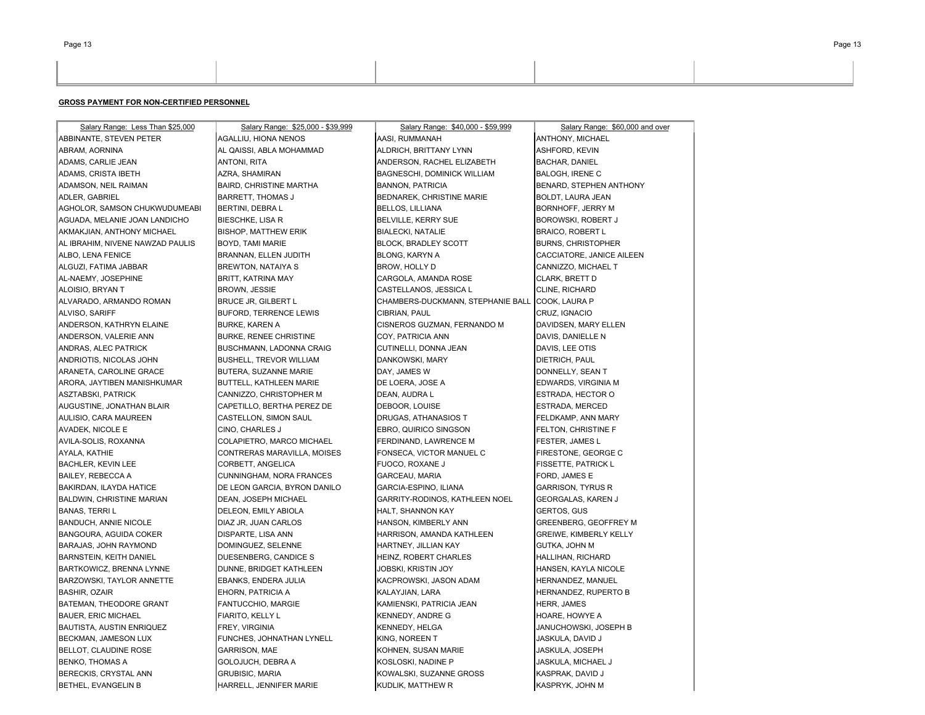| Salary Range: Less Than \$25,000 | Salary Range: \$25,000 - \$39,999 | Salary Range: \$40,000 - \$59,999  | Salary Range: \$60,000 and over |
|----------------------------------|-----------------------------------|------------------------------------|---------------------------------|
| ABBINANTE, STEVEN PETER          | AGALLIU, HIONA NENOS              | AASI, RUMMANAH                     | ANTHONY, MICHAEL                |
| ABRAM, AORNINA                   | AL QAISSI, ABLA MOHAMMAD          | ALDRICH, BRITTANY LYNN             | ASHFORD, KEVIN                  |
| ADAMS, CARLIE JEAN               | ANTONI, RITA                      | ANDERSON, RACHEL ELIZABETH         | <b>BACHAR, DANIEL</b>           |
| ADAMS, CRISTA IBETH              | AZRA, SHAMIRAN                    | <b>BAGNESCHI, DOMINICK WILLIAM</b> | <b>BALOGH, IRENE C</b>          |
| ADAMSON, NEIL RAIMAN             | <b>BAIRD, CHRISTINE MARTHA</b>    | <b>BANNON, PATRICIA</b>            | BENARD, STEPHEN ANTHONY         |
| ADLER, GABRIEL                   | BARRETT, THOMAS J                 | BEDNAREK, CHRISTINE MARIE          | BOLDT, LAURA JEAN               |
| AGHOLOR, SAMSON CHUKWUDUMEABI    | BERTINI, DEBRA L                  | <b>BELLOS, LILLIANA</b>            | <b>BORNHOFF, JERRY M</b>        |
| AGUADA, MELANIE JOAN LANDICHO    | <b>BIESCHKE, LISA R</b>           | BELVILLE, KERRY SUE                | BOROWSKI, ROBERT J              |
| AKMAKJIAN, ANTHONY MICHAEL       | <b>BISHOP, MATTHEW ERIK</b>       | <b>BIALECKI, NATALIE</b>           | <b>BRAICO, ROBERT L</b>         |
| AL IBRAHIM, NIVENE NAWZAD PAULIS | BOYD, TAMI MARIE                  | <b>BLOCK, BRADLEY SCOTT</b>        | <b>BURNS, CHRISTOPHER</b>       |
| ALBO, LENA FENICE                | BRANNAN, ELLEN JUDITH             | BLONG, KARYN A                     | CACCIATORE, JANICE AILEEN       |
| ALGUZI, FATIMA JABBAR            | <b>BREWTON, NATAIYA S</b>         | BROW, HOLLY D                      | CANNIZZO, MICHAEL T             |
| AL-NAEMY, JOSEPHINE              | BRITT, KATRINA MAY                | CARGOLA, AMANDA ROSE               | CLARK, BRETT D                  |
| ALOISIO, BRYAN T                 | <b>BROWN, JESSIE</b>              | CASTELLANOS, JESSICA L             | CLINE, RICHARD                  |
| ALVARADO, ARMANDO ROMAN          | <b>BRUCE JR, GILBERT L</b>        | CHAMBERS-DUCKMANN, STEPHANIE BALL  | COOK, LAURA P                   |
| ALVISO, SARIFF                   | <b>BUFORD, TERRENCE LEWIS</b>     | CIBRIAN, PAUL                      | CRUZ, IGNACIO                   |
| ANDERSON, KATHRYN ELAINE         | <b>BURKE, KAREN A</b>             | CISNEROS GUZMAN, FERNANDO M        | DAVIDSEN, MARY ELLEN            |
| ANDERSON, VALERIE ANN            | <b>BURKE, RENEE CHRISTINE</b>     | COY, PATRICIA ANN                  | DAVIS, DANIELLE N               |
| ANDRAS, ALEC PATRICK             | BUSCHMANN, LADONNA CRAIG          | CUTINELLI, DONNA JEAN              | DAVIS, LEE OTIS                 |
| ANDRIOTIS, NICOLAS JOHN          | BUSHELL, TREVOR WILLIAM           | DANKOWSKI, MARY                    | DIETRICH, PAUL                  |
| ARANETA, CAROLINE GRACE          | BUTERA, SUZANNE MARIE             | DAY, JAMES W                       | DONNELLY, SEAN T                |
| ARORA, JAYTIBEN MANISHKUMAR      | BUTTELL, KATHLEEN MARIE           | DE LOERA, JOSE A                   | EDWARDS, VIRGINIA M             |
| ASZTABSKI, PATRICK               | CANNIZZO, CHRISTOPHER M           | DEAN, AUDRA L                      | ESTRADA, HECTOR O               |
| AUGUSTINE, JONATHAN BLAIR        | CAPETILLO, BERTHA PEREZ DE        | DEBOOR, LOUISE                     | ESTRADA, MERCED                 |
| AULISIO, CARA MAUREEN            | CASTELLON, SIMON SAUL             | DRUGAS, ATHANASIOS T               | FELDKAMP, ANN MARY              |
| AVADEK, NICOLE E                 | CINO, CHARLES J                   | EBRO, QUIRICO SINGSON              | FELTON, CHRISTINE F             |
| AVILA-SOLIS, ROXANNA             | COLAPIETRO, MARCO MICHAEL         | FERDINAND, LAWRENCE M              | FESTER, JAMES L                 |
| AYALA, KATHIE                    | CONTRERAS MARAVILLA, MOISES       | FONSECA, VICTOR MANUEL C           | FIRESTONE, GEORGE C             |
| <b>BACHLER, KEVIN LEE</b>        | CORBETT, ANGELICA                 | FUOCO, ROXANE J                    | <b>FISSETTE, PATRICK L</b>      |
| <b>BAILEY, REBECCA A</b>         | CUNNINGHAM, NORA FRANCES          | GARCEAU, MARIA                     | FORD, JAMES E                   |
| BAKIRDAN, ILAYDA HATICE          | DE LEON GARCIA, BYRON DANILO      | GARCIA-ESPINO, ILIANA              | <b>GARRISON, TYRUS R</b>        |
| <b>BALDWIN, CHRISTINE MARIAN</b> | DEAN, JOSEPH MICHAEL              | GARRITY-RODINOS, KATHLEEN NOEL     | GEORGALAS, KAREN J              |
| <b>BANAS, TERRIL</b>             | DELEON, EMILY ABIOLA              | HALT, SHANNON KAY                  | GERTOS, GUS                     |
| <b>BANDUCH, ANNIE NICOLE</b>     | DIAZ JR, JUAN CARLOS              | HANSON, KIMBERLY ANN               | GREENBERG, GEOFFREY M           |
| BANGOURA, AGUIDA COKER           | DISPARTE, LISA ANN                | HARRISON, AMANDA KATHLEEN          | GREIWE, KIMBERLY KELLY          |
| BARAJAS, JOHN RAYMOND            | DOMINGUEZ, SELENNE                | HARTNEY, JILLIAN KAY               | GUTKA, JOHN M                   |
| <b>BARNSTEIN, KEITH DANIEL</b>   | DUESENBERG, CANDICE S             | HEINZ, ROBERT CHARLES              | HALLIHAN, RICHARD               |
| BARTKOWICZ, BRENNA LYNNE         | DUNNE, BRIDGET KATHLEEN           | JOBSKI, KRISTIN JOY                | HANSEN, KAYLA NICOLE            |
| BARZOWSKI, TAYLOR ANNETTE        | EBANKS, ENDERA JULIA              | KACPROWSKI, JASON ADAM             | HERNANDEZ, MANUEL               |
| <b>BASHIR, OZAIR</b>             | EHORN, PATRICIA A                 | KALAYJIAN, LARA                    | HERNANDEZ, RUPERTO B            |
| BATEMAN, THEODORE GRANT          | FANTUCCHIO, MARGIE                | KAMIENSKI, PATRICIA JEAN           | HERR, JAMES                     |
| <b>BAUER, ERIC MICHAEL</b>       | FIARITO, KELLY L                  | KENNEDY, ANDRE G                   | HOARE, HOWYE A                  |
| BAUTISTA, AUSTIN ENRIQUEZ        | FREY, VIRGINIA                    | KENNEDY, HELGA                     | JANUCHOWSKI, JOSEPH B           |
| BECKMAN, JAMESON LUX             | FUNCHES, JOHNATHAN LYNELL         | KING, NOREEN T                     | JASKULA, DAVID J                |
| BELLOT, CLAUDINE ROSE            | <b>GARRISON, MAE</b>              | KOHNEN, SUSAN MARIE                | JASKULA, JOSEPH                 |
| <b>BENKO, THOMAS A</b>           | GOLOJUCH, DEBRA A                 | KOSLOSKI, NADINE P                 | JASKULA, MICHAEL J              |
| BERECKIS, CRYSTAL ANN            | <b>GRUBISIC, MARIA</b>            | KOWALSKI, SUZANNE GROSS            | KASPRAK, DAVID J                |
| <b>BETHEL, EVANGELIN B</b>       | HARRELL, JENNIFER MARIE           | KUDLIK, MATTHEW R                  | KASPRYK, JOHN M                 |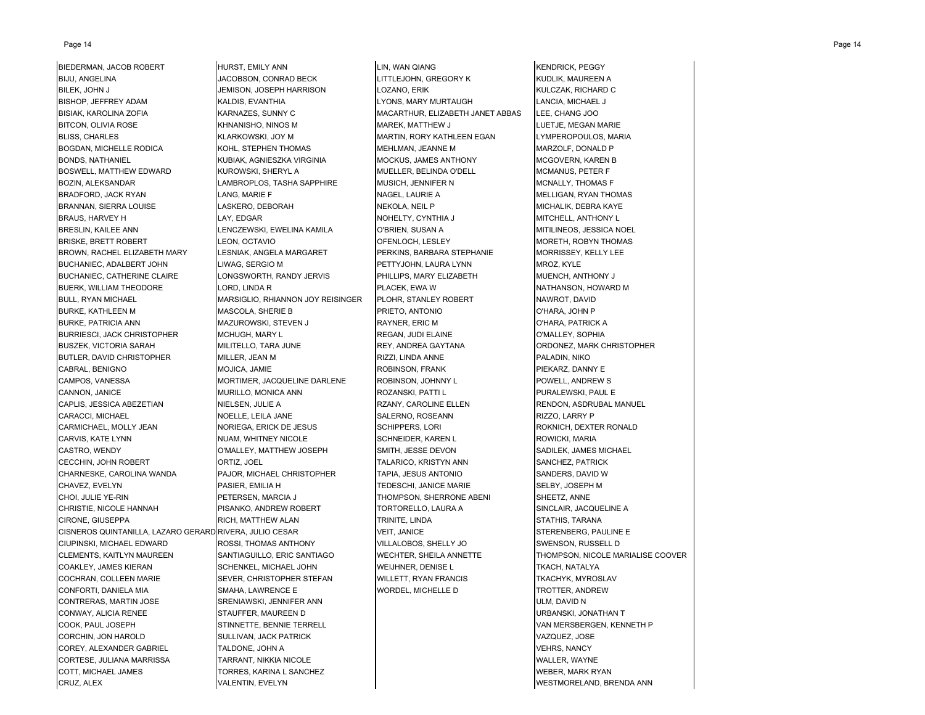#### Page 14 Page 14

BIJU, ANGELINA JACOBSON, CONRAD BECK LITTLEJOHN, GREGORY K KUDLIK, MAUREEN A BILEK, JOHN JAN JUHARISON, JOSEPH HARRISON JEMISON, LOZANO, ERIK KULCZAK, RICHARD C BISHOP, JEFFREY ADAM **KALDIS, EVANTHIA LANDIS, ANGLISH ADAM KALDIS, EVANTHIA** LYONS, MARY MURTAUGH LANCIA, MICHAEL J BISIAK, KAROLINA ZOFIA KARNAZES, SUNNY CHAROLINA KAROLINA KAROLINA KAROLINA KAROLINA KAROLINA KAROLINA KAROLIN BITCON, OLIVIA ROSE KHNANISHO, NINOS M MAREK, MATTHEW J LUETJE, MEGAN MARIE BLISS, CHARLES **KLARKOWSKI, JOY M MARTIN, RORY KATHLEEN EGAN** LYMPEROPOULOS, MARIA BOGDAN, MICHELLE RODICA KOHL, STEPHEN THOMAS MEHLMAN, JEANNE M MARZOLF, DONALD P BONDS, NATHANIEL KUBIAK, AGNIESZKA VIRGINIA MOCKUS, JAMES ANTHONY MCGOVERN, KAREN B BOSWELL, MATTHEW EDWARD KUROWSKI, SHERYL A MUELLER, BELINDA O'DELL MCMANUS, PETER F BOZIN, ALEKSANDAR LAMBROPLOS, TASHA SAPPHIRE MUSICH, JENNIFER N MCNALLY, THOMAS F BRADFORD, JACK RYAN LANG, MARIE F NAGEL, LAURIE A MELLIGAN, RYAN THOMAS BRANNAN, SIERRA LOUISE LASKERO, DEBORAH NEKOLA, NEIL P MICHALIK, DEBRA KAYE BRAUS, HARVEY H LAY, EDGAR NOHELTY, CYNTHIA J MITCHELL, ANTHONY L BRESLIN, KAILEE ANN LENCZEWSKI, EWELINA KAMILA O'BRIEN, SUSAN A MITILINEOS, JESSICA NOEL BRISKE, BRETT ROBERT LEON, OCTAVIO COMPONERSI CONFENLOCH, LESLEY AND MORETH, ROBYN THOMAS BROWN, RACHEL ELIZABETH MARY LESNIAK, ANGELA MARGARET PERKINS, BARBARA STEPHANIE MORRISSEY, KELLY LEE BUCHANIEC, ADALBERT JOHN LIWAG, SERGIO M PETTYJOHN, LAURA LYNN MAOZ, KYLE BUCHANIEC, CATHERINE CLAIRE LONGSWORTH, RANDY JERVIS PHILLIPS, MARY ELIZABETH MUENCH, ANTHONY J BUERK, WILLIAM THEODORE LORD, LINDA R PLACEK, EWA W PLACEK, EWA W NATHANSON, HOWARD M BULL, RYAN MICHAEL **MARSIGLIO, RHIANNON JOY REISINGER** PLOHR, STANLEY ROBERT NAWROT, DAVID BURKE, KATHLEEN M MASCOLA, SHERIE B PRIETO, ANTONIO O'HARA, JOHN P BURKE, PATRICIA ANN MAZUROWSKI, STEVEN J RAYNER, ERIC M O'HARA, PATRICK A BURRIESCI, JACK CHRISTOPHER MCHUGH, MARY LAND MICHUGH, MARY LAND MEGAN, JUDI ELAINE O'MALLEY, SOPHIA BUSZEK, VICTORIA SARAH MILITELLO, TARA JUNE REY, ANDREA GAYTANA QRDONEZ, MARK CHRISTOPHER BUTLER, DAVID CHRISTOPHER MILLER, JEAN M RIZZI, LINDA ANNE PALADIN, NIKO CABRAL, BENIGNO MOJICA, JAMIE ROBINSON, FRANK PIEKARZ, DANNY E CAMPOS, VANESSA MORTIMER, JACQUELINE DARLENE ROBINSON, JOHNNY L POWELL, ANDREW S CANNON, JANICE NURILLO, MONICA ANN ROZANSKI, PATTI LAND ROZANSKI, PAUL E CAPLIS, JESSICA ABEZETIAN NIELSEN, JULIE A RZANY, CAROLINE ELLEN RENDON, ASDRUBAL MANUEL CARACCI, MICHAEL NOELLE, LEILA JANE SALERNO, ROSEANN RIZZO, LARRY P CARMICHAEL, MOLLY JEAN NORIEGA, ERICK DE JESUS SCHIPPERS, LORI ROKNICH, DEXTER RONALD CARVIS, KATE LYNN NUAM, WHITNEY NICOLE SCHNEIDER, KAREN LAND SANT ROWICKI, MARIA CASTRO, WENDY CONNECTRITY OF MALLEY, MATTHEW JOSEPH SMITH, JESSE DEVON SADILEK, JAMES MICHAEL CECCHIN, JOHN ROBERT CHING ORTIZ, JOEL CHING TALARICO, KRISTYN ANN SANCHEZ, PATRICK CHARNESKE, CAROLINA WANDA PAJOR, MICHAEL CHRISTOPHER TAPIA, JESUS ANTONIO SANDERS, DAVID W CHAVEZ, EVELYN PASIER, EMILIA H TEDESCHI, JANICE MARIE SELBY, JOSEPH M CHOI, JULIE YE-RIN PETERSEN, MARCIA J THOMPSON, SHERRONE ABENI SHEETZ, ANNE CHRISTIE, NICOLE HANNAH PISANKO, ANDREW ROBERT TORTORELLO, LAURA A SINCLAIR, JACQUELINE A CIRONE, GIUSEPPA RICH, MATTHEW ALAN TRINITE, LINDA STATHIS, TARANA CISNEROS QUINTANILLA, LAZARO GERARD RIVERA, JULIO CESAR VEIT, JANICE STERENBERG, PAULINE E CIUPINSKI, MICHAEL EDWARD ROSSI, THOMAS ANTHONY VILLALOBOS, SHELLY JO SWENSON, RUSSELL D CLEMENTS, KAITLYN MAUREEN SANTIAGUILLO, ERIC SANTIAGO WECHTER, SHEILA ANNETTE THOMPSON, NICOLE MARIALISE COOVER COAKLEY, JAMES KIERAN SCHENKEL, MICHAEL JOHN WEIJHNER, DENISE LAND STAACH, NATALYA COCHRAN, COLLEEN MARIE SEVER, CHRISTOPHER STEFAN WILLETT, RYAN FRANCIS TKACHYK, MYROSLAV CONFORTI, DANIELA MIA SMAHA, LAWRENCE E WORDEL, MICHELLE D TROTTER, ANDREW CONTRERAS, MARTIN JOSE SRENIAWSKI, JENNIFER ANN ULM, DAVID NO SAVID NO SAVID NO SAVID NO SAVID NO SAVID NO SAVID CONWAY, ALICIA RENEE STAUFFER, MAUREEN D STAUFFER, MAUREEN D STAUFFER, MAUREEN D COOK, PAUL JOSEPH STINNETTE, BENNIE TERRELL STINNETTE, BENNIE STERRELL STERNETH POOK, PAUL JOSEPH STERNETH P CORCHIN, JON HAROLD SULLIVAN, JACK PATRICK SULLIVAN, JACK PATRICK SULLIVAN, JACK PATRICK SULLIVAN, JACK PATRICK COREY, ALEXANDER GABRIEL TALDONE, JOHN A VEHRS, NANCY CORTESE, JULIANA MARRISSA TARRANT, NIKKIA NICOLE WALLER, WAYNE COTT, MICHAEL JAMES TORRES, KARINA L SANCHEZ WEBER, MARK RYAN CRUZ, ALEX VALENTIN, EVELYN WESTMORELAND, BRENDA ANN

BIEDERMAN, JACOB ROBERT HURST, EMILY ANN LIN, WAN QIANG LIN, WAN QIANG KENDRICK, PEGGY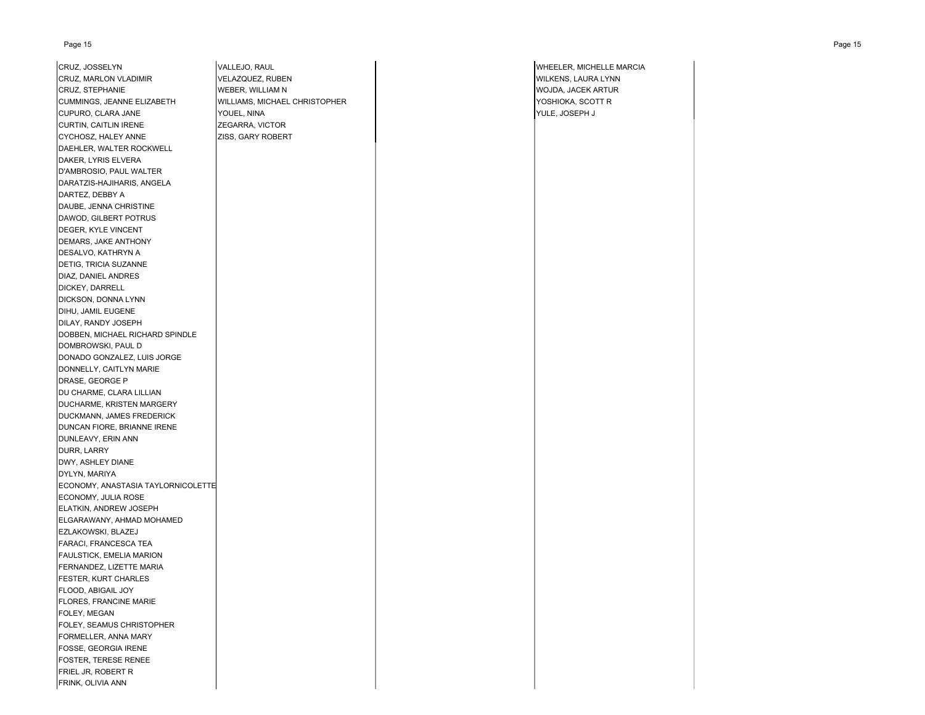| CRUZ, JOSSELYN                     |
|------------------------------------|
| CRUZ, MARLON VLADIMIR              |
| CRUZ, STEPHANIE                    |
| CUMMINGS, JEANNE ELIZABETH         |
| CUPURO, CLARA JANE                 |
| CURTIN, CAITLIN IRENE              |
| CYCHOSZ, HALEY ANNE                |
| DAEHLER, WALTER ROCKWELL           |
| DAKER, LYRIS ELVERA                |
| D'AMBROSIO, PAUL WALTER            |
| DARATZIS-HAJIHARIS, ANGELA         |
| DARTEZ, DEBBY A                    |
| DAUBE, JENNA CHRISTINE             |
| DAWOD, GILBERT POTRUS              |
| DEGER, KYLE VINCENT                |
| DEMARS, JAKE ANTHONY               |
| DESALVO, KATHRYN A                 |
| DETIG, TRICIA SUZANNE              |
| DIAZ, DANIEL ANDRES                |
|                                    |
| DICKEY, DARRELL                    |
| DICKSON, DONNA LYNN                |
| DIHU, JAMIL EUGENE                 |
| DILAY, RANDY JOSEPH                |
| DOBBEN, MICHAEL RICHARD SPINDLE    |
| DOMBROWSKI, PAUL D                 |
| DONADO GONZALEZ, LUIS JORGE        |
| DONNELLY, CAITLYN MARIE            |
| DRASE, GEORGE P                    |
| DU CHARME, CLARA LILLIAN           |
| DUCHARME, KRISTEN MARGERY          |
| DUCKMANN, JAMES FREDERICK          |
| DUNCAN FIORE, BRIANNE IRENE        |
| DUNLEAVY, ERIN ANN                 |
| DURR, LARRY                        |
| DWY, ASHLEY DIANE                  |
| DYLYN, MARIYA                      |
| ECONOMY, ANASTASIA TAYLORNICOLETTE |
| ECONOMY, JULIA ROSE                |
| ELATKIN, ANDREW JOSEPH             |
| ELGARAWANY, AHMAD MOHAMED          |
| EZLAKOWSKI, BLAZEJ                 |
| FARACI, FRANCESCA TEA              |
| FAULSTICK, EMELIA MARION           |
| FERNANDEZ, LIZETTE MARIA           |
| FESTER, KURT CHARLES               |
| FLOOD, ABIGAIL JOY                 |
| FLORES, FRANCINE MARIE             |
| FOLEY, MEGAN                       |
| FOLEY, SEAMUS CHRISTOPHER          |
| FORMELLER, ANNA MARY               |
| FOSSE, GEORGIA IRENE               |
| FOSTER, TERESE RENEE               |
| FRIEL JR, ROBERT R                 |
|                                    |

FRINK, OLIVIA ANN

VELAZQUEZ, RUBEN WILKENS, LAURA LYNN WEBER, WILLIAM N WOJDA, JACEK ARTUR WILLIAMS, MICHAEL CHRISTOPHER **WILLIAMS, MICHAEL CHRISTOPHER** YOSHIOKA, SCOTT R YOUEL, NINA YOUEL, NINA YULE, JOSEPH J ZEGARRA, VICTOR ZISS, GARY ROBERT

**VALLEJO, RAUL CONSULTER, MICHELLE MARCIA**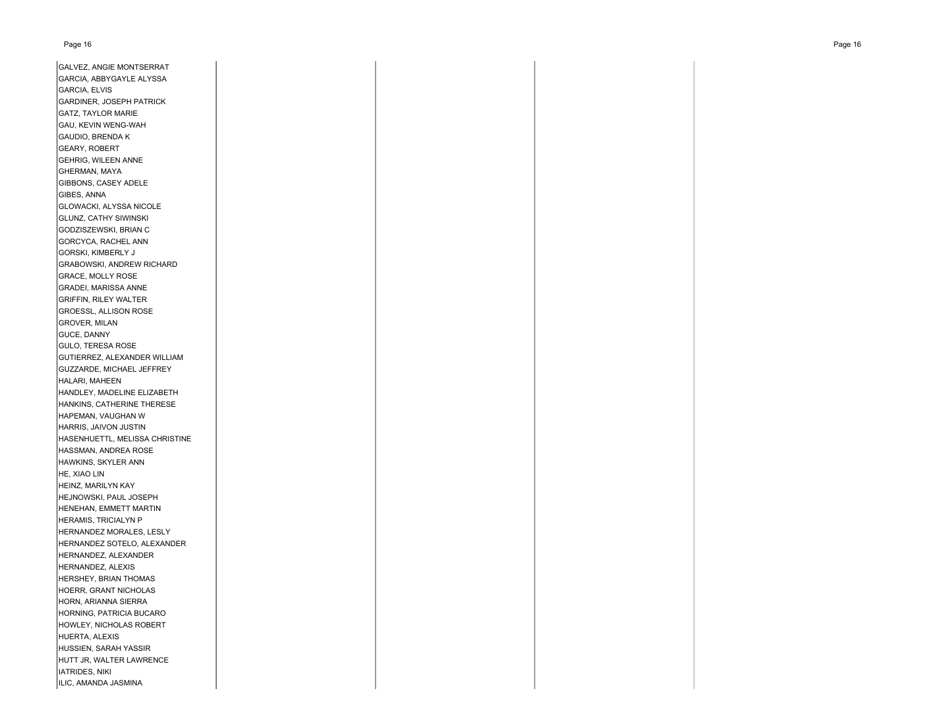GALVEZ, ANGIE MONTSERRAT GARCIA, ABBYGAYLE ALYSSA GARCIA, ELVIS GARDINER, JOSEPH PATRICK GATZ, TAYLOR MARIE GAU, KEVIN WENG-WAH GAUDIO, BRENDA K GEARY, ROBERT GEHRIG, WILEEN ANNE GHERMAN, MAYA GIBBONS, CASEY ADELE GIBES, ANNA GLOWACKI, ALYSSA NICOLE GLUNZ, CATHY SIWINSKI GODZISZEWSKI, BRIAN C GORCYCA, RACHEL ANN GORSKI, KIMBERLY J GRABOWSKI, ANDREW RICHARD GRACE, MOLLY ROSE GRADEI, MARISSA ANNE GRIFFIN, RILEY WALTER GROESSL, ALLISON ROSE GROVER, MILAN GUCE, DANNY GULO, TERESA ROSE GUTIERREZ, ALEXANDER WILLIAM GUZZARDE, MICHAEL JEFFREY HALARI, MAHEEN HANDLEY, MADELINE ELIZABETH HANKINS, CATHERINE THERESE HAPEMAN, VAUGHAN W HARRIS, JAIVON JUSTIN HASENHUETTL, MELISSA CHRISTINE HASSMAN, ANDREA ROSE HAWKINS, SKYLER ANN HE, XIAO LIN HEINZ, MARILYN KAY HEJNOWSKI, PAUL JOSEPH HENEHAN, EMMETT MARTIN HERAMIS, TRICIALYN P HERNANDEZ MORALES, LESLY HERNANDEZ SOTELO, ALEXANDER HERNANDEZ, ALEXANDER HERNANDEZ, ALEXIS HERSHEY, BRIAN THOMAS HOERR, GRANT NICHOLAS HORN, ARIANNA SIERRA HORNING, PATRICIA BUCARO HOWLEY, NICHOLAS ROBERT HUERTA, ALEXIS HUSSIEN, SARAH YASSIR HUTT JR, WALTER LAWRENCE IATRIDES, NIKI

ILIC, AMANDA JASMINA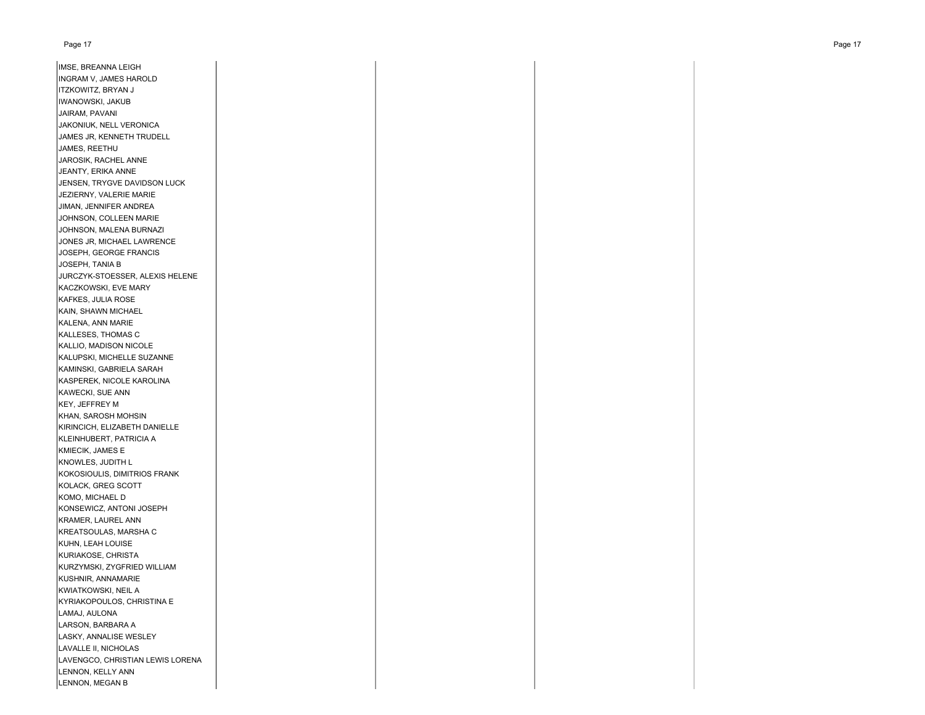IMSE, BREANNA LEIGH INGRAM V, JAMES HAROLD ITZKOWITZ, BRYAN J IWANOWSKI, JAKUB JAIRAM, PAVANI JAKONIUK, NELL VERONICA JAMES JR, KENNETH TRUDELL JAMES, REETHU JAROSIK, RACHEL ANNE JEANTY, ERIKA ANNE JENSEN, TRYGVE DAVIDSON LUCK JEZIERNY, VALERIE MARIE JIMAN, JENNIFER ANDREA JOHNSON, COLLEEN MARIE JOHNSON, MALENA BURNAZI JONES JR, MICHAEL LAWRENCE JOSEPH, GEORGE FRANCIS JOSEPH, TANIA B JURCZYK-STOESSER, ALEXIS HELENE KACZKOWSKI, EVE MARY KAFKES, JULIA ROSE KAIN, SHAWN MICHAEL KALENA, ANN MARIE KALLESES, THOMAS C KALLIO, MADISON NICOLE KALUPSKI, MICHELLE SUZANNE KAMINSKI, GABRIELA SARAH KASPEREK, NICOLE KAROLINA KAWECKI, SUE ANN KEY, JEFFREY M KHAN, SAROSH MOHSIN KIRINCICH, ELIZABETH DANIELLE KLEINHUBERT, PATRICIA A KMIECIK, JAMES E KNOWLES, JUDITH L KOKOSIOULIS, DIMITRIOS FRANK KOLACK, GREG SCOTT KOMO, MICHAEL D KONSEWICZ, ANTONI JOSEPH KRAMER, LAUREL ANN KREATSOULAS, MARSHA C KUHN, LEAH LOUISE KURIAKOSE, CHRISTA KURZYMSKI, ZYGFRIED WILLIAM KUSHNIR, ANNAMARIE KWIATKOWSKI, NEIL A KYRIAKOPOULOS, CHRISTINA E LAMAJ, AULONA LARSON, BARBARA A LASKY, ANNALISE WESLEY LAVALLE II, NICHOLAS LAVENGCO, CHRISTIAN LEWIS LORENA

LENNON, KELLY ANN LENNON, MEGAN B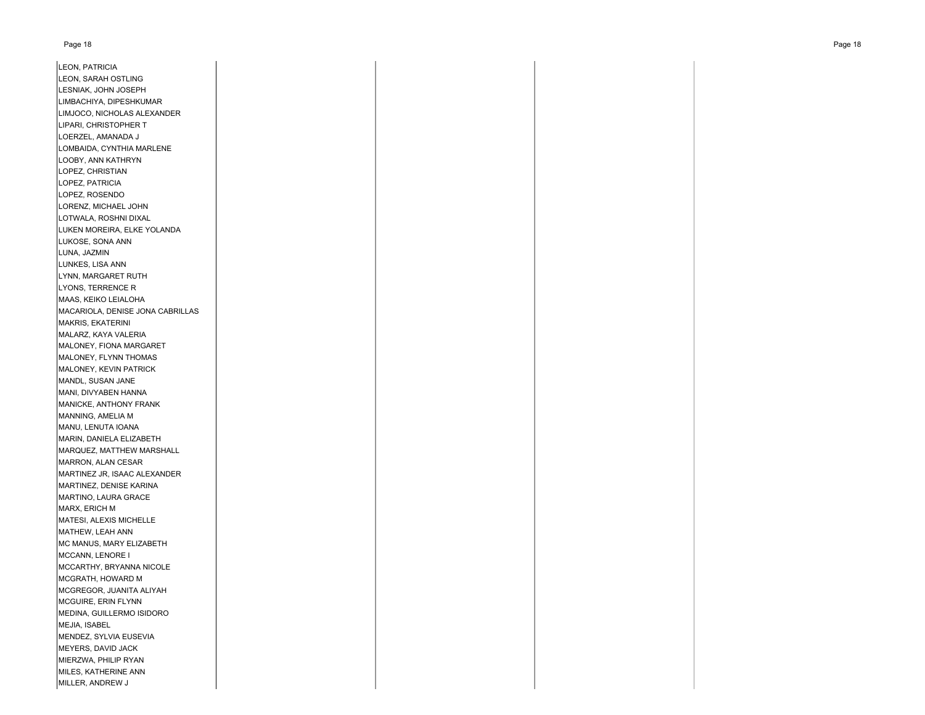LEON, PATRICIA LEON, SARAH OSTLING LESNIAK, JOHN JOSEPH LIMBACHIYA, DIPESHKUMAR LIMJOCO, NICHOLAS ALEXANDER LIPARI, CHRISTOPHER T LOERZEL, AMANADA J LOMBAIDA, CYNTHIA MARLENE LOOBY, ANN KATHRYN LOPEZ, CHRISTIAN LOPEZ, PATRICIA LOPEZ, ROSENDO LORENZ, MICHAEL JOHN LOTWALA, ROSHNI DIXAL LUKEN MOREIRA, ELKE YOLANDA LUKOSE, SONA ANN LUNA, JAZMIN LUNKES, LISA ANN LYNN, MARGARET RUTH LYONS, TERRENCE R MAAS, KEIKO LEIALOHA MACARIOLA, DENISE JONA CABRILLAS MAKRIS, EKATERINI MALARZ, KAYA VALERIA MALONEY, FIONA MARGARET MALONEY, FLYNN THOMAS MALONEY, KEVIN PATRICK MANDL, SUSAN JANE MANI, DIVYABEN HANNA MANICKE, ANTHONY FRANK MANNING, AMELIA M MANU, LENUTA IOANA MARIN, DANIELA ELIZABETH MARQUEZ, MATTHEW MARSHALL MARRON, ALAN CESAR MARTINEZ JR, ISAAC ALEXANDER MARTINEZ, DENISE KARINA MARTINO, LAURA GRACE MARX, ERICH M MATESI, ALEXIS MICHELLE MATHEW, LEAH ANN MC MANUS, MARY ELIZABETH MCCANN, LENORE I MCCARTHY, BRYANNA NICOLE MCGRATH, HOWARD M MCGREGOR, JUANITA ALIYAH MCGUIRE, ERIN FLYNN MEDINA, GUILLERMO ISIDORO MEJIA, ISABEL MENDEZ, SYLVIA EUSEVIA MEYERS, DAVID JACK MIERZWA, PHILIP RYAN MILES, KATHERINE ANN MILLER, ANDREW J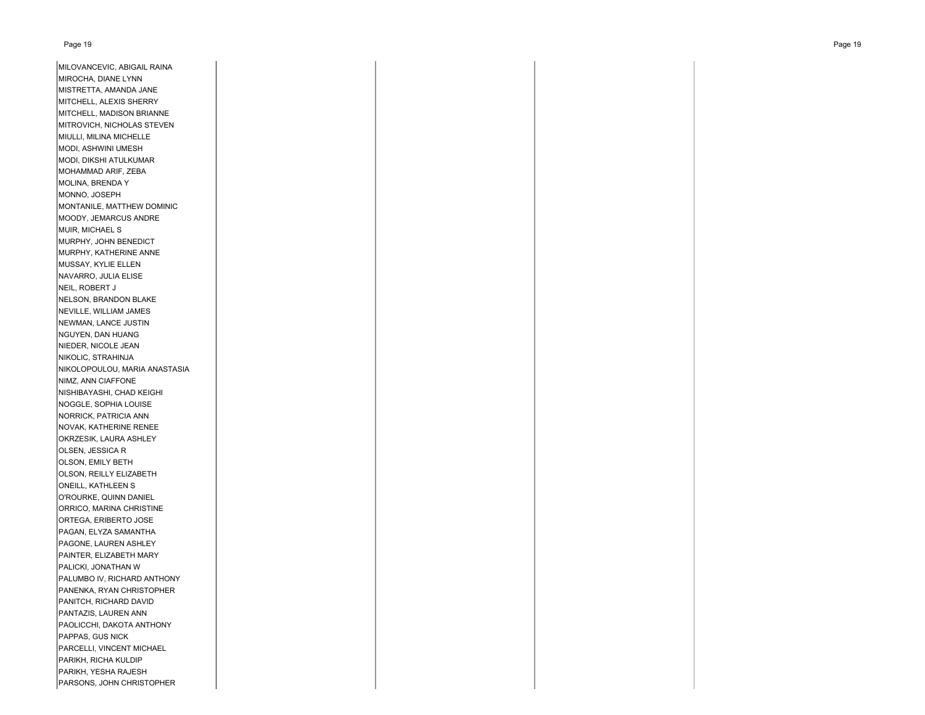| MILOVANCEVIC, ABIGAIL RAINA   |
|-------------------------------|
| MIROCHA, DIANE LYNN           |
| MISTRETTA, AMANDA JANE        |
| MITCHELL, ALEXIS SHERRY       |
| MITCHELL, MADISON BRIANNE     |
| MITROVICH, NICHOLAS STEVEN    |
| MIULLI, MILINA MICHELLE       |
| MODI, ASHWINI UMESH           |
| MODI, DIKSHI ATULKUMAR        |
| MOHAMMAD ARIF, ZEBA           |
| MOLINA, BRENDA Y              |
| MONNO, JOSEPH                 |
| MONTANILE, MATTHEW DOMINIC    |
| MOODY, JEMARCUS ANDRE         |
| MUIR, MICHAEL S               |
| MURPHY, JOHN BENEDICT         |
| MURPHY, KATHERINE ANNE        |
| MUSSAY, KYLIE ELLEN           |
| NAVARRO, JULIA ELISE          |
| NEIL, ROBERT J                |
| NELSON, BRANDON BLAKE         |
| NEVILLE, WILLIAM JAMES        |
| NEWMAN, LANCE JUSTIN          |
| NGUYEN, DAN HUANG             |
| NIEDER, NICOLE JEAN           |
| NIKOLIC, STRAHINJA            |
| NIKOLOPOULOU, MARIA ANASTASIA |
| NIMZ, ANN CIAFFONE            |
| NISHIBAYASHI, CHAD KEIGHI     |
| NOGGLE, SOPHIA LOUISE         |
| NORRICK, PATRICIA ANN         |
| NOVAK, KATHERINE RENEE        |
| OKRZESIK, LAURA ASHLEY        |
| OLSEN, JESSICA R              |
| OLSON, EMILY BETH             |
| OLSON, REILLY ELIZABETH       |
| ONEILL, KATHLEEN S            |
| O'ROURKE, QUINN DANIEL        |
| ORRICO, MARINA CHRISTINE      |
| ORTEGA, ERIBERTO JOSE         |
| PAGAN, ELYZA SAMANTHA         |
| PAGONE, LAUREN ASHLEY         |
| PAINTER, ELIZABETH MARY       |
| PALICKI, JONATHAN W           |
| PALUMBO IV, RICHARD ANTHONY   |
| PANENKA, RYAN CHRISTOPHER     |
| PANITCH, RICHARD DAVID        |
| PANTAZIS, LAUREN ANN          |
| PAOLICCHI, DAKOTA ANTHONY     |
| PAPPAS, GUS NICK              |
| PARCELLI, VINCENT MICHAEL     |
| PARIKH, RICHA KULDIP          |
| PARIKH, YESHA RAJESH          |

PARSONS, JOHN CHRISTOPHER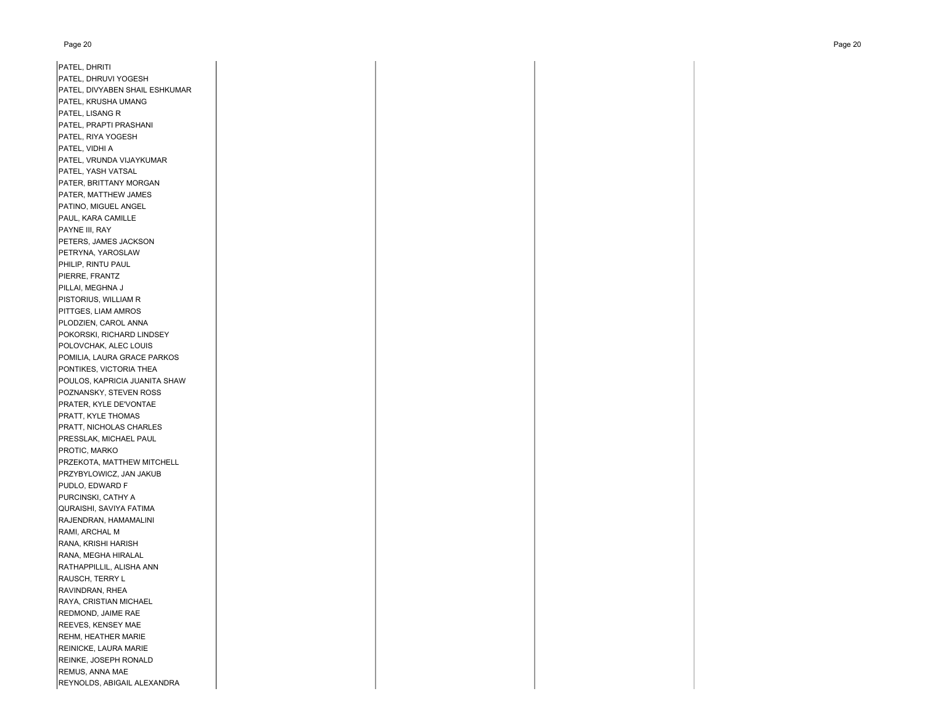| PATEL, DHRITI                  |
|--------------------------------|
| PATEL, DHRUVI YOGESH           |
| PATEL, DIVYABEN SHAIL ESHKUMAR |
| PATEL, KRUSHA UMANG            |
| PATEL, LISANG R                |
| PATEL, PRAPTI PRASHANI         |
| PATEL, RIYA YOGESH             |
| PATEL, VIDHI A                 |
| PATEL, VRUNDA VIJAYKUMAR       |
| PATEL, YASH VATSAL             |
| PATER, BRITTANY MORGAN         |
| PATER, MATTHEW JAMES           |
| PATINO, MIGUEL ANGEL           |
| PAUL, KARA CAMILLE             |
| PAYNE III, RAY                 |
|                                |
| PETERS, JAMES JACKSON          |
| PETRYNA, YAROSLAW              |
| PHILIP, RINTU PAUL             |
| PIERRE, FRANTZ                 |
| PILLAI, MEGHNA J               |
| PISTORIUS, WILLIAM R           |
| PITTGES, LIAM AMROS            |
| PLODZIEN, CAROL ANNA           |
| POKORSKI, RICHARD LINDSEY      |
| POLOVCHAK, ALEC LOUIS          |
| POMILIA, LAURA GRACE PARKOS    |
| PONTIKES, VICTORIA THEA        |
| POULOS, KAPRICIA JUANITA SHAW  |
| POZNANSKY, STEVEN ROSS         |
| PRATER, KYLE DE'VONTAE         |
| PRATT, KYLE THOMAS             |
| PRATT, NICHOLAS CHARLES        |
| PRESSLAK, MICHAEL PAUL         |
| PROTIC, MARKO                  |
| PRZEKOTA, MATTHEW MITCHELL     |
| PRZYBYLOWICZ, JAN JAKUB        |
| PUDLO, EDWARD F                |
| PURCINSKI, CATHY A             |
| QURAISHI, SAVIYA FATIMA        |
| RAJENDRAN, HAMAMALINI          |
| RAMI, ARCHAL M                 |
| RANA, KRISHI HARISH            |
| RANA, MEGHA HIRALAL            |
| RATHAPPILLIL, ALISHA ANN       |
| RAUSCH, TERRY L                |
| RAVINDRAN, RHEA                |
| RAYA, CRISTIAN MICHAEL         |
|                                |
| REDMOND, JAIME RAE             |
| REEVES, KENSEY MAE             |
| REHM, HEATHER MARIE            |
| REINICKE, LAURA MARIE          |
| REINKE, JOSEPH RONALD          |
| REMUS, ANNA MAE                |

REYNOLDS, ABIGAIL ALEXANDRA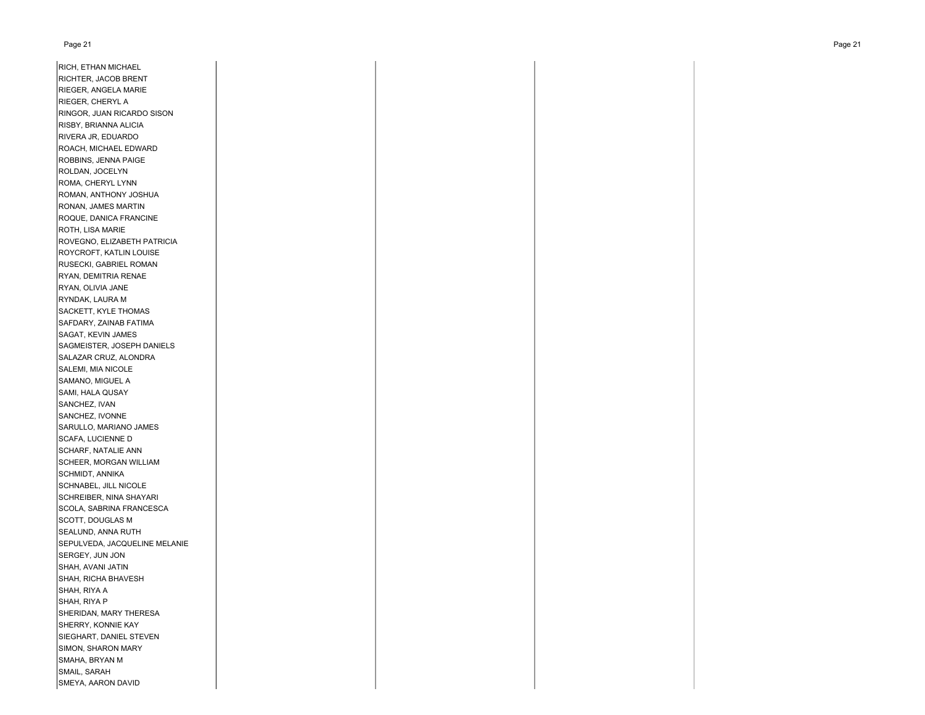#### Page 21 Page 21

RICH, ETHAN MICHAEL RICHTER, JACOB BRENT RIEGER, ANGELA MARIE RIEGER, CHERYL A RINGOR, JUAN RICARDO SISON RISBY, BRIANNA ALICIA RIVERA JR, EDUARDO ROACH, MICHAEL EDWARD ROBBINS, JENNA PAIGE ROLDAN, JOCELYN ROMA, CHERYL LYNN ROMAN, ANTHONY JOSHUA RONAN, JAMES MARTIN ROQUE, DANICA FRANCINE ROTH, LISA MARIE ROVEGNO, ELIZABETH PATRICIA ROYCROFT, KATLIN LOUISE RUSECKI, GABRIEL ROMAN RYAN, DEMITRIA RENAE RYAN, OLIVIA JANE RYNDAK, LAURA M SACKETT, KYLE THOMAS SAFDARY, ZAINAB FATIMA SAGAT, KEVIN JAMES SAGMEISTER, JOSEPH DANIELS SALAZAR CRUZ, ALONDRA SALEMI, MIA NICOLE SAMANO, MIGUEL A SAMI, HALA QUSAY SANCHEZ, IVAN SANCHEZ, IVONNE SARULLO, MARIANO JAMES SCAFA, LUCIENNE D SCHARF, NATALIE ANN SCHEER, MORGAN WILLIAM SCHMIDT, ANNIKA SCHNABEL, JILL NICOLE SCHREIBER, NINA SHAYARI SCOLA, SABRINA FRANCESCA SCOTT, DOUGLAS M SEALUND, ANNA RUTH SEPULVEDA, JACQUELINE MELANIE SERGEY, JUN JON SHAH, AVANI JATIN SHAH, RICHA BHAVESH SHAH, RIYA A SHAH, RIYA P SHERIDAN, MARY THERESA SHERRY, KONNIE KAY SIEGHART, DANIEL STEVEN SIMON, SHARON MARY SMAHA, BRYAN M SMAIL, SARAH SMEYA, AARON DAVID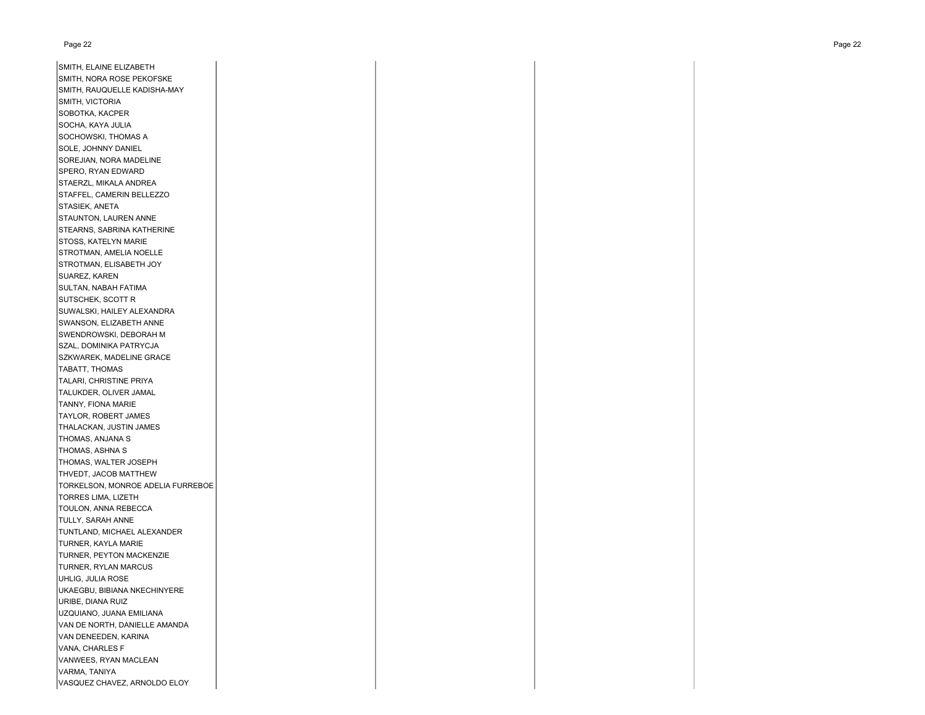#### Page 22 Page 22

SMITH, ELAINE ELIZABETH SMITH, NORA ROSE PEKOFSKE SMITH, RAUQUELLE KADISHA-MAY SMITH, VICTORIA SOBOTKA, KACPER SOCHA, KAYA JULIA SOCHOWSKI, THOMAS A SOLE, JOHNNY DANIEL SOREJIAN, NORA MADELINE SPERO, RYAN EDWARD STAERZL, MIKALA ANDREA STAFFEL, CAMERIN BELLEZZO STASIEK, ANETA STAUNTON, LAUREN ANNE STEARNS, SABRINA KATHERINE STOSS, KATELYN MARIE STROTMAN, AMELIA NOELLE STROTMAN, ELISABETH JOY SUAREZ, KAREN SULTAN, NABAH FATIMA SUTSCHEK, SCOTT R SUWALSKI, HAILEY ALEXANDRA SWANSON, ELIZABETH ANNE SWENDROWSKI, DEBORAH M SZAL, DOMINIKA PATRYCJA SZKWAREK, MADELINE GRACE TABATT, THOMAS TALARI, CHRISTINE PRIYA TALUKDER, OLIVER JAMAL TANNY, FIONA MARIE TAYLOR, ROBERT JAMES THALACKAN, JUSTIN JAMES THOMAS, ANJANA S THOMAS, ASHNA S THOMAS, WALTER JOSEPH THVEDT, JACOB MATTHEWTORKELSON, MONROE ADELIA FURREBOE TORRES LIMA, LIZETH TOULON, ANNA REBECCA TULLY, SARAH ANNE TUNTLAND, MICHAEL ALEXANDER TURNER, KAYLA MARIE TURNER, PEYTON MACKENZIE TURNER, RYLAN MARCUS UHLIG, JULIA ROSE UKAEGBU, BIBIANA NKECHINYERE URIBE, DIANA RUIZ UZQUIANO, JUANA EMILIANA VAN DE NORTH, DANIELLE AMANDA VAN DENEEDEN, KARINA VANA, CHARLES F VANWEES, RYAN MACLEAN VARMA, TANIYA VASQUEZ CHAVEZ, ARNOLDO ELOY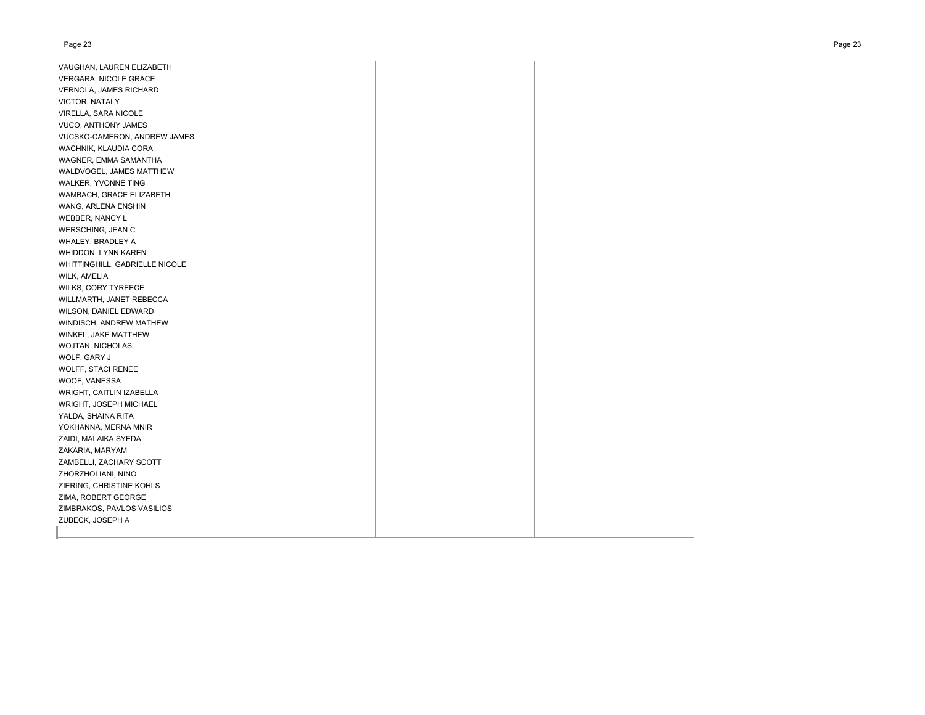#### Page 23 Page 23

| VAUGHAN, LAUREN ELIZABETH      |  |  |
|--------------------------------|--|--|
| VERGARA, NICOLE GRACE          |  |  |
| VERNOLA, JAMES RICHARD         |  |  |
| <b>VICTOR, NATALY</b>          |  |  |
| VIRELLA, SARA NICOLE           |  |  |
| VUCO, ANTHONY JAMES            |  |  |
| VUCSKO-CAMERON, ANDREW JAMES   |  |  |
| WACHNIK, KLAUDIA CORA          |  |  |
| WAGNER, EMMA SAMANTHA          |  |  |
| WALDVOGEL, JAMES MATTHEW       |  |  |
| <b>WALKER, YVONNE TING</b>     |  |  |
| WAMBACH, GRACE ELIZABETH       |  |  |
| WANG, ARLENA ENSHIN            |  |  |
| <b>WEBBER, NANCY L</b>         |  |  |
| <b>WERSCHING, JEAN C</b>       |  |  |
| WHALEY, BRADLEY A              |  |  |
| WHIDDON, LYNN KAREN            |  |  |
| WHITTINGHILL, GABRIELLE NICOLE |  |  |
| WILK, AMELIA                   |  |  |
| <b>WILKS, CORY TYREECE</b>     |  |  |
| WILLMARTH, JANET REBECCA       |  |  |
| <b>WILSON, DANIEL EDWARD</b>   |  |  |
| WINDISCH, ANDREW MATHEW        |  |  |
| WINKEL, JAKE MATTHEW           |  |  |
| <b>WOJTAN, NICHOLAS</b>        |  |  |
| WOLF, GARY J                   |  |  |
| <b>WOLFF, STACI RENEE</b>      |  |  |
| WOOF, VANESSA                  |  |  |
| WRIGHT, CAITLIN IZABELLA       |  |  |
| <b>WRIGHT, JOSEPH MICHAEL</b>  |  |  |
| YALDA, SHAINA RITA             |  |  |
| YOKHANNA, MERNA MNIR           |  |  |
| ZAIDI, MALAIKA SYEDA           |  |  |
| ZAKARIA, MARYAM                |  |  |
| ZAMBELLI, ZACHARY SCOTT        |  |  |
| ZHORZHOLIANI, NINO             |  |  |
| ZIERING, CHRISTINE KOHLS       |  |  |
| ZIMA, ROBERT GEORGE            |  |  |
| ZIMBRAKOS, PAVLOS VASILIOS     |  |  |
| ZUBECK, JOSEPH A               |  |  |
|                                |  |  |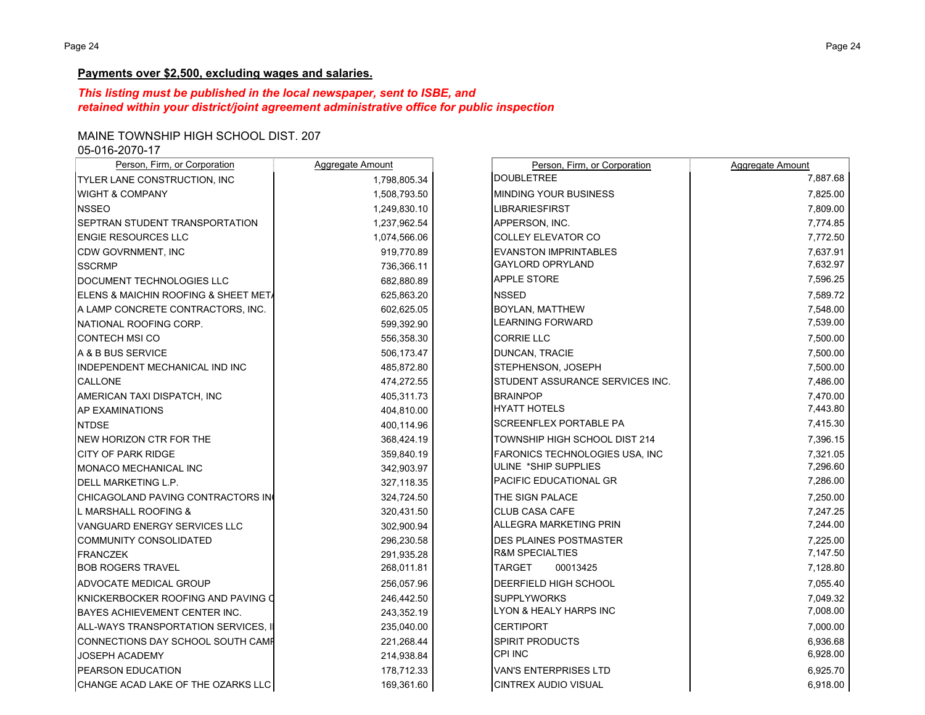## **Payments over \$2,500, excluding wages and salaries.**

# *This listing must be published in the local newspaper, sent to ISBE, and retained within your district/joint agreement administrative office for public inspection*

# MAINE TOWNSHIP HIGH SCHOOL DIST. 207

05-016-2070-17

| Person, Firm, or Corporation         | Aggregate Amount | Person, Firm, or Corporation    | Aggregate Amount |
|--------------------------------------|------------------|---------------------------------|------------------|
| TYLER LANE CONSTRUCTION, INC         | 1,798,805.34     | <b>DOUBLETREE</b>               | 7,887.68         |
| <b>WIGHT &amp; COMPANY</b>           | 1,508,793.50     | MINDING YOUR BUSINESS           | 7,825.00         |
| <b>NSSEO</b>                         | 1,249,830.10     | <b>LIBRARIESFIRST</b>           | 7,809.00         |
| SEPTRAN STUDENT TRANSPORTATION       | 1,237,962.54     | APPERSON, INC.                  | 7,774.85         |
| <b>ENGIE RESOURCES LLC</b>           | 1,074,566.06     | COLLEY ELEVATOR CO              | 7,772.50         |
| CDW GOVRNMENT, INC                   | 919,770.89       | <b>EVANSTON IMPRINTABLES</b>    | 7,637.91         |
| <b>SSCRMP</b>                        | 736,366.11       | <b>GAYLORD OPRYLAND</b>         | 7,632.97         |
| DOCUMENT TECHNOLOGIES LLC            | 682,880.89       | APPLE STORE                     | 7,596.25         |
| ELENS & MAICHIN ROOFING & SHEET MET/ | 625,863.20       | <b>NSSED</b>                    | 7,589.72         |
| A LAMP CONCRETE CONTRACTORS, INC.    | 602,625.05       | BOYLAN, MATTHEW                 | 7,548.00         |
| NATIONAL ROOFING CORP.               | 599,392.90       | LEARNING FORWARD                | 7,539.00         |
| <b>CONTECH MSI CO</b>                | 556,358.30       | <b>CORRIE LLC</b>               | 7,500.00         |
| A & B BUS SERVICE                    | 506,173.47       | DUNCAN, TRACIE                  | 7,500.00         |
| INDEPENDENT MECHANICAL IND INC       | 485,872.80       | STEPHENSON, JOSEPH              | 7,500.00         |
| <b>CALLONE</b>                       | 474,272.55       | STUDENT ASSURANCE SERVICES INC. | 7,486.00         |
| AMERICAN TAXI DISPATCH, INC          | 405,311.73       | <b>BRAINPOP</b>                 | 7,470.00         |
| <b>AP EXAMINATIONS</b>               | 404,810.00       | <b>HYATT HOTELS</b>             | 7,443.80         |
| <b>NTDSE</b>                         | 400,114.96       | SCREENFLEX PORTABLE PA          | 7,415.30         |
| <b>NEW HORIZON CTR FOR THE</b>       | 368,424.19       | TOWNSHIP HIGH SCHOOL DIST 214   | 7,396.15         |
| <b>CITY OF PARK RIDGE</b>            | 359,840.19       | FARONICS TECHNOLOGIES USA, INC  | 7,321.05         |
| MONACO MECHANICAL INC                | 342,903.97       | ULINE *SHIP SUPPLIES            | 7,296.60         |
| DELL MARKETING L.P.                  | 327,118.35       | PACIFIC EDUCATIONAL GR          | 7,286.00         |
| CHICAGOLAND PAVING CONTRACTORS IN    | 324,724.50       | THE SIGN PALACE                 | 7,250.00         |
| L MARSHALL ROOFING &                 | 320,431.50       | CLUB CASA CAFE                  | 7,247.25         |
| VANGUARD ENERGY SERVICES LLC         | 302,900.94       | ALLEGRA MARKETING PRIN          | 7,244.00         |
| <b>COMMUNITY CONSOLIDATED</b>        | 296.230.58       | <b>DES PLAINES POSTMASTER</b>   | 7.225.00         |
| <b>FRANCZEK</b>                      | 291,935.28       | <b>R&amp;M SPECIALTIES</b>      | 7,147.50         |
| <b>BOB ROGERS TRAVEL</b>             | 268,011.81       | <b>TARGET</b><br>00013425       | 7,128.80         |
| ADVOCATE MEDICAL GROUP               | 256,057.96       | DEERFIELD HIGH SCHOOL           | 7,055.40         |
| KNICKERBOCKER ROOFING AND PAVING O   | 246,442.50       | <b>SUPPLYWORKS</b>              | 7,049.32         |
| BAYES ACHIEVEMENT CENTER INC.        | 243,352.19       | LYON & HEALY HARPS INC          | 7,008.00         |
| ALL-WAYS TRANSPORTATION SERVICES, II | 235,040.00       | <b>CERTIPORT</b>                | 7,000.00         |
| CONNECTIONS DAY SCHOOL SOUTH CAME    | 221,268.44       | SPIRIT PRODUCTS                 | 6,936.68         |
| JOSEPH ACADEMY                       | 214,938.84       | CPI INC                         | 6,928.00         |
| PEARSON EDUCATION                    | 178,712.33       | <b>VAN'S ENTERPRISES LTD</b>    | 6,925.70         |
| CHANGE ACAD LAKE OF THE OZARKS LLC   | 169,361.60       | <b>CINTREX AUDIO VISUAL</b>     | 6,918.00         |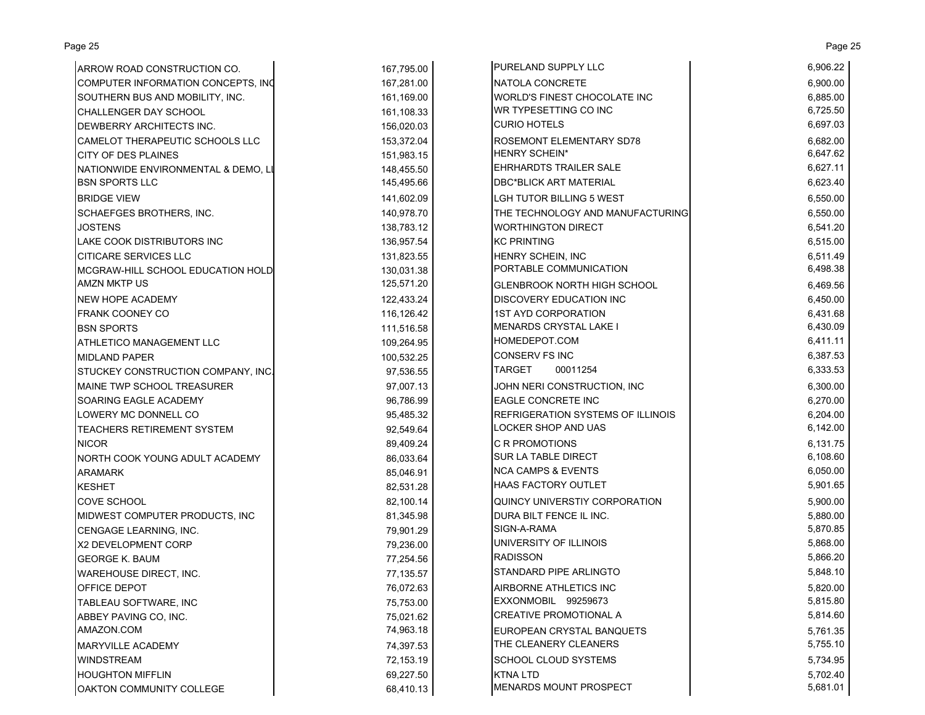| ARROW ROAD CONSTRUCTION CO.         | 167,795.00 | PURELAND SUPPLY LLC                      | 6,906.22 |
|-------------------------------------|------------|------------------------------------------|----------|
| COMPUTER INFORMATION CONCEPTS, INC  | 167,281.00 | NATOLA CONCRETE                          | 6,900.00 |
| SOUTHERN BUS AND MOBILITY, INC.     | 161,169.00 | WORLD'S FINEST CHOCOLATE INC             | 6,885.00 |
| CHALLENGER DAY SCHOOL               | 161,108.33 | WR TYPESETTING CO INC                    | 6,725.50 |
| DEWBERRY ARCHITECTS INC.            | 156,020.03 | <b>CURIO HOTELS</b>                      | 6,697.03 |
| CAMELOT THERAPEUTIC SCHOOLS LLC     | 153,372.04 | ROSEMONT ELEMENTARY SD78                 | 6,682.00 |
| <b>CITY OF DES PLAINES</b>          | 151,983.15 | HENRY SCHEIN*                            | 6,647.62 |
| NATIONWIDE ENVIRONMENTAL & DEMO, LI | 148,455.50 | <b>EHRHARDTS TRAILER SALE</b>            | 6,627.11 |
| <b>BSN SPORTS LLC</b>               | 145,495.66 | <b>DBC*BLICK ART MATERIAL</b>            | 6,623.40 |
| <b>BRIDGE VIEW</b>                  | 141,602.09 | <b>LGH TUTOR BILLING 5 WEST</b>          | 6,550.00 |
| <b>SCHAEFGES BROTHERS, INC.</b>     | 140,978.70 | THE TECHNOLOGY AND MANUFACTURING         | 6,550.00 |
| JOSTENS                             | 138,783.12 | <b>WORTHINGTON DIRECT</b>                | 6,541.20 |
| LAKE COOK DISTRIBUTORS INC          | 136,957.54 | <b>KC PRINTING</b>                       | 6,515.00 |
| <b>CITICARE SERVICES LLC</b>        | 131,823.55 | HENRY SCHEIN, INC                        | 6,511.49 |
| MCGRAW-HILL SCHOOL EDUCATION HOLD   | 130,031.38 | PORTABLE COMMUNICATION                   | 6,498.38 |
| <b>AMZN MKTP US</b>                 | 125,571.20 | <b>GLENBROOK NORTH HIGH SCHOOL</b>       | 6,469.56 |
| NEW HOPE ACADEMY                    | 122,433.24 | <b>DISCOVERY EDUCATION INC</b>           | 6,450.00 |
| FRANK COONEY CO                     | 116,126.42 | <b>1ST AYD CORPORATION</b>               | 6,431.68 |
| <b>BSN SPORTS</b>                   | 111,516.58 | MENARDS CRYSTAL LAKE I                   | 6,430.09 |
| ATHLETICO MANAGEMENT LLC            | 109,264.95 | HOMEDEPOT.COM                            | 6,411.11 |
| <b>MIDLAND PAPER</b>                | 100,532.25 | CONSERV FS INC                           | 6,387.53 |
| STUCKEY CONSTRUCTION COMPANY, INC.  | 97,536.55  | <b>TARGET</b><br>00011254                | 6,333.53 |
| MAINE TWP SCHOOL TREASURER          | 97,007.13  | JOHN NERI CONSTRUCTION, INC              | 6,300.00 |
| SOARING EAGLE ACADEMY               | 96,786.99  | EAGLE CONCRETE INC                       | 6,270.00 |
| LOWERY MC DONNELL CO                | 95,485.32  | <b>REFRIGERATION SYSTEMS OF ILLINOIS</b> | 6,204.00 |
| TEACHERS RETIREMENT SYSTEM          | 92,549.64  | <b>LOCKER SHOP AND UAS</b>               | 6,142.00 |
| <b>NICOR</b>                        | 89,409.24  | <b>C R PROMOTIONS</b>                    | 6,131.75 |
| NORTH COOK YOUNG ADULT ACADEMY      | 86,033.64  | SUR LA TABLE DIRECT                      | 6,108.60 |
| <b>ARAMARK</b>                      | 85,046.91  | <b>NCA CAMPS &amp; EVENTS</b>            | 6,050.00 |
| <b>KESHET</b>                       | 82,531.28  | <b>HAAS FACTORY OUTLET</b>               | 5,901.65 |
| <b>COVE SCHOOL</b>                  | 82,100.14  | QUINCY UNIVERSTIY CORPORATION            | 5,900.00 |
| MIDWEST COMPUTER PRODUCTS, INC      | 81,345.98  | DURA BILT FENCE IL INC.                  | 5,880.00 |
| CENGAGE LEARNING, INC.              | 79,901.29  | SIGN-A-RAMA                              | 5,870.85 |
| X2 DEVELOPMENT CORP                 | 79,236.00  | UNIVERSITY OF ILLINOIS                   | 5,868.00 |
| <b>GEORGE K. BAUM</b>               | 77,254.56  | <b>RADISSON</b>                          | 5,866.20 |
| <b>WAREHOUSE DIRECT, INC.</b>       | 77,135.57  | STANDARD PIPE ARLINGTO                   | 5,848.10 |
| OFFICE DEPOT                        | 76,072.63  | AIRBORNE ATHLETICS INC                   | 5,820.00 |
| TABLEAU SOFTWARE, INC               | 75,753.00  | EXXONMOBIL 99259673                      | 5,815.80 |
| ABBEY PAVING CO, INC.               | 75,021.62  | <b>CREATIVE PROMOTIONAL A</b>            | 5,814.60 |
| AMAZON.COM                          | 74,963.18  | EUROPEAN CRYSTAL BANQUETS                | 5,761.35 |
| <b>MARYVILLE ACADEMY</b>            | 74,397.53  | THE CLEANERY CLEANERS                    | 5,755.10 |
| WINDSTREAM                          | 72,153.19  | <b>SCHOOL CLOUD SYSTEMS</b>              | 5,734.95 |
| <b>HOUGHTON MIFFLIN</b>             | 69,227.50  | <b>KTNA LTD</b>                          | 5,702.40 |
| OAKTON COMMUNITY COLLEGE            | 68,410.13  | MENARDS MOUNT PROSPECT                   | 5,681.01 |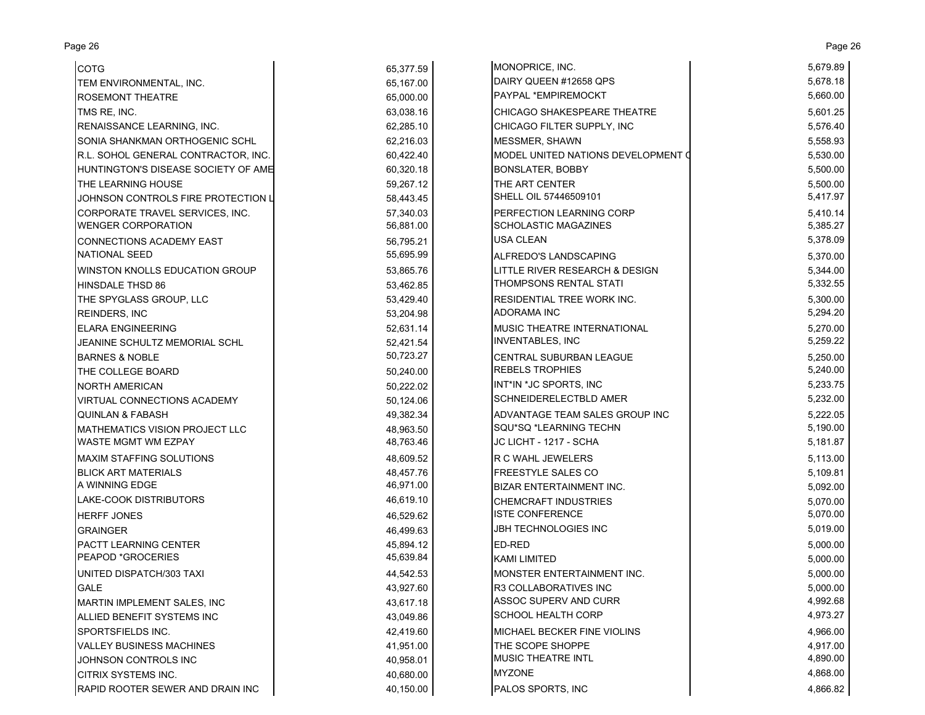| <b>COTG</b>                           | 65,377.59 | MONOPRICE, INC.                    | 5,679.89 |
|---------------------------------------|-----------|------------------------------------|----------|
| TEM ENVIRONMENTAL, INC.               | 65,167.00 | DAIRY QUEEN #12658 QPS             | 5,678.18 |
| <b>ROSEMONT THEATRE</b>               | 65,000.00 | <b>PAYPAL *EMPIREMOCKT</b>         | 5,660.00 |
| TMS RE, INC.                          | 63,038.16 | CHICAGO SHAKESPEARE THEATRE        | 5,601.25 |
| RENAISSANCE LEARNING, INC.            | 62,285.10 | CHICAGO FILTER SUPPLY, INC         | 5,576.40 |
| SONIA SHANKMAN ORTHOGENIC SCHL        | 62,216.03 | <b>MESSMER, SHAWN</b>              | 5,558.93 |
| R.L. SOHOL GENERAL CONTRACTOR, INC.   | 60,422.40 | MODEL UNITED NATIONS DEVELOPMENT O | 5,530.00 |
| HUNTINGTON'S DISEASE SOCIETY OF AME   | 60,320.18 | <b>BONSLATER, BOBBY</b>            | 5,500.00 |
| THE LEARNING HOUSE                    | 59,267.12 | THE ART CENTER                     | 5,500.00 |
| JOHNSON CONTROLS FIRE PROTECTION L    | 58,443.45 | SHELL OIL 57446509101              | 5,417.97 |
| CORPORATE TRAVEL SERVICES, INC.       | 57,340.03 | PERFECTION LEARNING CORP           | 5,410.14 |
| <b>WENGER CORPORATION</b>             | 56,881.00 | <b>SCHOLASTIC MAGAZINES</b>        | 5,385.27 |
| CONNECTIONS ACADEMY EAST              | 56,795.21 | <b>USA CLEAN</b>                   | 5,378.09 |
| NATIONAL SEED                         | 55,695.99 | ALFREDO'S LANDSCAPING              | 5,370.00 |
| WINSTON KNOLLS EDUCATION GROUP        | 53,865.76 | LITTLE RIVER RESEARCH & DESIGN     | 5,344.00 |
| <b>HINSDALE THSD 86</b>               | 53,462.85 | THOMPSONS RENTAL STATI             | 5,332.55 |
| THE SPYGLASS GROUP, LLC               | 53,429.40 | RESIDENTIAL TREE WORK INC.         | 5,300.00 |
| <b>REINDERS, INC</b>                  | 53,204.98 | <b>ADORAMA INC</b>                 | 5,294.20 |
| <b>ELARA ENGINEERING</b>              | 52,631.14 | <b>MUSIC THEATRE INTERNATIONAL</b> | 5,270.00 |
| JEANINE SCHULTZ MEMORIAL SCHL         | 52,421.54 | <b>INVENTABLES, INC</b>            | 5,259.22 |
| <b>BARNES &amp; NOBLE</b>             | 50,723.27 | CENTRAL SUBURBAN LEAGUE            | 5,250.00 |
| THE COLLEGE BOARD                     | 50,240.00 | <b>REBELS TROPHIES</b>             | 5,240.00 |
| <b>NORTH AMERICAN</b>                 | 50,222.02 | INT*IN *JC SPORTS, INC             | 5,233.75 |
| VIRTUAL CONNECTIONS ACADEMY           | 50,124.06 | <b>SCHNEIDERELECTBLD AMER</b>      | 5,232.00 |
| <b>QUINLAN &amp; FABASH</b>           | 49,382.34 | ADVANTAGE TEAM SALES GROUP INC     | 5,222.05 |
| <b>MATHEMATICS VISION PROJECT LLC</b> | 48,963.50 | SQU*SQ *LEARNING TECHN             | 5,190.00 |
| WASTE MGMT WM EZPAY                   | 48,763.46 | JC LICHT - 1217 - SCHA             | 5,181.87 |
| <b>MAXIM STAFFING SOLUTIONS</b>       | 48,609.52 | R C WAHL JEWELERS                  | 5,113.00 |
| <b>BLICK ART MATERIALS</b>            | 48,457.76 | <b>FREESTYLE SALES CO</b>          | 5,109.81 |
| A WINNING EDGE                        | 46,971.00 | <b>BIZAR ENTERTAINMENT INC.</b>    | 5,092.00 |
| LAKE-COOK DISTRIBUTORS                | 46,619.10 | <b>CHEMCRAFT INDUSTRIES</b>        | 5,070.00 |
| <b>HERFF JONES</b>                    | 46,529.62 | <b>ISTE CONFERENCE</b>             | 5,070.00 |
| <b>GRAINGER</b>                       | 46,499.63 | <b>JBH TECHNOLOGIES INC</b>        | 5,019.00 |
| PACTT LEARNING CENTER                 | 45,894.12 | <b>ED-RED</b>                      | 5,000.00 |
| PEAPOD *GROCERIES                     | 45,639.84 | <b>KAMI LIMITED</b>                | 5,000.00 |
| UNITED DISPATCH/303 TAXI              | 44,542.53 | MONSTER ENTERTAINMENT INC.         | 5,000.00 |
| <b>GALE</b>                           | 43,927.60 | R3 COLLABORATIVES INC              | 5,000.00 |
| MARTIN IMPLEMENT SALES, INC           | 43,617.18 | ASSOC SUPERV AND CURR              | 4,992.68 |
| ALLIED BENEFIT SYSTEMS INC            | 43,049.86 | <b>SCHOOL HEALTH CORP</b>          | 4,973.27 |
| SPORTSFIELDS INC.                     | 42,419.60 | MICHAEL BECKER FINE VIOLINS        | 4,966.00 |
| <b>VALLEY BUSINESS MACHINES</b>       | 41,951.00 | THE SCOPE SHOPPE                   | 4,917.00 |
| JOHNSON CONTROLS INC                  | 40,958.01 | <b>MUSIC THEATRE INTL</b>          | 4,890.00 |
| CITRIX SYSTEMS INC.                   | 40,680.00 | <b>MYZONE</b>                      | 4,868.00 |
| RAPID ROOTER SEWER AND DRAIN INC      | 40,150.00 | PALOS SPORTS, INC                  | 4,866.82 |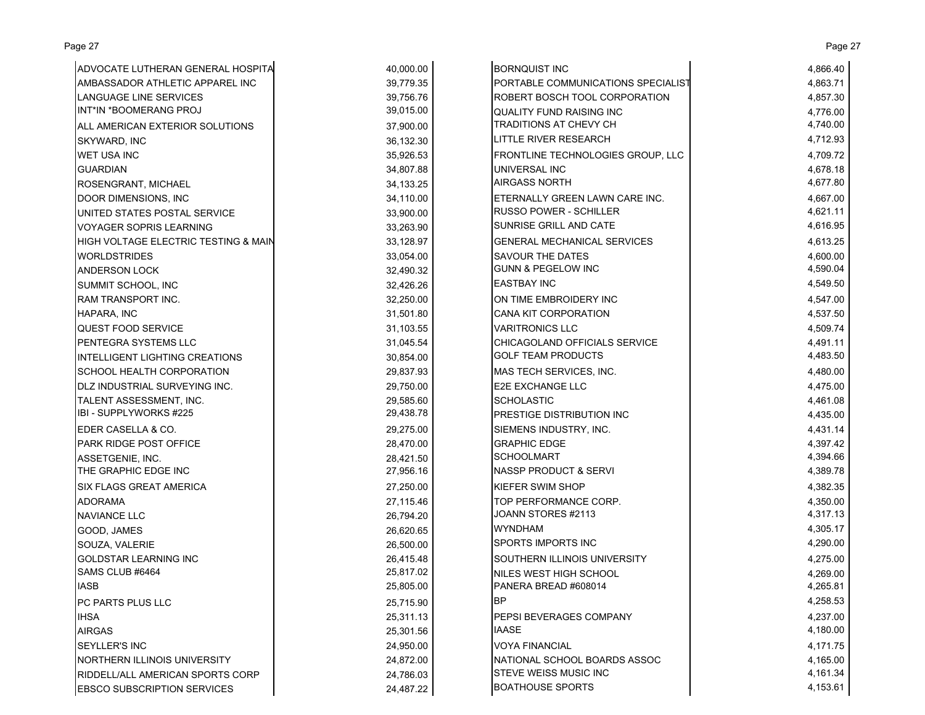| ADVOCATE LUTHERAN GENERAL HOSPITA    | 40,000.00   | <b>BORNQUIST INC</b>                 | 4,866.40 |
|--------------------------------------|-------------|--------------------------------------|----------|
| AMBASSADOR ATHLETIC APPAREL INC      | 39,779.35   | PORTABLE COMMUNICATIONS SPECIALIST   | 4,863.71 |
| LANGUAGE LINE SERVICES               | 39,756.76   | <b>ROBERT BOSCH TOOL CORPORATION</b> | 4,857.30 |
| INT*IN *BOOMERANG PROJ               | 39,015.00   | <b>QUALITY FUND RAISING INC</b>      | 4,776.00 |
| ALL AMERICAN EXTERIOR SOLUTIONS      | 37,900.00   | TRADITIONS AT CHEVY CH               | 4,740.00 |
| SKYWARD, INC                         | 36,132.30   | <b>LITTLE RIVER RESEARCH</b>         | 4,712.93 |
| <b>WET USA INC</b>                   | 35,926.53   | FRONTLINE TECHNOLOGIES GROUP, LLC    | 4,709.72 |
| <b>GUARDIAN</b>                      | 34,807.88   | <b>UNIVERSAL INC</b>                 | 4,678.18 |
| ROSENGRANT, MICHAEL                  | 34, 133. 25 | <b>AIRGASS NORTH</b>                 | 4,677.80 |
| DOOR DIMENSIONS, INC                 | 34,110.00   | ETERNALLY GREEN LAWN CARE INC.       | 4,667.00 |
| UNITED STATES POSTAL SERVICE         | 33,900.00   | <b>RUSSO POWER - SCHILLER</b>        | 4,621.11 |
| <b>VOYAGER SOPRIS LEARNING</b>       | 33,263.90   | <b>SUNRISE GRILL AND CATE</b>        | 4,616.95 |
| HIGH VOLTAGE ELECTRIC TESTING & MAIN | 33,128.97   | <b>GENERAL MECHANICAL SERVICES</b>   | 4,613.25 |
| <b>WORLDSTRIDES</b>                  | 33,054.00   | <b>SAVOUR THE DATES</b>              | 4,600.00 |
| <b>ANDERSON LOCK</b>                 | 32,490.32   | <b>GUNN &amp; PEGELOW INC</b>        | 4,590.04 |
| SUMMIT SCHOOL, INC                   | 32,426.26   | <b>EASTBAY INC</b>                   | 4,549.50 |
| RAM TRANSPORT INC.                   | 32,250.00   | ON TIME EMBROIDERY INC               | 4,547.00 |
| HAPARA, INC                          | 31,501.80   | <b>CANA KIT CORPORATION</b>          | 4,537.50 |
| <b>QUEST FOOD SERVICE</b>            | 31,103.55   | <b>VARITRONICS LLC</b>               | 4,509.74 |
| PENTEGRA SYSTEMS LLC                 | 31,045.54   | CHICAGOLAND OFFICIALS SERVICE        | 4,491.11 |
| INTELLIGENT LIGHTING CREATIONS       | 30,854.00   | <b>GOLF TEAM PRODUCTS</b>            | 4,483.50 |
| SCHOOL HEALTH CORPORATION            | 29,837.93   | MAS TECH SERVICES, INC.              | 4,480.00 |
| DLZ INDUSTRIAL SURVEYING INC.        | 29,750.00   | <b>E2E EXCHANGE LLC</b>              | 4,475.00 |
| TALENT ASSESSMENT, INC.              | 29,585.60   | <b>SCHOLASTIC</b>                    | 4,461.08 |
| IBI - SUPPLYWORKS #225               | 29,438.78   | <b>PRESTIGE DISTRIBUTION INC</b>     | 4,435.00 |
| EDER CASELLA & CO.                   | 29,275.00   | SIEMENS INDUSTRY, INC.               | 4,431.14 |
| <b>PARK RIDGE POST OFFICE</b>        | 28,470.00   | <b>GRAPHIC EDGE</b>                  | 4,397.42 |
| ASSETGENIE, INC.                     | 28,421.50   | <b>SCHOOLMART</b>                    | 4,394.66 |
| THE GRAPHIC EDGE INC                 | 27,956.16   | <b>NASSP PRODUCT &amp; SERVI</b>     | 4,389.78 |
| <b>SIX FLAGS GREAT AMERICA</b>       | 27,250.00   | <b>KIEFER SWIM SHOP</b>              | 4,382.35 |
| <b>ADORAMA</b>                       | 27,115.46   | TOP PERFORMANCE CORP.                | 4,350.00 |
| <b>NAVIANCE LLC</b>                  | 26,794.20   | JOANN STORES #2113                   | 4,317.13 |
| GOOD, JAMES                          | 26,620.65   | <b>WYNDHAM</b>                       | 4,305.17 |
| SOUZA, VALERIE                       | 26,500.00   | SPORTS IMPORTS INC                   | 4,290.00 |
| <b>GOLDSTAR LEARNING INC</b>         | 26,415.48   | SOUTHERN ILLINOIS UNIVERSITY         | 4,275.00 |
| SAMS CLUB #6464                      | 25,817.02   | NILES WEST HIGH SCHOOL               | 4,269.00 |
| <b>IASB</b>                          | 25,805.00   | PANERA BREAD #608014                 | 4,265.81 |
| PC PARTS PLUS LLC                    | 25,715.90   | <b>BP</b>                            | 4,258.53 |
| <b>IHSA</b>                          | 25,311.13   | <b>PEPSI BEVERAGES COMPANY</b>       | 4,237.00 |
| <b>AIRGAS</b>                        | 25,301.56   | <b>IAASE</b>                         | 4,180.00 |
| <b>SEYLLER'S INC</b>                 | 24,950.00   | <b>VOYA FINANCIAL</b>                | 4,171.75 |
| NORTHERN ILLINOIS UNIVERSITY         | 24,872.00   | NATIONAL SCHOOL BOARDS ASSOC         | 4,165.00 |
| RIDDELL/ALL AMERICAN SPORTS CORP     | 24,786.03   | <b>STEVE WEISS MUSIC INC</b>         | 4,161.34 |
| <b>EBSCO SUBSCRIPTION SERVICES</b>   | 24,487.22   | <b>BOATHOUSE SPORTS</b>              | 4,153.61 |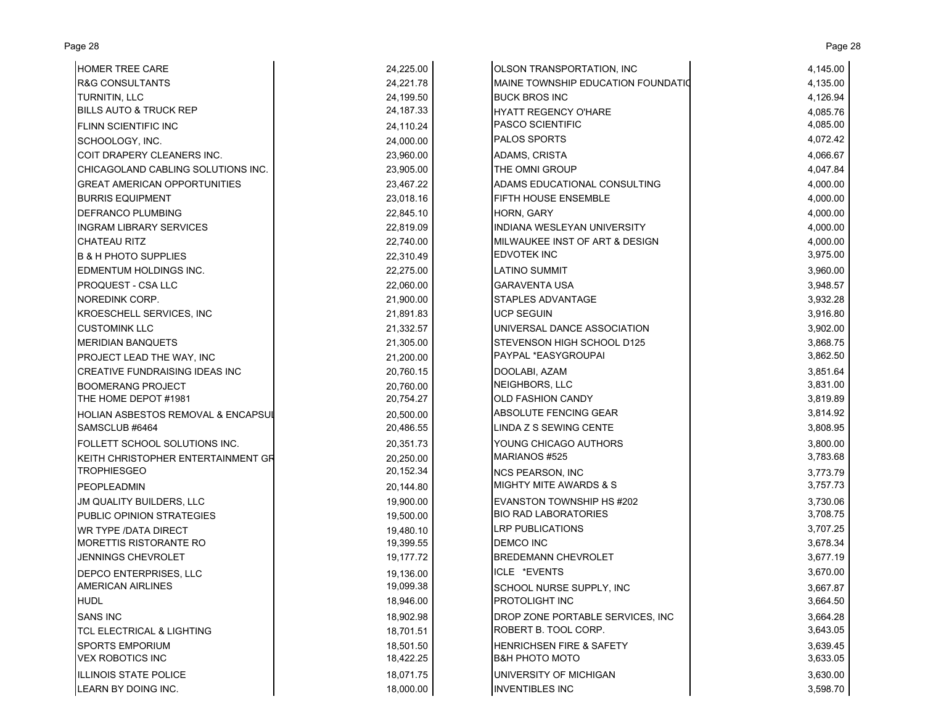| <b>HOMER TREE CARE</b>                | 24,225.00   | OLSON TRANSPORTATION, INC           | 4,145.00 |
|---------------------------------------|-------------|-------------------------------------|----------|
| <b>R&amp;G CONSULTANTS</b>            | 24,221.78   | MAINE TOWNSHIP EDUCATION FOUNDATIO  | 4,135.00 |
| TURNITIN, LLC                         | 24.199.50   | <b>BUCK BROS INC</b>                | 4,126.94 |
| <b>BILLS AUTO &amp; TRUCK REP</b>     | 24, 187. 33 | <b>HYATT REGENCY O'HARE</b>         | 4,085.76 |
| FLINN SCIENTIFIC INC                  | 24,110.24   | <b>PASCO SCIENTIFIC</b>             | 4,085.00 |
| SCHOOLOGY, INC.                       | 24,000.00   | <b>PALOS SPORTS</b>                 | 4,072.42 |
| COIT DRAPERY CLEANERS INC.            | 23,960.00   | ADAMS, CRISTA                       | 4,066.67 |
| CHICAGOLAND CABLING SOLUTIONS INC.    | 23,905.00   | THE OMNI GROUP                      | 4,047.84 |
| <b>GREAT AMERICAN OPPORTUNITIES</b>   | 23,467.22   | ADAMS EDUCATIONAL CONSULTING        | 4,000.00 |
| <b>BURRIS EQUIPMENT</b>               | 23,018.16   | FIFTH HOUSE ENSEMBLE                | 4,000.00 |
| DEFRANCO PLUMBING                     | 22,845.10   | HORN, GARY                          | 4,000.00 |
| <b>INGRAM LIBRARY SERVICES</b>        | 22,819.09   | INDIANA WESLEYAN UNIVERSITY         | 4,000.00 |
| <b>CHATEAU RITZ</b>                   | 22,740.00   | MILWAUKEE INST OF ART & DESIGN      | 4,000.00 |
| <b>B &amp; H PHOTO SUPPLIES</b>       | 22,310.49   | <b>EDVOTEK INC</b>                  | 3,975.00 |
| EDMENTUM HOLDINGS INC.                | 22,275.00   | LATINO SUMMIT                       | 3,960.00 |
| PROQUEST - CSA LLC                    | 22,060.00   | GARAVENTA USA                       | 3,948.57 |
| NOREDINK CORP.                        | 21,900.00   | STAPLES ADVANTAGE                   | 3,932.28 |
| <b>KROESCHELL SERVICES, INC</b>       | 21,891.83   | <b>UCP SEGUIN</b>                   | 3,916.80 |
| <b>CUSTOMINK LLC</b>                  | 21,332.57   | UNIVERSAL DANCE ASSOCIATION         | 3,902.00 |
| <b>MERIDIAN BANQUETS</b>              | 21,305.00   | STEVENSON HIGH SCHOOL D125          | 3,868.75 |
| PROJECT LEAD THE WAY, INC             | 21,200.00   | PAYPAL *EASYGROUPAI                 | 3,862.50 |
| <b>CREATIVE FUNDRAISING IDEAS INC</b> | 20,760.15   | DOOLABI, AZAM                       | 3,851.64 |
| <b>BOOMERANG PROJECT</b>              | 20,760.00   | NEIGHBORS, LLC                      | 3,831.00 |
| THE HOME DEPOT #1981                  | 20,754.27   | <b>OLD FASHION CANDY</b>            | 3,819.89 |
| HOLIAN ASBESTOS REMOVAL & ENCAPSUI    | 20,500.00   | ABSOLUTE FENCING GEAR               | 3,814.92 |
| SAMSCLUB #6464                        | 20,486.55   | LINDA Z S SEWING CENTE              | 3,808.95 |
| FOLLETT SCHOOL SOLUTIONS INC.         | 20,351.73   | YOUNG CHICAGO AUTHORS               | 3,800.00 |
| KEITH CHRISTOPHER ENTERTAINMENT GR    | 20,250.00   | MARIANOS #525                       | 3,783.68 |
| <b>TROPHIESGEO</b>                    | 20,152.34   | <b>NCS PEARSON, INC</b>             | 3,773.79 |
| <b>PEOPLEADMIN</b>                    | 20,144.80   | <b>MIGHTY MITE AWARDS &amp; S</b>   | 3,757.73 |
| JM QUALITY BUILDERS, LLC              | 19,900.00   | EVANSTON TOWNSHIP HS #202           | 3,730.06 |
| PUBLIC OPINION STRATEGIES             | 19,500.00   | <b>BIO RAD LABORATORIES</b>         | 3,708.75 |
| <b>WR TYPE /DATA DIRECT</b>           | 19,480.10   | <b>LRP PUBLICATIONS</b>             | 3,707.25 |
| <b>MORETTIS RISTORANTE RO</b>         | 19,399.55   | <b>DEMCO INC</b>                    | 3,678.34 |
| JENNINGS CHEVROLET                    | 19,177.72   | <b>BREDEMANN CHEVROLET</b>          | 3,677.19 |
| DEPCO ENTERPRISES, LLC                | 19,136.00   | ICLE *EVENTS                        | 3,670.00 |
| <b>AMERICAN AIRLINES</b>              | 19,099.38   | SCHOOL NURSE SUPPLY, INC            | 3,667.87 |
| <b>HUDL</b>                           | 18,946.00   | PROTOLIGHT INC                      | 3,664.50 |
| <b>SANS INC</b>                       | 18,902.98   | DROP ZONE PORTABLE SERVICES, INC    | 3,664.28 |
| TCL ELECTRICAL & LIGHTING             | 18,701.51   | ROBERT B. TOOL CORP.                | 3,643.05 |
| <b>SPORTS EMPORIUM</b>                | 18.501.50   | <b>HENRICHSEN FIRE &amp; SAFETY</b> | 3,639.45 |
| <b>VEX ROBOTICS INC</b>               | 18,422.25   | <b>B&amp;H PHOTO MOTO</b>           | 3,633.05 |
| ILLINOIS STATE POLICE                 | 18,071.75   | UNIVERSITY OF MICHIGAN              | 3,630.00 |
| LEARN BY DOING INC.                   | 18,000.00   | <b>INVENTIBLES INC</b>              | 3,598.70 |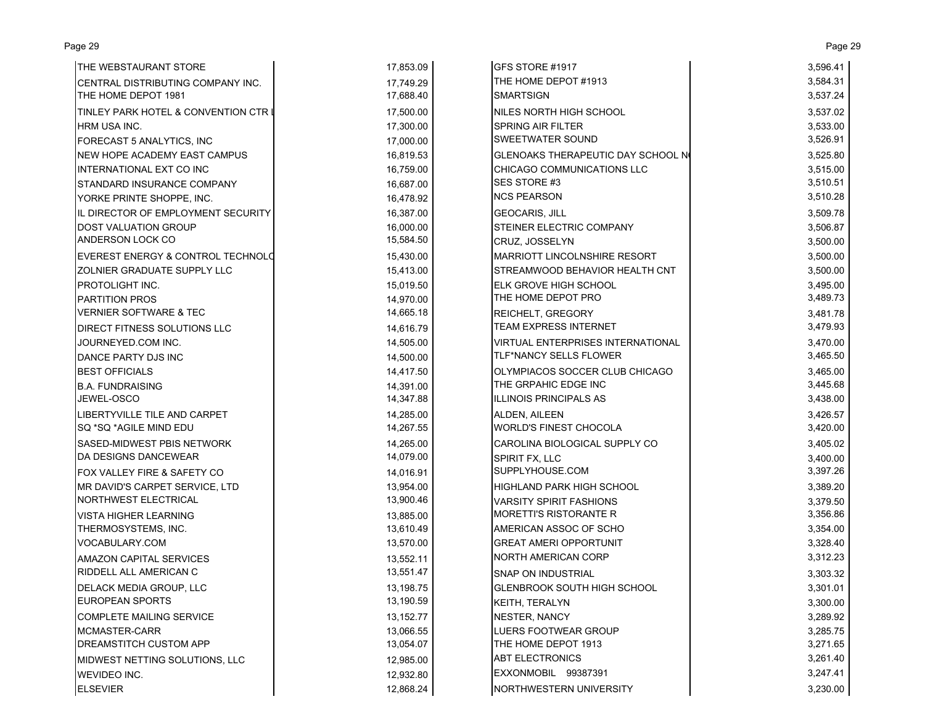| THE WEBSTAURANT STORE                | 17,853.09 | GFS STORE #1917                          | 3,596.41 |
|--------------------------------------|-----------|------------------------------------------|----------|
| CENTRAL DISTRIBUTING COMPANY INC.    | 17,749.29 | THE HOME DEPOT #1913                     | 3,584.31 |
| THE HOME DEPOT 1981                  | 17,688.40 | <b>SMARTSIGN</b>                         | 3,537.24 |
| TINLEY PARK HOTEL & CONVENTION CTR I | 17,500.00 | NILES NORTH HIGH SCHOOL                  | 3,537.02 |
| HRM USA INC.                         | 17,300.00 | <b>SPRING AIR FILTER</b>                 | 3,533.00 |
| FORECAST 5 ANALYTICS, INC            | 17,000.00 | SWEETWATER SOUND                         | 3,526.91 |
| <b>NEW HOPE ACADEMY EAST CAMPUS</b>  | 16,819.53 | GLENOAKS THERAPEUTIC DAY SCHOOL N        | 3,525.80 |
| INTERNATIONAL EXT CO INC             | 16,759.00 | CHICAGO COMMUNICATIONS LLC               | 3,515.00 |
| STANDARD INSURANCE COMPANY           | 16,687.00 | SES STORE #3                             | 3,510.51 |
| YORKE PRINTE SHOPPE, INC.            | 16,478.92 | <b>NCS PEARSON</b>                       | 3,510.28 |
| IL DIRECTOR OF EMPLOYMENT SECURITY   | 16,387.00 | <b>GEOCARIS, JILL</b>                    | 3,509.78 |
| <b>DOST VALUATION GROUP</b>          | 16,000.00 | STEINER ELECTRIC COMPANY                 | 3,506.87 |
| ANDERSON LOCK CO                     | 15,584.50 | CRUZ, JOSSELYN                           | 3,500.00 |
| EVEREST ENERGY & CONTROL TECHNOLD    | 15,430.00 | <b>MARRIOTT LINCOLNSHIRE RESORT</b>      | 3,500.00 |
| ZOLNIER GRADUATE SUPPLY LLC          | 15,413.00 | STREAMWOOD BEHAVIOR HEALTH CNT           | 3,500.00 |
| PROTOLIGHT INC.                      | 15,019.50 | ELK GROVE HIGH SCHOOL                    | 3,495.00 |
| <b>PARTITION PROS</b>                | 14,970.00 | THE HOME DEPOT PRO                       | 3,489.73 |
| <b>VERNIER SOFTWARE &amp; TEC</b>    | 14,665.18 | <b>REICHELT, GREGORY</b>                 | 3,481.78 |
| <b>DIRECT FITNESS SOLUTIONS LLC</b>  | 14,616.79 | <b>TEAM EXPRESS INTERNET</b>             | 3,479.93 |
| JOURNEYED.COM INC.                   | 14,505.00 | <b>VIRTUAL ENTERPRISES INTERNATIONAL</b> | 3,470.00 |
| DANCE PARTY DJS INC                  | 14,500.00 | TLF*NANCY SELLS FLOWER                   | 3,465.50 |
| <b>BEST OFFICIALS</b>                | 14,417.50 | OLYMPIACOS SOCCER CLUB CHICAGO           | 3,465.00 |
| <b>B.A. FUNDRAISING</b>              | 14,391.00 | THE GRPAHIC EDGE INC                     | 3,445.68 |
| JEWEL-OSCO                           | 14,347.88 | <b>ILLINOIS PRINCIPALS AS</b>            | 3,438.00 |
| LIBERTYVILLE TILE AND CARPET         | 14,285.00 | ALDEN, AILEEN                            | 3,426.57 |
| SQ *SQ *AGILE MIND EDU               | 14,267.55 | <b>WORLD'S FINEST CHOCOLA</b>            | 3,420.00 |
| SASED-MIDWEST PBIS NETWORK           | 14,265.00 | CAROLINA BIOLOGICAL SUPPLY CO            | 3,405.02 |
| DA DESIGNS DANCEWEAR                 | 14,079.00 | SPIRIT FX, LLC                           | 3,400.00 |
| FOX VALLEY FIRE & SAFETY CO          | 14,016.91 | SUPPLYHOUSE.COM                          | 3,397.26 |
| MR DAVID'S CARPET SERVICE, LTD       | 13,954.00 | HIGHLAND PARK HIGH SCHOOL                | 3,389.20 |
| NORTHWEST ELECTRICAL                 | 13,900.46 | <b>VARSITY SPIRIT FASHIONS</b>           | 3,379.50 |
| <b>VISTA HIGHER LEARNING</b>         | 13,885.00 | <b>MORETTI'S RISTORANTE R</b>            | 3,356.86 |
| THERMOSYSTEMS, INC.                  | 13,610.49 | AMERICAN ASSOC OF SCHO                   | 3,354.00 |
| VOCABULARY.COM                       | 13,570.00 | <b>GREAT AMERI OPPORTUNIT</b>            | 3,328.40 |
| AMAZON CAPITAL SERVICES              | 13,552.11 | <b>NORTH AMERICAN CORP</b>               | 3,312.23 |
| <b>RIDDELL ALL AMERICAN C</b>        | 13,551.47 | SNAP ON INDUSTRIAL                       | 3,303.32 |
| DELACK MEDIA GROUP, LLC              | 13,198.75 | <b>GLENBROOK SOUTH HIGH SCHOOL</b>       | 3,301.01 |
| <b>EUROPEAN SPORTS</b>               | 13,190.59 | <b>KEITH, TERALYN</b>                    | 3,300.00 |
| <b>COMPLETE MAILING SERVICE</b>      | 13,152.77 | <b>NESTER, NANCY</b>                     | 3,289.92 |
| MCMASTER-CARR                        | 13,066.55 | LUERS FOOTWEAR GROUP                     | 3,285.75 |
| <b>DREAMSTITCH CUSTOM APP</b>        | 13,054.07 | THE HOME DEPOT 1913                      | 3,271.65 |
| MIDWEST NETTING SOLUTIONS, LLC       | 12,985.00 | <b>ABT ELECTRONICS</b>                   | 3,261.40 |
| WEVIDEO INC.                         | 12,932.80 | EXXONMOBIL 99387391                      | 3,247.41 |
| <b>ELSEVIER</b>                      | 12,868.24 | NORTHWESTERN UNIVERSITY                  | 3,230.00 |

Page 29 Page 29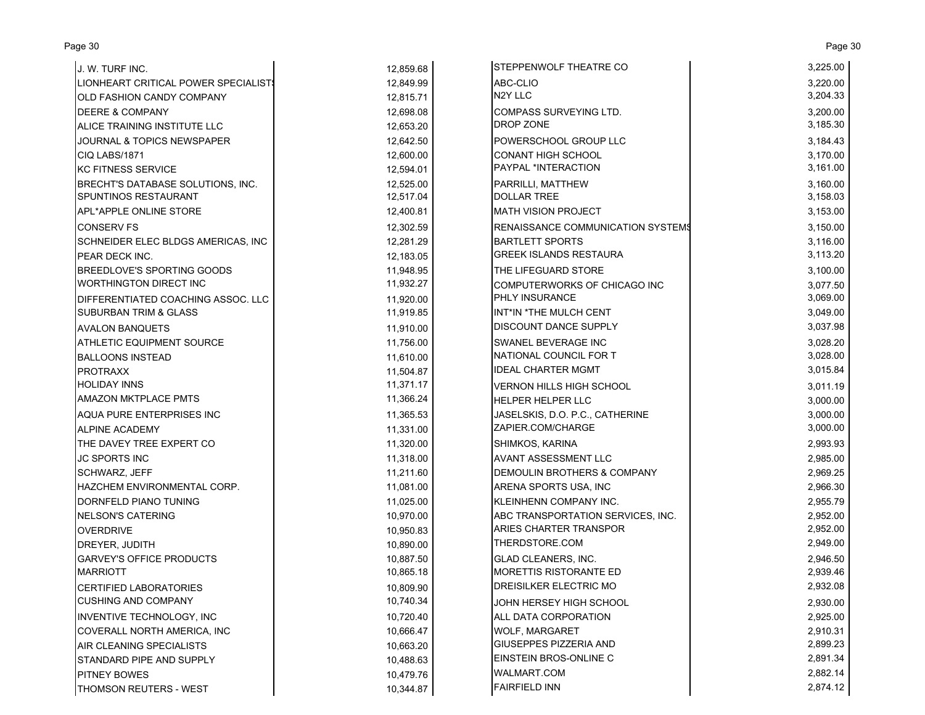| J. W. TURF INC.                     | 12,859.68 | <b>STEPPENWOLF THEATRE CO</b>            | 3,225.00 |
|-------------------------------------|-----------|------------------------------------------|----------|
| LIONHEART CRITICAL POWER SPECIALIST | 12,849.99 | ABC-CLIO                                 | 3,220.00 |
| OLD FASHION CANDY COMPANY           | 12,815.71 | N2Y LLC                                  | 3,204.33 |
| <b>DEERE &amp; COMPANY</b>          | 12,698.08 | <b>COMPASS SURVEYING LTD.</b>            | 3,200.00 |
| ALICE TRAINING INSTITUTE LLC        | 12,653.20 | <b>DROP ZONE</b>                         | 3,185.30 |
| JOURNAL & TOPICS NEWSPAPER          | 12,642.50 | POWERSCHOOL GROUP LLC                    | 3,184.43 |
| CIQ LABS/1871                       | 12,600.00 | <b>CONANT HIGH SCHOOL</b>                | 3,170.00 |
| <b>KC FITNESS SERVICE</b>           | 12,594.01 | PAYPAL *INTERACTION                      | 3,161.00 |
| BRECHT'S DATABASE SOLUTIONS, INC.   | 12,525.00 | PARRILLI, MATTHEW                        | 3,160.00 |
| SPUNTINOS RESTAURANT                | 12,517.04 | <b>DOLLAR TREE</b>                       | 3,158.03 |
| APL*APPLE ONLINE STORE              | 12,400.81 | <b>MATH VISION PROJECT</b>               | 3,153.00 |
| <b>CONSERV FS</b>                   | 12,302.59 | <b>RENAISSANCE COMMUNICATION SYSTEMS</b> | 3,150.00 |
| SCHNEIDER ELEC BLDGS AMERICAS, INC  | 12,281.29 | <b>BARTLETT SPORTS</b>                   | 3,116.00 |
| PEAR DECK INC.                      | 12,183.05 | <b>GREEK ISLANDS RESTAURA</b>            | 3,113.20 |
| <b>BREEDLOVE'S SPORTING GOODS</b>   | 11,948.95 | THE LIFEGUARD STORE                      | 3,100.00 |
| <b>WORTHINGTON DIRECT INC</b>       | 11,932.27 | COMPUTERWORKS OF CHICAGO INC             | 3,077.50 |
| DIFFERENTIATED COACHING ASSOC. LLC  | 11,920.00 | <b>PHLY INSURANCE</b>                    | 3,069.00 |
| <b>SUBURBAN TRIM &amp; GLASS</b>    | 11,919.85 | INT*IN *THE MULCH CENT                   | 3,049.00 |
| <b>AVALON BANQUETS</b>              | 11,910.00 | <b>DISCOUNT DANCE SUPPLY</b>             | 3,037.98 |
| <b>ATHLETIC EQUIPMENT SOURCE</b>    | 11,756.00 | <b>SWANEL BEVERAGE INC</b>               | 3,028.20 |
| <b>BALLOONS INSTEAD</b>             | 11,610.00 | NATIONAL COUNCIL FOR T                   | 3,028.00 |
| <b>PROTRAXX</b>                     | 11,504.87 | <b>IDEAL CHARTER MGMT</b>                | 3,015.84 |
| <b>HOLIDAY INNS</b>                 | 11,371.17 | <b>VERNON HILLS HIGH SCHOOL</b>          | 3,011.19 |
| <b>AMAZON MKTPLACE PMTS</b>         | 11,366.24 | <b>HELPER HELPER LLC</b>                 | 3,000.00 |
| AQUA PURE ENTERPRISES INC           | 11,365.53 | JASELSKIS, D.O. P.C., CATHERINE          | 3,000.00 |
| <b>ALPINE ACADEMY</b>               | 11,331.00 | ZAPIER.COM/CHARGE                        | 3,000.00 |
| THE DAVEY TREE EXPERT CO            | 11,320.00 | SHIMKOS, KARINA                          | 2,993.93 |
| <b>JC SPORTS INC</b>                | 11,318.00 | <b>AVANT ASSESSMENT LLC</b>              | 2,985.00 |
| <b>SCHWARZ, JEFF</b>                | 11,211.60 | <b>DEMOULIN BROTHERS &amp; COMPANY</b>   | 2,969.25 |
| HAZCHEM ENVIRONMENTAL CORP.         | 11,081.00 | ARENA SPORTS USA, INC                    | 2,966.30 |
| DORNFELD PIANO TUNING               | 11,025.00 | KLEINHENN COMPANY INC.                   | 2,955.79 |
| <b>NELSON'S CATERING</b>            | 10,970.00 | ABC TRANSPORTATION SERVICES, INC.        | 2,952.00 |
| <b>OVERDRIVE</b>                    | 10,950.83 | ARIES CHARTER TRANSPOR                   | 2,952.00 |
| <b>DREYER, JUDITH</b>               | 10,890.00 | THERDSTORE.COM                           | 2,949.00 |
| <b>GARVEY'S OFFICE PRODUCTS</b>     | 10.887.50 | <b>GLAD CLEANERS, INC.</b>               | 2,946.50 |
| <b>MARRIOTT</b>                     | 10,865.18 | <b>MORETTIS RISTORANTE ED</b>            | 2,939.46 |
| <b>CERTIFIED LABORATORIES</b>       | 10,809.90 | <b>DREISILKER ELECTRIC MO</b>            | 2,932.08 |
| <b>CUSHING AND COMPANY</b>          | 10,740.34 | JOHN HERSEY HIGH SCHOOL                  | 2,930.00 |
| INVENTIVE TECHNOLOGY, INC           | 10,720.40 | <b>ALL DATA CORPORATION</b>              | 2,925.00 |
| COVERALL NORTH AMERICA, INC         | 10,666.47 | WOLF, MARGARET                           | 2,910.31 |
| AIR CLEANING SPECIALISTS            | 10,663.20 | <b>GIUSEPPES PIZZERIA AND</b>            | 2,899.23 |
| STANDARD PIPE AND SUPPLY            | 10,488.63 | EINSTEIN BROS-ONLINE C                   | 2,891.34 |
| <b>PITNEY BOWES</b>                 | 10,479.76 | <b>WALMART.COM</b>                       | 2,882.14 |
| <b>THOMSON REUTERS - WEST</b>       | 10,344.87 | <b>FAIRFIELD INN</b>                     | 2,874.12 |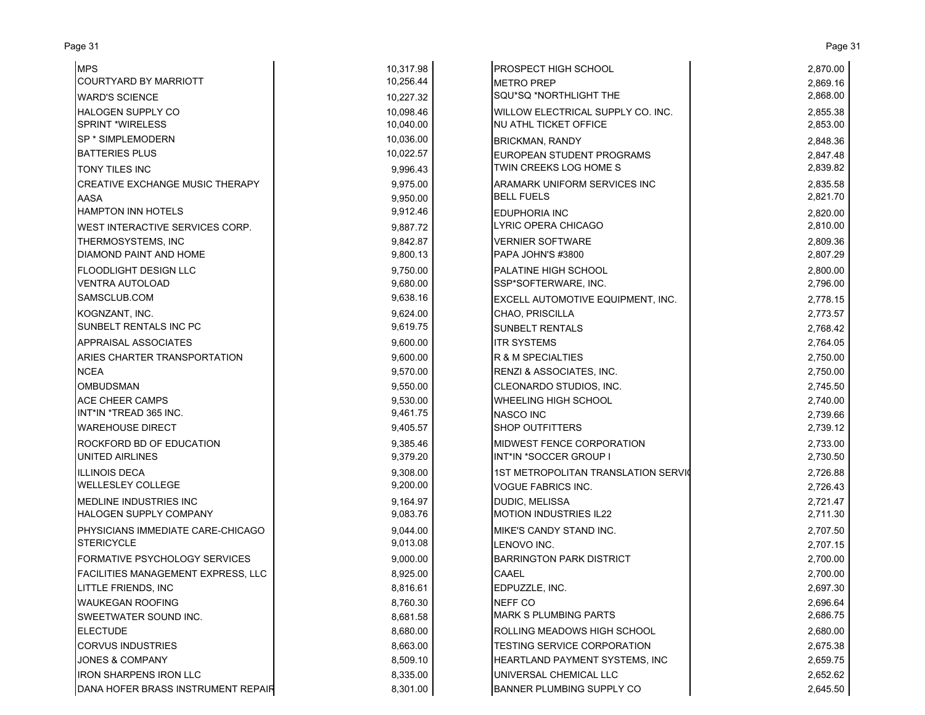| <b>MPS</b>                                              |                        | PROSPECT HIGH SCHOOL                                |                      |
|---------------------------------------------------------|------------------------|-----------------------------------------------------|----------------------|
| <b>COURTYARD BY MARRIOTT</b>                            | 10,317.98<br>10,256.44 |                                                     | 2,870.00<br>2,869.16 |
|                                                         | 10.227.32              | METRO PREP<br>SQU*SQ *NORTHLIGHT THE                | 2,868.00             |
| <b>WARD'S SCIENCE</b><br><b>HALOGEN SUPPLY CO</b>       | 10,098.46              | WILLOW ELECTRICAL SUPPLY CO. INC.                   | 2,855.38             |
| <b>SPRINT *WIRELESS</b>                                 | 10,040.00              | NU ATHL TICKET OFFICE                               | 2,853.00             |
| SP * SIMPLEMODERN                                       | 10,036.00              |                                                     |                      |
| <b>BATTERIES PLUS</b>                                   | 10,022.57              | <b>BRICKMAN, RANDY</b>                              | 2,848.36             |
|                                                         |                        | EUROPEAN STUDENT PROGRAMS<br>TWIN CREEKS LOG HOME S | 2,847.48<br>2,839.82 |
| TONY TILES INC                                          | 9,996.43               |                                                     |                      |
| <b>CREATIVE EXCHANGE MUSIC THERAPY</b>                  | 9,975.00               | ARAMARK UNIFORM SERVICES INC<br><b>BELL FUELS</b>   | 2,835.58<br>2,821.70 |
| <b>AASA</b><br><b>HAMPTON INN HOTELS</b>                | 9,950.00<br>9,912.46   |                                                     |                      |
|                                                         | 9.887.72               | <b>EDUPHORIA INC</b><br>LYRIC OPERA CHICAGO         | 2,820.00<br>2,810.00 |
| WEST INTERACTIVE SERVICES CORP.                         |                        |                                                     |                      |
| THERMOSYSTEMS, INC<br><b>DIAMOND PAINT AND HOME</b>     | 9,842.87<br>9,800.13   | <b>VERNIER SOFTWARE</b><br>PAPA JOHN'S #3800        | 2,809.36<br>2,807.29 |
|                                                         |                        |                                                     |                      |
| <b>FLOODLIGHT DESIGN LLC</b><br><b>VENTRA AUTOLOAD</b>  | 9,750.00<br>9,680.00   | PALATINE HIGH SCHOOL<br>SSP*SOFTERWARE, INC.        | 2,800.00<br>2,796.00 |
| SAMSCLUB.COM                                            | 9,638.16               |                                                     |                      |
|                                                         |                        | EXCELL AUTOMOTIVE EQUIPMENT, INC.                   | 2,778.15             |
| KOGNZANT, INC.<br>SUNBELT RENTALS INC PC                | 9.624.00<br>9,619.75   | CHAO, PRISCILLA                                     | 2,773.57             |
|                                                         |                        | <b>SUNBELT RENTALS</b>                              | 2,768.42             |
| APPRAISAL ASSOCIATES                                    | 9,600.00               | <b>ITR SYSTEMS</b>                                  | 2,764.05             |
| ARIES CHARTER TRANSPORTATION                            | 9,600.00               | R & M SPECIALTIES                                   | 2,750.00             |
| <b>NCEA</b>                                             | 9,570.00               | RENZI & ASSOCIATES, INC.                            | 2,750.00             |
| <b>OMBUDSMAN</b>                                        | 9,550.00               | CLEONARDO STUDIOS, INC.                             | 2,745.50             |
| <b>ACE CHEER CAMPS</b>                                  | 9,530.00               | WHEELING HIGH SCHOOL                                | 2,740.00             |
| INT*IN *TREAD 365 INC.<br><b>WAREHOUSE DIRECT</b>       | 9,461.75               | <b>NASCO INC</b>                                    | 2,739.66             |
|                                                         | 9,405.57               | SHOP OUTFITTERS                                     | 2,739.12             |
| ROCKFORD BD OF EDUCATION                                | 9,385.46               | MIDWEST FENCE CORPORATION                           | 2,733.00             |
| UNITED AIRLINES                                         | 9,379.20               | INT*IN *SOCCER GROUP I                              | 2,730.50             |
| <b>ILLINOIS DECA</b><br><b>WELLESLEY COLLEGE</b>        | 9,308.00<br>9,200.00   | 1ST METROPOLITAN TRANSLATION SERVIO                 | 2,726.88             |
|                                                         |                        | <b>VOGUE FABRICS INC.</b>                           | 2,726.43             |
| MEDLINE INDUSTRIES INC<br><b>HALOGEN SUPPLY COMPANY</b> | 9,164.97<br>9,083.76   | DUDIC, MELISSA<br><b>MOTION INDUSTRIES IL22</b>     | 2,721.47<br>2,711.30 |
|                                                         |                        |                                                     |                      |
| PHYSICIANS IMMEDIATE CARE-CHICAGO<br><b>STERICYCLE</b>  | 9,044.00<br>9,013.08   | MIKE'S CANDY STAND INC.<br>LENOVO INC.              | 2,707.50<br>2,707.15 |
| <b>FORMATIVE PSYCHOLOGY SERVICES</b>                    | 9,000.00               | <b>BARRINGTON PARK DISTRICT</b>                     | 2,700.00             |
| <b>FACILITIES MANAGEMENT EXPRESS, LLC</b>               | 8.925.00               | <b>CAAEL</b>                                        | 2,700.00             |
| LITTLE FRIENDS, INC                                     | 8,816.61               | EDPUZZLE, INC.                                      | 2,697.30             |
|                                                         |                        | NEFF CO                                             |                      |
| <b>WAUKEGAN ROOFING</b><br>SWEETWATER SOUND INC.        | 8,760.30               | <b>MARK S PLUMBING PARTS</b>                        | 2,696.64<br>2,686.75 |
| <b>ELECTUDE</b>                                         | 8,681.58<br>8,680.00   | ROLLING MEADOWS HIGH SCHOOL                         | 2,680.00             |
| <b>CORVUS INDUSTRIES</b>                                | 8,663.00               | TESTING SERVICE CORPORATION                         | 2,675.38             |
| <b>JONES &amp; COMPANY</b>                              | 8,509.10               | HEARTLAND PAYMENT SYSTEMS, INC                      | 2,659.75             |
| <b>IRON SHARPENS IRON LLC</b>                           | 8,335.00               | UNIVERSAL CHEMICAL LLC                              | 2,652.62             |
|                                                         | 8,301.00               | BANNER PLUMBING SUPPLY CO                           |                      |
| DANA HOFER BRASS INSTRUMENT REPAIR                      |                        |                                                     | 2,645.50             |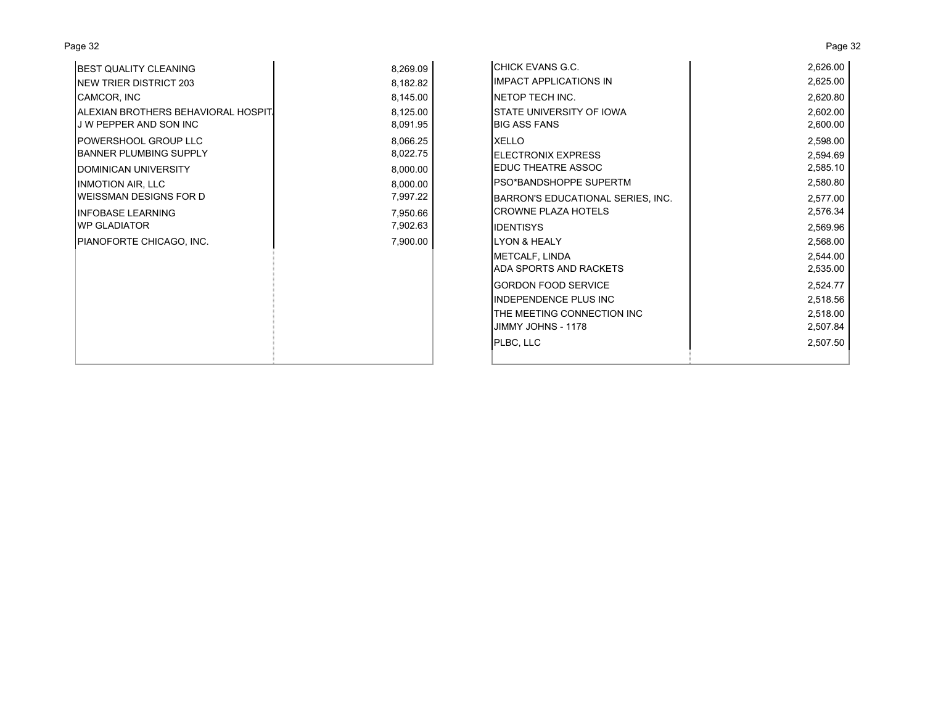| Page 32                                                        |                      |                                                        | Page 32              |
|----------------------------------------------------------------|----------------------|--------------------------------------------------------|----------------------|
| <b>BEST QUALITY CLEANING</b>                                   | 8,269.09             | CHICK EVANS G.C.                                       | 2,626.00             |
| <b>INEW TRIER DISTRICT 203</b>                                 | 8,182.82             | <b>IMPACT APPLICATIONS IN</b>                          | 2,625.00             |
| CAMCOR, INC                                                    | 8,145.00             | NETOP TECH INC.                                        | 2,620.80             |
| IALEXIAN BROTHERS BEHAVIORAL HOSPIT.<br>J W PEPPER AND SON INC | 8,125.00<br>8,091.95 | <b>STATE UNIVERSITY OF IOWA</b><br><b>BIG ASS FANS</b> | 2,602.00<br>2,600.00 |
| <b>POWERSHOOL GROUP LLC</b><br><b>BANNER PLUMBING SUPPLY</b>   | 8,066.25<br>8,022.75 | <b>XELLO</b><br><b>IELECTRONIX EXPRESS</b>             | 2,598.00<br>2,594.69 |
| DOMINICAN UNIVERSITY                                           | 8,000.00             | <b>EDUC THEATRE ASSOC</b>                              | 2,585.10             |
| <b>INMOTION AIR, LLC</b>                                       | 8,000.00             | PSO*BANDSHOPPE SUPERTM                                 | 2,580.80             |
| <b>I</b> WEISSMAN DESIGNS FOR D                                | 7,997.22             | BARRON'S EDUCATIONAL SERIES, INC.                      | 2,577.00             |
| <b>INFOBASE LEARNING</b>                                       | 7,950.66             | <b>CROWNE PLAZA HOTELS</b>                             | 2,576.34             |
| <b>WP GLADIATOR</b>                                            | 7,902.63             | <b>IDENTISYS</b>                                       | 2,569.96             |
| PIANOFORTE CHICAGO, INC.                                       | 7,900.00             | <b>LYON &amp; HEALY</b>                                | 2,568.00             |
|                                                                |                      | METCALF, LINDA                                         | 2,544.00             |
|                                                                |                      | ADA SPORTS AND RACKETS                                 | 2,535.00             |
|                                                                |                      | <b>GORDON FOOD SERVICE</b>                             | 2,524.77             |
|                                                                |                      | <b>INDEPENDENCE PLUS INC</b>                           | 2,518.56             |
|                                                                |                      | THE MEETING CONNECTION INC<br>JIMMY JOHNS - 1178       | 2,518.00<br>2,507.84 |
|                                                                |                      | PLBC, LLC                                              | 2,507.50             |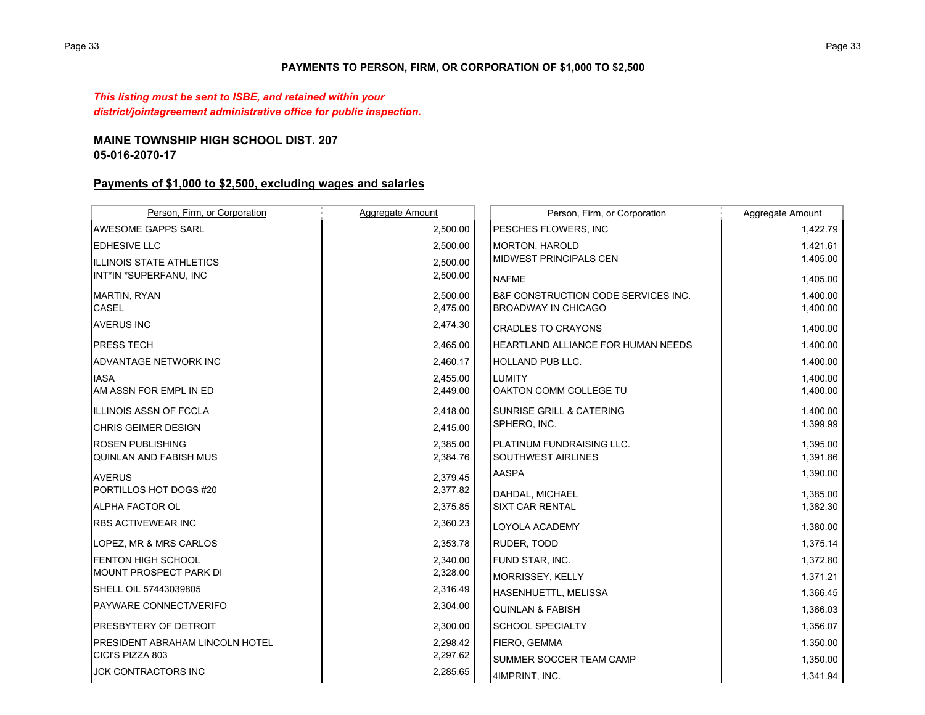## **PAYMENTS TO PERSON, FIRM, OR CORPORATION OF \$1,000 TO \$2,500**

*This listing must be sent to ISBE, and retained within your district/jointagreement administrative office for public inspection.*

# **MAINE TOWNSHIP HIGH SCHOOL DIST. 20705-016-2070-17**

# **Payments of \$1,000 to \$2,500, excluding wages and salaries**

| Person, Firm, or Corporation           | Aggregate Amount | Person, Firm, or Corporation              | Aggregate Amount |
|----------------------------------------|------------------|-------------------------------------------|------------------|
| <b>AWESOME GAPPS SARL</b>              | 2,500.00         | PESCHES FLOWERS, INC                      | 1,422.79         |
| <b>EDHESIVE LLC</b>                    | 2,500.00         | <b>MORTON, HAROLD</b>                     | 1,421.61         |
| <b>ILLINOIS STATE ATHLETICS</b>        | 2,500.00         | MIDWEST PRINCIPALS CEN                    | 1,405.00         |
| INT*IN *SUPERFANU, INC                 | 2,500.00         | <b>NAFME</b>                              | 1,405.00         |
| <b>MARTIN, RYAN</b>                    | 2,500.00         | B&F CONSTRUCTION CODE SERVICES INC.       | 1,400.00         |
| CASEL                                  | 2,475.00         | <b>BROADWAY IN CHICAGO</b>                | 1,400.00         |
| <b>AVERUS INC</b>                      | 2,474.30         | <b>CRADLES TO CRAYONS</b>                 | 1,400.00         |
| <b>PRESS TECH</b>                      | 2,465.00         | <b>HEARTLAND ALLIANCE FOR HUMAN NEEDS</b> | 1,400.00         |
| ADVANTAGE NETWORK INC                  | 2,460.17         | <b>HOLLAND PUB LLC.</b>                   | 1,400.00         |
| <b>IASA</b>                            | 2,455.00         | <b>LUMITY</b>                             | 1,400.00         |
| AM ASSN FOR EMPL IN ED                 | 2,449.00         | OAKTON COMM COLLEGE TU                    | 1,400.00         |
| IILLINOIS ASSN OF FCCLA                | 2,418.00         | <b>SUNRISE GRILL &amp; CATERING</b>       | 1,400.00         |
| <b>CHRIS GEIMER DESIGN</b>             | 2,415.00         | SPHERO, INC.                              | 1,399.99         |
| <b>ROSEN PUBLISHING</b>                | 2,385.00         | <b>PLATINUM FUNDRAISING LLC.</b>          | 1,395.00         |
| <b>QUINLAN AND FABISH MUS</b>          | 2,384.76         | <b>SOUTHWEST AIRLINES</b>                 | 1,391.86         |
| <b>AVERUS</b>                          | 2,379.45         | <b>AASPA</b>                              | 1,390.00         |
| PORTILLOS HOT DOGS #20                 | 2,377.82         | DAHDAL, MICHAEL                           | 1,385.00         |
| <b>ALPHA FACTOR OL</b>                 | 2,375.85         | <b>SIXT CAR RENTAL</b>                    | 1,382.30         |
| <b>RBS ACTIVEWEAR INC</b>              | 2,360.23         | LOYOLA ACADEMY                            | 1,380.00         |
| LOPEZ, MR & MRS CARLOS                 | 2,353.78         | RUDER, TODD                               | 1,375.14         |
| <b>FENTON HIGH SCHOOL</b>              | 2,340.00         | FUND STAR, INC.                           | 1,372.80         |
| <b>MOUNT PROSPECT PARK DI</b>          | 2,328.00         | <b>MORRISSEY, KELLY</b>                   | 1,371.21         |
| SHELL OIL 57443039805                  | 2,316.49         | HASENHUETTL, MELISSA                      | 1,366.45         |
| PAYWARE CONNECT/VERIFO                 | 2,304.00         | <b>QUINLAN &amp; FABISH</b>               | 1,366.03         |
| <b>PRESBYTERY OF DETROIT</b>           | 2,300.00         | <b>SCHOOL SPECIALTY</b>                   | 1,356.07         |
| <b>PRESIDENT ABRAHAM LINCOLN HOTEL</b> | 2,298.42         | <b>FIERO, GEMMA</b>                       | 1,350.00         |
| CICI'S PIZZA 803                       | 2,297.62         | SUMMER SOCCER TEAM CAMP                   | 1,350.00         |
| <b>JCK CONTRACTORS INC</b>             | 2,285.65         | 4IMPRINT, INC.                            | 1,341.94         |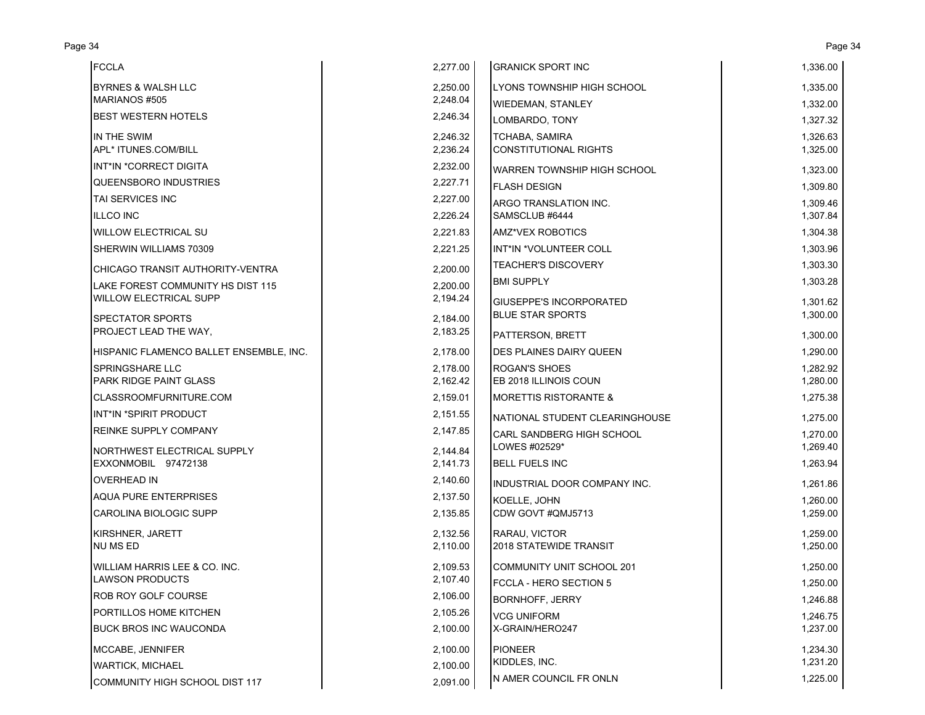| <b>FCCLA</b>                            | 2,277.00             | <b>GRANICK SPORT INC</b>                              | 1,336.00             |
|-----------------------------------------|----------------------|-------------------------------------------------------|----------------------|
| <b>BYRNES &amp; WALSH LLC</b>           | 2,250.00             | LYONS TOWNSHIP HIGH SCHOOL                            | 1,335.00             |
| MARIANOS #505                           | 2,248.04             | <b>WIEDEMAN, STANLEY</b>                              | 1,332.00             |
| <b>BEST WESTERN HOTELS</b>              | 2,246.34             | LOMBARDO, TONY                                        | 1,327.32             |
| IN THE SWIM<br>APL* ITUNES.COM/BILL     | 2,246.32<br>2,236.24 | <b>TCHABA, SAMIRA</b><br><b>CONSTITUTIONAL RIGHTS</b> | 1,326.63<br>1,325.00 |
| INT*IN *CORRECT DIGITA                  | 2,232.00             | <b>WARREN TOWNSHIP HIGH SCHOOL</b>                    | 1,323.00             |
| QUEENSBORO INDUSTRIES                   | 2,227.71             | <b>FLASH DESIGN</b>                                   | 1,309.80             |
| TAI SERVICES INC                        | 2,227.00             | ARGO TRANSLATION INC.                                 | 1,309.46             |
| <b>ILLCO INC</b>                        | 2,226.24             | SAMSCLUB #6444                                        | 1,307.84             |
| <b>WILLOW ELECTRICAL SU</b>             | 2,221.83             | <b>AMZ*VEX ROBOTICS</b>                               | 1,304.38             |
| SHERWIN WILLIAMS 70309                  | 2,221.25             | INT*IN *VOLUNTEER COLL                                | 1,303.96             |
| CHICAGO TRANSIT AUTHORITY-VENTRA        | 2,200.00             | <b>TEACHER'S DISCOVERY</b>                            | 1,303.30             |
| LAKE FOREST COMMUNITY HS DIST 115       | 2,200.00             | <b>BMI SUPPLY</b>                                     | 1,303.28             |
| <b>WILLOW ELECTRICAL SUPP</b>           | 2,194.24             | <b>GIUSEPPE'S INCORPORATED</b>                        | 1,301.62             |
| SPECTATOR SPORTS                        | 2,184.00             | <b>BLUE STAR SPORTS</b>                               | 1,300.00             |
| PROJECT LEAD THE WAY,                   | 2,183.25             | PATTERSON, BRETT                                      | 1,300.00             |
| HISPANIC FLAMENCO BALLET ENSEMBLE, INC. | 2,178.00             | <b>DES PLAINES DAIRY QUEEN</b>                        | 1,290.00             |
| <b>SPRINGSHARE LLC</b>                  | 2,178.00             | <b>ROGAN'S SHOES</b>                                  | 1,282.92             |
| <b>PARK RIDGE PAINT GLASS</b>           | 2,162.42             | EB 2018 ILLINOIS COUN                                 | 1,280.00             |
| CLASSROOMFURNITURE.COM                  | 2,159.01             | <b>MORETTIS RISTORANTE &amp;</b>                      | 1,275.38             |
| INT*IN *SPIRIT PRODUCT                  | 2,151.55             | NATIONAL STUDENT CLEARINGHOUSE                        | 1,275.00             |
| REINKE SUPPLY COMPANY                   | 2,147.85             | CARL SANDBERG HIGH SCHOOL                             | 1,270.00             |
| NORTHWEST ELECTRICAL SUPPLY             | 2,144.84             | LOWES #02529*                                         | 1,269.40             |
| EXXONMOBIL 97472138                     | 2,141.73             | <b>BELL FUELS INC</b>                                 | 1,263.94             |
| <b>OVERHEAD IN</b>                      | 2,140.60             | INDUSTRIAL DOOR COMPANY INC.                          | 1,261.86             |
| <b>AQUA PURE ENTERPRISES</b>            | 2,137.50             | KOELLE, JOHN                                          | 1,260.00             |
| CAROLINA BIOLOGIC SUPP                  | 2,135.85             | CDW GOVT #QMJ5713                                     | 1,259.00             |
| KIRSHNER, JARETT                        | 2,132.56             | RARAU, VICTOR                                         | 1,259.00             |
| <b>NU MS ED</b>                         | 2,110.00             | 2018 STATEWIDE TRANSIT                                | 1,250.00             |
| WILLIAM HARRIS LEE & CO. INC.           | 2.109.53             | COMMUNITY UNIT SCHOOL 201                             | 1,250.00             |
| <b>LAWSON PRODUCTS</b>                  | 2,107.40             | FCCLA - HERO SECTION 5                                | 1,250.00             |
| <b>ROB ROY GOLF COURSE</b>              | 2,106.00             | <b>BORNHOFF, JERRY</b>                                | 1,246.88             |
| PORTILLOS HOME KITCHEN                  | 2,105.26             | <b>VCG UNIFORM</b>                                    | 1,246.75             |
| <b>BUCK BROS INC WAUCONDA</b>           | 2,100.00             | X-GRAIN/HERO247                                       | 1,237.00             |
| MCCABE, JENNIFER                        | 2,100.00             | <b>PIONEER</b>                                        | 1,234.30             |
| <b>WARTICK, MICHAEL</b>                 | 2,100.00             | KIDDLES, INC.                                         | 1,231.20             |
| COMMUNITY HIGH SCHOOL DIST 117          | 2,091.00             | N AMER COUNCIL FR ONLN                                | 1,225.00             |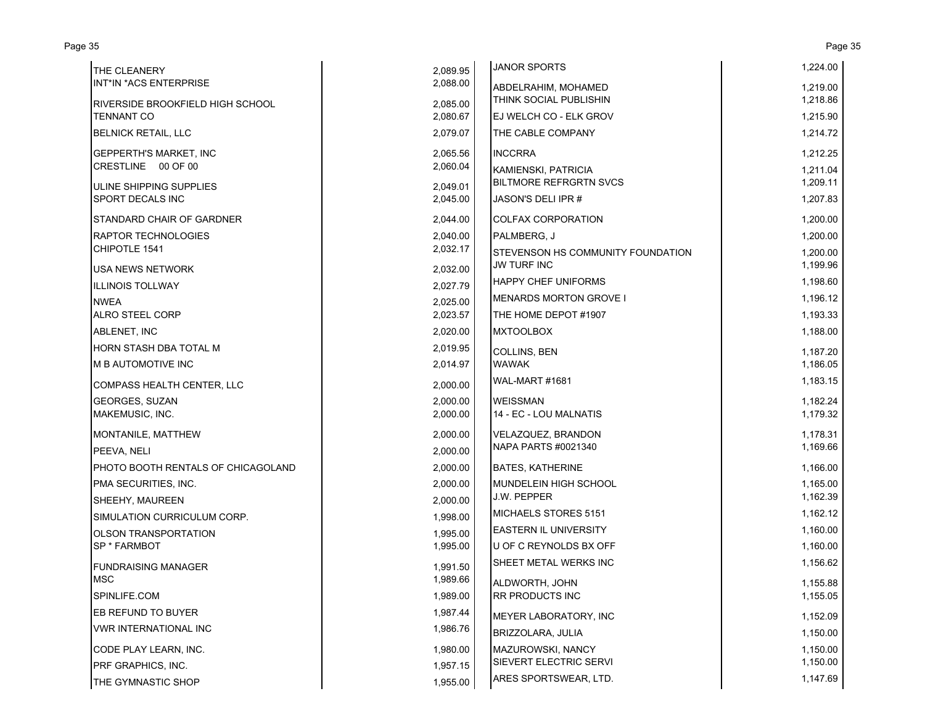| THE CLEANERY                            | 2,089.95 | <b>JANOR SPORTS</b>                      | 1,224.00 |
|-----------------------------------------|----------|------------------------------------------|----------|
| INT*IN *ACS ENTERPRISE                  | 2,088.00 | ABDELRAHIM, MOHAMED                      | 1,219.00 |
| <b>RIVERSIDE BROOKFIELD HIGH SCHOOL</b> | 2,085.00 | <b>THINK SOCIAL PUBLISHIN</b>            | 1,218.86 |
| <b>TENNANT CO</b>                       | 2,080.67 | <b>I</b> EJ WELCH CO - ELK GROV          | 1,215.90 |
| <b>BELNICK RETAIL, LLC</b>              | 2,079.07 | THE CABLE COMPANY                        | 1,214.72 |
| <b>GEPPERTH'S MARKET, INC</b>           | 2,065.56 | <b>INCCRRA</b>                           | 1,212.25 |
| CRESTLINE 00 OF 00                      | 2,060.04 | <b>KAMIENSKI, PATRICIA</b>               | 1,211.04 |
| ULINE SHIPPING SUPPLIES                 | 2,049.01 | <b>BILTMORE REFRGRTN SVCS</b>            | 1,209.11 |
| <b>SPORT DECALS INC</b>                 | 2,045.00 | JASON'S DELI IPR #                       | 1,207.83 |
| STANDARD CHAIR OF GARDNER               | 2,044.00 | <b>COLFAX CORPORATION</b>                | 1,200.00 |
| <b>RAPTOR TECHNOLOGIES</b>              | 2,040.00 | PALMBERG, J                              | 1,200.00 |
| CHIPOTLE 1541                           | 2,032.17 | <b>STEVENSON HS COMMUNITY FOUNDATION</b> | 1,200.00 |
| <b>USA NEWS NETWORK</b>                 | 2,032.00 | <b>JW TURF INC</b>                       | 1,199.96 |
| <b>ILLINOIS TOLLWAY</b>                 | 2,027.79 | <b>HAPPY CHEF UNIFORMS</b>               | 1,198.60 |
| <b>NWEA</b>                             | 2,025.00 | <b>MENARDS MORTON GROVE I</b>            | 1,196.12 |
| <b>ALRO STEEL CORP</b>                  | 2,023.57 | THE HOME DEPOT #1907                     | 1,193.33 |
| ABLENET, INC                            | 2,020.00 | <b>MXTOOLBOX</b>                         | 1,188.00 |
| HORN STASH DBA TOTAL M                  | 2,019.95 | COLLINS, BEN                             | 1,187.20 |
| <b>M B AUTOMOTIVE INC</b>               | 2,014.97 | <b>WAWAK</b>                             | 1,186.05 |
| COMPASS HEALTH CENTER, LLC              | 2.000.00 | <b>WAL-MART #1681</b>                    | 1,183.15 |
| <b>GEORGES, SUZAN</b>                   | 2,000.00 | <b>WEISSMAN</b>                          | 1,182.24 |
| MAKEMUSIC, INC.                         | 2,000.00 | 14 - EC - LOU MALNATIS                   | 1,179.32 |
| MONTANILE, MATTHEW                      | 2,000.00 | VELAZQUEZ, BRANDON                       | 1,178.31 |
| PEEVA, NELI                             | 2,000.00 | NAPA PARTS #0021340                      | 1,169.66 |
| PHOTO BOOTH RENTALS OF CHICAGOLAND      | 2,000.00 | <b>BATES, KATHERINE</b>                  | 1,166.00 |
| PMA SECURITIES, INC.                    | 2,000.00 | MUNDELEIN HIGH SCHOOL                    | 1,165.00 |
| SHEEHY, MAUREEN                         | 2,000.00 | <b>J.W. PEPPER</b>                       | 1,162.39 |
| SIMULATION CURRICULUM CORP.             | 1,998.00 | MICHAELS STORES 5151                     | 1,162.12 |
| <b>OLSON TRANSPORTATION</b>             | 1,995.00 | EASTERN IL UNIVERSITY                    | 1,160.00 |
| <b>SP * FARMBOT</b>                     | 1,995.00 | U OF C REYNOLDS BX OFF                   | 1,160.00 |
| <b>FUNDRAISING MANAGER</b>              | 1,991.50 | SHEET METAL WERKS INC                    | 1,156.62 |
| <b>MSC</b>                              | 1,989.66 | ALDWORTH, JOHN                           | 1,155.88 |
| SPINLIFE.COM                            | 1,989.00 | <b>RR PRODUCTS INC</b>                   | 1,155.05 |
| <b>EB REFUND TO BUYER</b>               | 1,987.44 | MEYER LABORATORY, INC                    | 1,152.09 |
| <b>VWR INTERNATIONAL INC</b>            | 1,986.76 | BRIZZOLARA, JULIA                        | 1,150.00 |
| CODE PLAY LEARN, INC.                   | 1,980.00 | MAZUROWSKI, NANCY                        | 1,150.00 |
| <b>PRF GRAPHICS, INC.</b>               | 1,957.15 | <b>SIEVERT ELECTRIC SERVI</b>            | 1,150.00 |
| THE GYMNASTIC SHOP                      | 1,955.00 | ARES SPORTSWEAR, LTD.                    | 1,147.69 |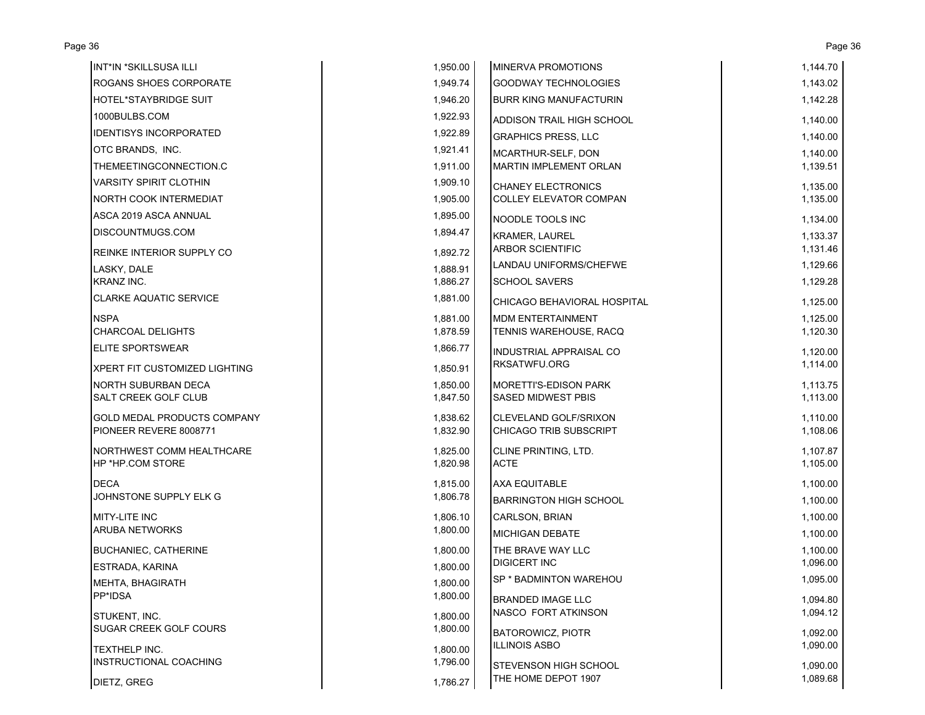| INT*IN *SKILLSUSA ILLI             | 1,950.00 | MINERVA PROMOTIONS             | 1,144.70 |
|------------------------------------|----------|--------------------------------|----------|
| <b>ROGANS SHOES CORPORATE</b>      | 1,949.74 | <b>GOODWAY TECHNOLOGIES</b>    | 1,143.02 |
| <b>HOTEL*STAYBRIDGE SUIT</b>       | 1,946.20 | <b>BURR KING MANUFACTURIN</b>  | 1,142.28 |
| 1000BULBS.COM                      | 1,922.93 | ADDISON TRAIL HIGH SCHOOL      | 1,140.00 |
| <b>IDENTISYS INCORPORATED</b>      | 1,922.89 | <b>GRAPHICS PRESS, LLC</b>     | 1,140.00 |
| OTC BRANDS, INC.                   | 1,921.41 | MCARTHUR-SELF, DON             | 1,140.00 |
| THEMEETINGCONNECTION.C             | 1,911.00 | <b>MARTIN IMPLEMENT ORLAN</b>  | 1,139.51 |
| <b>VARSITY SPIRIT CLOTHIN</b>      | 1,909.10 | <b>CHANEY ELECTRONICS</b>      | 1,135.00 |
| <b>NORTH COOK INTERMEDIAT</b>      | 1,905.00 | <b>COLLEY ELEVATOR COMPAN</b>  | 1,135.00 |
| ASCA 2019 ASCA ANNUAL              | 1,895.00 | NOODLE TOOLS INC               | 1,134.00 |
| DISCOUNTMUGS.COM                   | 1,894.47 | <b>KRAMER, LAUREL</b>          | 1,133.37 |
| <b>REINKE INTERIOR SUPPLY CO</b>   | 1,892.72 | <b>ARBOR SCIENTIFIC</b>        | 1,131.46 |
| LASKY, DALE                        | 1,888.91 | LANDAU UNIFORMS/CHEFWE         | 1,129.66 |
| <b>KRANZ INC.</b>                  | 1,886.27 | <b>SCHOOL SAVERS</b>           | 1,129.28 |
| <b>CLARKE AQUATIC SERVICE</b>      | 1,881.00 | CHICAGO BEHAVIORAL HOSPITAL    | 1,125.00 |
| <b>NSPA</b>                        | 1.881.00 | <b>MDM ENTERTAINMENT</b>       | 1,125.00 |
| <b>CHARCOAL DELIGHTS</b>           | 1,878.59 | TENNIS WAREHOUSE, RACQ         | 1,120.30 |
| <b>ELITE SPORTSWEAR</b>            | 1,866.77 | <b>INDUSTRIAL APPRAISAL CO</b> | 1,120.00 |
| XPERT FIT CUSTOMIZED LIGHTING      | 1,850.91 | <b>RKSATWFU.ORG</b>            | 1,114.00 |
| NORTH SUBURBAN DECA                | 1,850.00 | MORETTI'S-EDISON PARK          | 1,113.75 |
| <b>SALT CREEK GOLF CLUB</b>        | 1,847.50 | <b>SASED MIDWEST PBIS</b>      | 1,113.00 |
| <b>GOLD MEDAL PRODUCTS COMPANY</b> | 1,838.62 | CLEVELAND GOLF/SRIXON          | 1,110.00 |
| PIONEER REVERE 8008771             | 1,832.90 | <b>CHICAGO TRIB SUBSCRIPT</b>  | 1,108.06 |
| NORTHWEST COMM HEALTHCARE          | 1,825.00 | CLINE PRINTING, LTD.           | 1,107.87 |
| <b>HP *HP.COM STORE</b>            | 1,820.98 | <b>ACTE</b>                    | 1,105.00 |
| <b>DECA</b>                        | 1,815.00 | <b>AXA EQUITABLE</b>           | 1,100.00 |
| JOHNSTONE SUPPLY ELK G             | 1,806.78 | <b>BARRINGTON HIGH SCHOOL</b>  | 1,100.00 |
| <b>MITY-LITE INC</b>               | 1,806.10 | <b>CARLSON, BRIAN</b>          | 1,100.00 |
| <b>ARUBA NETWORKS</b>              | 1,800.00 | <b>MICHIGAN DEBATE</b>         | 1,100.00 |
| <b>BUCHANIEC, CATHERINE</b>        | 1,800.00 | THE BRAVE WAY LLC              | 1,100.00 |
| <b>ESTRADA, KARINA</b>             | 1,800.00 | <b>DIGICERT INC</b>            | 1,096.00 |
| MEHTA, BHAGIRATH                   | 1,800.00 | SP * BADMINTON WAREHOU         | 1,095.00 |
| PP*IDSA                            | 1,800.00 | <b>BRANDED IMAGE LLC</b>       | 1,094.80 |
| STUKENT, INC.                      | 1,800.00 | NASCO FORT ATKINSON            | 1,094.12 |
| <b>SUGAR CREEK GOLF COURS</b>      | 1,800.00 | <b>BATOROWICZ, PIOTR</b>       | 1,092.00 |
| TEXTHELP INC.                      | 1,800.00 | <b>ILLINOIS ASBO</b>           | 1,090.00 |
| <b>INSTRUCTIONAL COACHING</b>      | 1,796.00 | <b>STEVENSON HIGH SCHOOL</b>   | 1,090.00 |
| DIETZ, GREG                        | 1,786.27 | THE HOME DEPOT 1907            | 1,089.68 |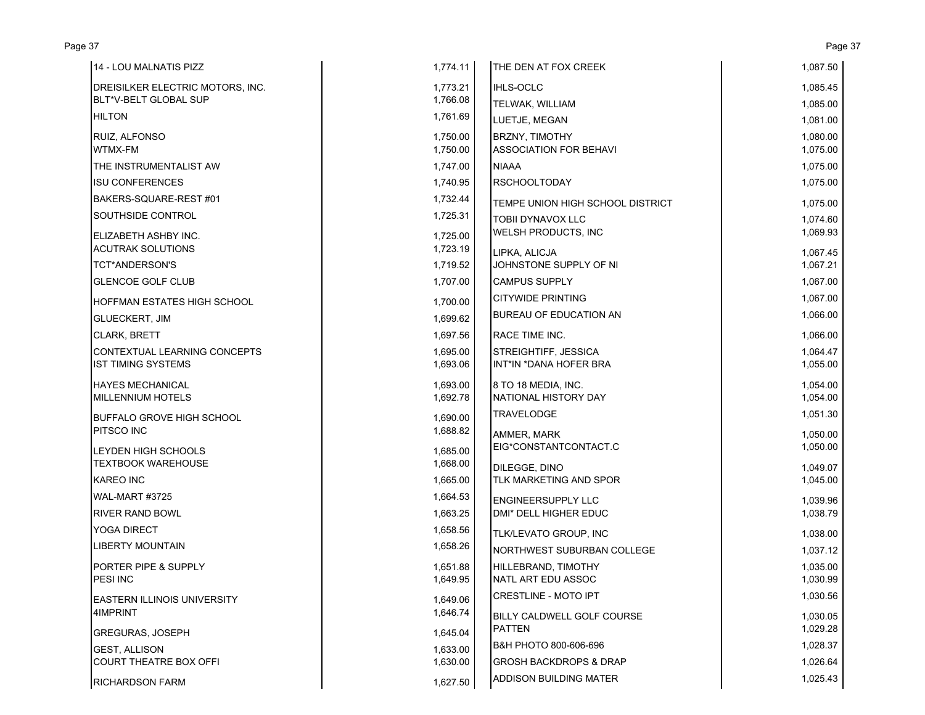| 14 - LOU MALNATIS PIZZ           | 1,774.11 | THE DEN AT FOX CREEK              | 1,087.50 |
|----------------------------------|----------|-----------------------------------|----------|
| DREISILKER ELECTRIC MOTORS, INC. | 1,773.21 | <b>IHLS-OCLC</b>                  | 1,085.45 |
| BLT*V-BELT GLOBAL SUP            | 1,766.08 | <b>TELWAK, WILLIAM</b>            | 1,085.00 |
| <b>HILTON</b>                    | 1,761.69 | LUETJE, MEGAN                     | 1,081.00 |
| <b>RUIZ. ALFONSO</b>             | 1,750.00 | <b>BRZNY, TIMOTHY</b>             | 1,080.00 |
| WTMX-FM                          | 1,750.00 | <b>ASSOCIATION FOR BEHAVI</b>     | 1,075.00 |
| THE INSTRUMENTALIST AW           | 1,747.00 | <b>NIAAA</b>                      | 1,075.00 |
| <b>ISU CONFERENCES</b>           | 1,740.95 | <b>RSCHOOLTODAY</b>               | 1,075.00 |
| BAKERS-SQUARE-REST #01           | 1,732.44 | TEMPE UNION HIGH SCHOOL DISTRICT  | 1,075.00 |
| SOUTHSIDE CONTROL                | 1,725.31 | <b>TOBII DYNAVOX LLC</b>          | 1,074.60 |
| ELIZABETH ASHBY INC.             | 1,725.00 | <b>WELSH PRODUCTS, INC</b>        | 1,069.93 |
| <b>ACUTRAK SOLUTIONS</b>         | 1,723.19 | LIPKA, ALICJA                     | 1,067.45 |
| TCT*ANDERSON'S                   | 1,719.52 | JOHNSTONE SUPPLY OF NI            | 1,067.21 |
| <b>GLENCOE GOLF CLUB</b>         | 1,707.00 | <b>CAMPUS SUPPLY</b>              | 1,067.00 |
| IHOFFMAN ESTATES HIGH SCHOOL     | 1,700.00 | <b>CITYWIDE PRINTING</b>          | 1,067.00 |
| <b>GLUECKERT, JIM</b>            | 1,699.62 | <b>BUREAU OF EDUCATION AN</b>     | 1,066.00 |
| <b>CLARK, BRETT</b>              | 1,697.56 | <b>RACE TIME INC.</b>             | 1,066.00 |
| CONTEXTUAL LEARNING CONCEPTS     | 1,695.00 | <b>STREIGHTIFF, JESSICA</b>       | 1,064.47 |
| <b>IST TIMING SYSTEMS</b>        | 1,693.06 | INT*IN *DANA HOFER BRA            | 1,055.00 |
| <b>HAYES MECHANICAL</b>          | 1,693.00 | 8 TO 18 MEDIA, INC.               | 1,054.00 |
| MILLENNIUM HOTELS                | 1,692.78 | NATIONAL HISTORY DAY              | 1,054.00 |
| <b>BUFFALO GROVE HIGH SCHOOL</b> | 1,690.00 | <b>TRAVELODGE</b>                 | 1,051.30 |
| <b>PITSCO INC</b>                | 1,688.82 | AMMER, MARK                       | 1,050.00 |
| LEYDEN HIGH SCHOOLS              | 1,685.00 | EIG*CONSTANTCONTACT.C             | 1,050.00 |
| <b>TEXTBOOK WAREHOUSE</b>        | 1,668.00 | DILEGGE, DINO                     | 1,049.07 |
| <b>KAREO INC</b>                 | 1,665.00 | TLK MARKETING AND SPOR            | 1,045.00 |
| WAL-MART #3725                   | 1,664.53 | <b>ENGINEERSUPPLY LLC</b>         | 1,039.96 |
| <b>RIVER RAND BOWL</b>           | 1,663.25 | DMI* DELL HIGHER EDUC             | 1,038.79 |
| YOGA DIRECT                      | 1,658.56 | <b>TLK/LEVATO GROUP, INC</b>      | 1,038.00 |
| <b>LIBERTY MOUNTAIN</b>          | 1,658.26 | NORTHWEST SUBURBAN COLLEGE        | 1,037.12 |
| <b>PORTER PIPE &amp; SUPPLY</b>  | 1,651.88 | HILLEBRAND, TIMOTHY               | 1,035.00 |
| PESI INC                         | 1,649.95 | NATL ART EDU ASSOC                | 1,030.99 |
| IEASTERN ILLINOIS UNIVERSITY     | 1,649.06 | <b>ICRESTLINE - MOTO IPT</b>      | 1,030.56 |
| 4IMPRINT                         | 1,646.74 | BILLY CALDWELL GOLF COURSE        | 1,030.05 |
| <b>GREGURAS, JOSEPH</b>          | 1.645.04 | <b>PATTEN</b>                     | 1,029.28 |
| <b>GEST, ALLISON</b>             | 1,633.00 | B&H PHOTO 800-606-696             | 1,028.37 |
| <b>COURT THEATRE BOX OFFI</b>    | 1,630.00 | <b>GROSH BACKDROPS &amp; DRAP</b> | 1,026.64 |
| <b>RICHARDSON FARM</b>           | 1,627.50 | <b>ADDISON BUILDING MATER</b>     | 1,025.43 |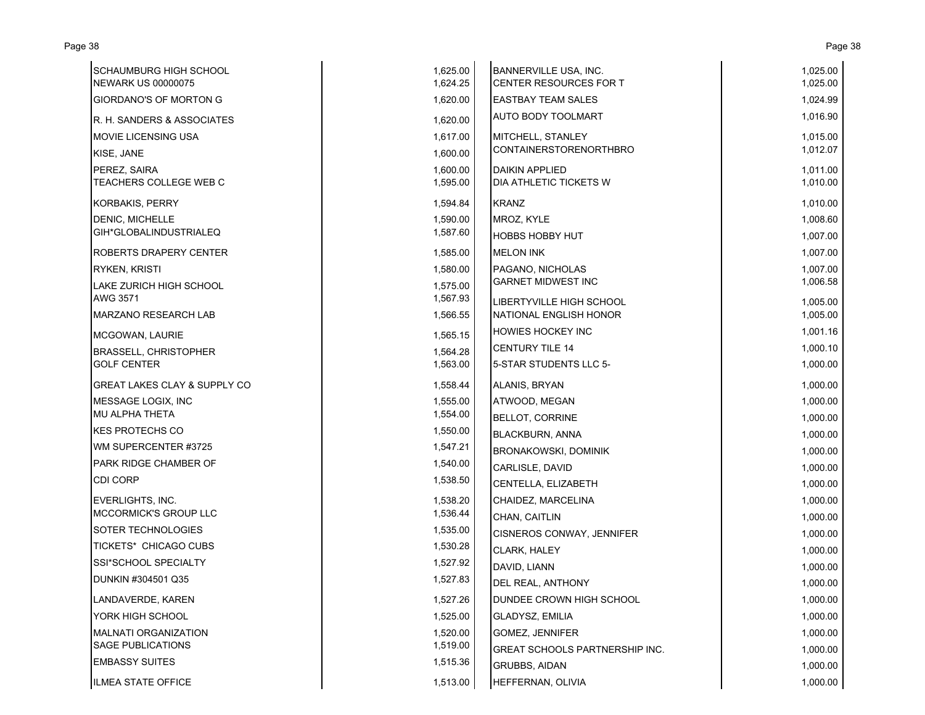| <b>SCHAUMBURG HIGH SCHOOL</b><br><b>NEWARK US 00000075</b> | 1,625.00<br>1,624.25 | BANNERVILLE USA, INC.<br>CENTER RESOURCES FOR T | 1,025.00<br>1,025.00 |
|------------------------------------------------------------|----------------------|-------------------------------------------------|----------------------|
| <b>GIORDANO'S OF MORTON G</b>                              | 1,620.00             | <b>EASTBAY TEAM SALES</b>                       | 1,024.99             |
| R. H. SANDERS & ASSOCIATES                                 | 1,620.00             | <b>AUTO BODY TOOLMART</b>                       | 1,016.90             |
| <b>MOVIE LICENSING USA</b>                                 | 1,617.00             | MITCHELL, STANLEY                               | 1,015.00             |
| KISE, JANE                                                 | 1,600.00             | <b>CONTAINERSTORENORTHBRO</b>                   | 1,012.07             |
| PEREZ, SAIRA                                               | 1,600.00             | <b>DAIKIN APPLIED</b>                           | 1,011.00             |
| TEACHERS COLLEGE WEB C                                     | 1,595.00             | DIA ATHLETIC TICKETS W                          | 1,010.00             |
| <b>KORBAKIS, PERRY</b>                                     | 1,594.84             | <b>KRANZ</b>                                    | 1,010.00             |
| DENIC, MICHELLE                                            | 1,590.00             | MROZ, KYLE                                      | 1,008.60             |
| GIH*GLOBALINDUSTRIALEQ                                     | 1,587.60             | <b>HOBBS HOBBY HUT</b>                          | 1,007.00             |
| <b>ROBERTS DRAPERY CENTER</b>                              | 1,585.00             | <b>MELON INK</b>                                | 1,007.00             |
| <b>RYKEN, KRISTI</b>                                       | 1,580.00             | PAGANO, NICHOLAS                                | 1,007.00             |
| LAKE ZURICH HIGH SCHOOL                                    | 1,575.00             | <b>GARNET MIDWEST INC</b>                       | 1,006.58             |
| AWG 3571                                                   | 1,567.93             | LIBERTYVILLE HIGH SCHOOL                        | 1,005.00             |
| <b>MARZANO RESEARCH LAB</b>                                | 1,566.55             | NATIONAL ENGLISH HONOR                          | 1,005.00             |
| MCGOWAN, LAURIE                                            | 1,565.15             | <b>HOWIES HOCKEY INC</b>                        | 1,001.16             |
| <b>BRASSELL, CHRISTOPHER</b>                               | 1,564.28             | <b>CENTURY TILE 14</b>                          | 1,000.10             |
| <b>GOLF CENTER</b>                                         | 1,563.00             | 5-STAR STUDENTS LLC 5-                          | 1,000.00             |
| <b>GREAT LAKES CLAY &amp; SUPPLY CO</b>                    | 1,558.44             | ALANIS, BRYAN                                   | 1,000.00             |
| MESSAGE LOGIX, INC                                         | 1,555.00             | ATWOOD, MEGAN                                   | 1,000.00             |
| <b>MU ALPHA THETA</b>                                      | 1,554.00             | <b>BELLOT, CORRINE</b>                          | 1,000.00             |
| <b>KES PROTECHS CO</b>                                     | 1,550.00             | <b>BLACKBURN, ANNA</b>                          | 1,000.00             |
| WM SUPERCENTER #3725                                       | 1,547.21             | <b>BRONAKOWSKI, DOMINIK</b>                     | 1,000.00             |
| PARK RIDGE CHAMBER OF                                      | 1,540.00             | CARLISLE, DAVID                                 | 1,000.00             |
| <b>CDI CORP</b>                                            | 1,538.50             | <b>CENTELLA, ELIZABETH</b>                      | 1,000.00             |
| <b>EVERLIGHTS, INC.</b>                                    | 1,538.20             | CHAIDEZ, MARCELINA                              | 1,000.00             |
| MCCORMICK'S GROUP LLC                                      | 1,536.44             | CHAN, CAITLIN                                   | 1,000.00             |
| <b>SOTER TECHNOLOGIES</b>                                  | 1,535.00             | <b>CISNEROS CONWAY, JENNIFER</b>                | 1,000.00             |
| <b>TICKETS* CHICAGO CUBS</b>                               | 1,530.28             | <b>CLARK, HALEY</b>                             | 1,000.00             |
| SSI*SCHOOL SPECIALTY                                       | 1,527.92             | DAVID, LIANN                                    | 1,000.00             |
| DUNKIN #304501 Q35                                         | 1,527.83             | DEL REAL, ANTHONY                               | 1,000.00             |
| LANDAVERDE, KAREN                                          | 1,527.26             | DUNDEE CROWN HIGH SCHOOL                        | 1,000.00             |
| YORK HIGH SCHOOL                                           | 1,525.00             | <b>GLADYSZ, EMILIA</b>                          | 1,000.00             |
| <b>MALNATI ORGANIZATION</b>                                | 1,520.00             | GOMEZ, JENNIFER                                 | 1,000.00             |
| <b>SAGE PUBLICATIONS</b>                                   | 1,519.00             | <b>GREAT SCHOOLS PARTNERSHIP INC.</b>           | 1,000.00             |
| <b>EMBASSY SUITES</b>                                      | 1,515.36             | <b>GRUBBS, AIDAN</b>                            | 1,000.00             |
| ILMEA STATE OFFICE                                         | 1,513.00             | HEFFERNAN, OLIVIA                               | 1,000.00             |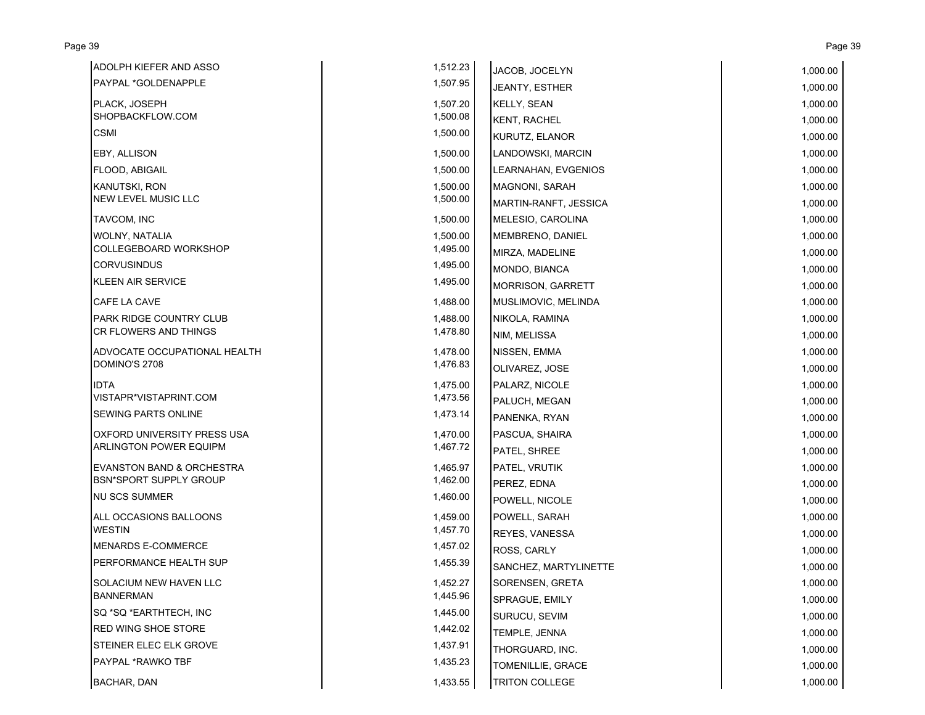| ADOLPH KIEFER AND ASSO               | 1,512.23 | JACOB, JOCELYN        | 1,000.00 |
|--------------------------------------|----------|-----------------------|----------|
| PAYPAL *GOLDENAPPLE                  | 1,507.95 | JEANTY, ESTHER        | 1,000.00 |
| PLACK, JOSEPH                        | 1,507.20 | <b>KELLY, SEAN</b>    | 1,000.00 |
| SHOPBACKFLOW.COM                     | 1,500.08 | <b>KENT, RACHEL</b>   | 1,000.00 |
| CSMI                                 | 1,500.00 | KURUTZ, ELANOR        | 1,000.00 |
| EBY, ALLISON                         | 1,500.00 | LANDOWSKI, MARCIN     | 1,000.00 |
| FLOOD, ABIGAIL                       | 1,500.00 | LEARNAHAN, EVGENIOS   | 1,000.00 |
| <b>KANUTSKI, RON</b>                 | 1,500.00 | <b>MAGNONI, SARAH</b> | 1,000.00 |
| <b>NEW LEVEL MUSIC LLC</b>           | 1,500.00 | MARTIN-RANFT, JESSICA | 1,000.00 |
| TAVCOM, INC                          | 1,500.00 | MELESIO, CAROLINA     | 1,000.00 |
| WOLNY, NATALIA                       | 1,500.00 | MEMBRENO, DANIEL      | 1,000.00 |
| COLLEGEBOARD WORKSHOP                | 1,495.00 | MIRZA, MADELINE       | 1,000.00 |
| <b>CORVUSINDUS</b>                   | 1,495.00 | MONDO, BIANCA         | 1,000.00 |
| <b>KLEEN AIR SERVICE</b>             | 1,495.00 | MORRISON, GARRETT     | 1,000.00 |
| CAFE LA CAVE                         | 1,488.00 | MUSLIMOVIC, MELINDA   | 1,000.00 |
| PARK RIDGE COUNTRY CLUB              | 1,488.00 | NIKOLA, RAMINA        | 1,000.00 |
| CR FLOWERS AND THINGS                | 1,478.80 | NIM, MELISSA          | 1,000.00 |
| ADVOCATE OCCUPATIONAL HEALTH         | 1,478.00 | NISSEN, EMMA          | 1,000.00 |
| DOMINO'S 2708                        | 1,476.83 | OLIVAREZ, JOSE        | 1,000.00 |
| <b>IDTA</b>                          | 1,475.00 | PALARZ, NICOLE        | 1,000.00 |
| VISTAPR*VISTAPRINT.COM               | 1,473.56 | PALUCH, MEGAN         | 1,000.00 |
| SEWING PARTS ONLINE                  | 1,473.14 | PANENKA, RYAN         | 1,000.00 |
| OXFORD UNIVERSITY PRESS USA          | 1,470.00 | PASCUA, SHAIRA        | 1,000.00 |
| <b>ARLINGTON POWER EQUIPM</b>        | 1,467.72 | PATEL, SHREE          | 1,000.00 |
| <b>EVANSTON BAND &amp; ORCHESTRA</b> | 1,465.97 | PATEL, VRUTIK         | 1,000.00 |
| BSN*SPORT SUPPLY GROUP               | 1,462.00 | PEREZ, EDNA           | 1,000.00 |
| <b>NU SCS SUMMER</b>                 | 1,460.00 | POWELL, NICOLE        | 1,000.00 |
| ALL OCCASIONS BALLOONS               | 1.459.00 | POWELL, SARAH         | 1,000.00 |
| WESTIN                               | 1,457.70 | <b>REYES, VANESSA</b> | 1,000.00 |
| <b>MENARDS E-COMMERCE</b>            | 1,457.02 | ROSS, CARLY           | 1,000.00 |
| PERFORMANCE HEALTH SUP               | 1,455.39 | SANCHEZ, MARTYLINETTE | 1,000.00 |
| SOLACIUM NEW HAVEN LLC               | 1,452.27 | SORENSEN, GRETA       | 1,000.00 |
| <b>BANNERMAN</b>                     | 1,445.96 | SPRAGUE, EMILY        | 1,000.00 |
| SQ *SQ *EARTHTECH, INC               | 1,445.00 | SURUCU, SEVIM         | 1,000.00 |
| <b>RED WING SHOE STORE</b>           | 1,442.02 | TEMPLE, JENNA         | 1,000.00 |
| STEINER ELEC ELK GROVE               | 1,437.91 | THORGUARD, INC.       | 1,000.00 |
| PAYPAL *RAWKO TBF                    | 1,435.23 | TOMENILLIE, GRACE     | 1,000.00 |
| <b>BACHAR, DAN</b>                   | 1,433.55 | <b>TRITON COLLEGE</b> | 1,000.00 |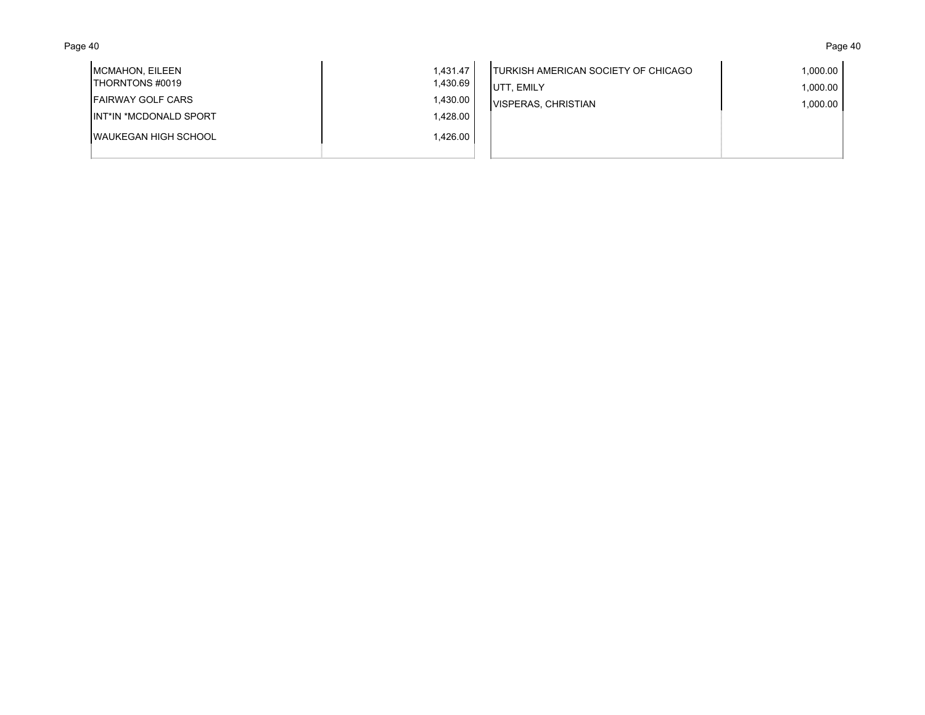### Page 40 Page 40

| MCMAHON, EILEEN<br><b>ITHORNTONS #0019</b> | 1,431.47<br>1,430.69 | <b>ITURKISH AMERICAN SOCIETY OF CHICAGO</b><br>∵ EMILY | 1,000.00  <br>1,000.00 |
|--------------------------------------------|----------------------|--------------------------------------------------------|------------------------|
| <b>IFAIRWAY GOLF CARS</b>                  | 1,430.00             | <b>VISPERAS, CHRISTIAN</b>                             | 1,000.00               |
| <b>IINT*IN *MCDONALD SPORT</b>             | 1,428.00             |                                                        |                        |
| <b>IWAUKEGAN HIGH SCHOOL</b>               | 1,426.00             |                                                        |                        |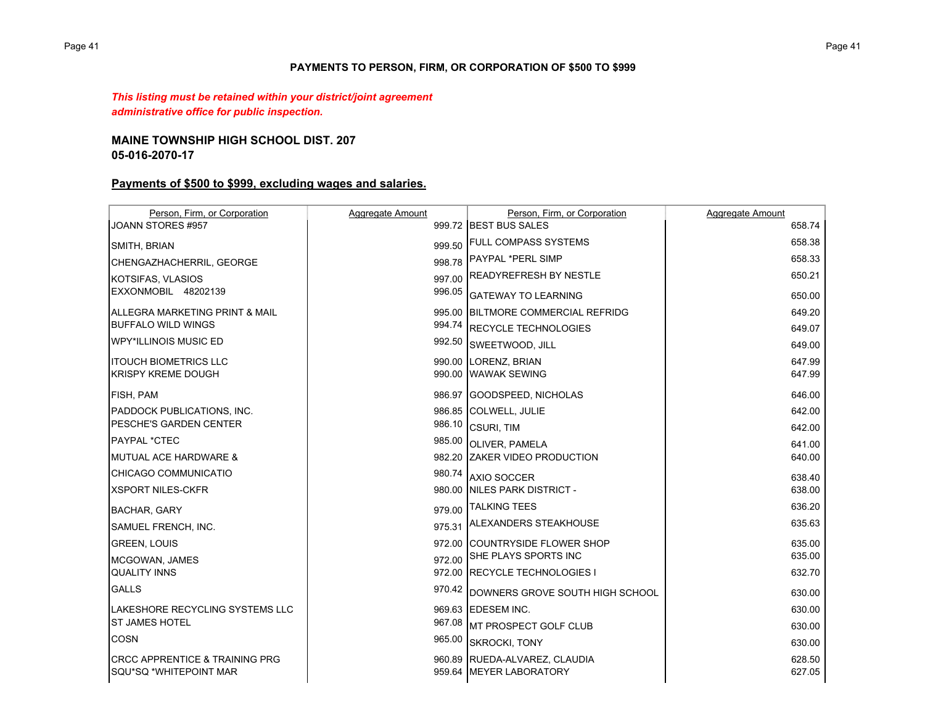## **PAYMENTS TO PERSON, FIRM, OR CORPORATION OF \$500 TO \$999**

*This listing must be retained within your district/joint agreement administrative office for public inspection.*

### **MAINE TOWNSHIP HIGH SCHOOL DIST. 207 05-016-2070-17**

# **Payments of \$500 to \$999, excluding wages and salaries.**

| Person, Firm, or Corporation              | Aggregate Amount | Person, Firm, or Corporation       | Aggregate Amount |
|-------------------------------------------|------------------|------------------------------------|------------------|
| JOANN STORES #957                         |                  | 999.72 BEST BUS SALES              | 658.74           |
| SMITH, BRIAN                              | 999.50           | <b>FULL COMPASS SYSTEMS</b>        | 658.38           |
| CHENGAZHACHERRIL, GEORGE                  | 998.78           | <b>PAYPAL *PERL SIMP</b>           | 658.33           |
| KOTSIFAS, VLASIOS                         | 997.00           | <b>READYREFRESH BY NESTLE</b>      | 650.21           |
| EXXONMOBIL 48202139                       | 996.05           | <b>GATEWAY TO LEARNING</b>         | 650.00           |
| ALLEGRA MARKETING PRINT & MAIL            |                  | 995.00 BILTMORE COMMERCIAL REFRIDG | 649.20           |
| <b>BUFFALO WILD WINGS</b>                 | 994.74           | <b>RECYCLE TECHNOLOGIES</b>        | 649.07           |
| <b>WPY*ILLINOIS MUSIC ED</b>              | 992.50           | SWEETWOOD, JILL                    | 649.00           |
| <b>ITOUCH BIOMETRICS LLC</b>              |                  | 990.00 LORENZ, BRIAN               | 647.99           |
| <b>KRISPY KREME DOUGH</b>                 |                  | 990.00 WAWAK SEWING                | 647.99           |
| <b>FISH, PAM</b>                          |                  | 986.97 GOODSPEED, NICHOLAS         | 646.00           |
| <b>PADDOCK PUBLICATIONS, INC.</b>         |                  | 986.85 COLWELL, JULIE              | 642.00           |
| <b>PESCHE'S GARDEN CENTER</b>             | 986.10           | <b>CSURI, TIM</b>                  | 642.00           |
| PAYPAL *CTEC                              | 985.00           | <b>OLIVER, PAMELA</b>              | 641.00           |
| IMUTUAL ACE HARDWARE &                    |                  | 982.20 ZAKER VIDEO PRODUCTION      | 640.00           |
| CHICAGO COMMUNICATIO                      | 980.74           | AXIO SOCCER                        | 638.40           |
| <b>XSPORT NILES-CKFR</b>                  |                  | 980.00 NILES PARK DISTRICT -       | 638.00           |
| <b>BACHAR, GARY</b>                       | 979.00           | <b>TALKING TEES</b>                | 636.20           |
| <b>SAMUEL FRENCH, INC.</b>                | 975.31           | <b>ALEXANDERS STEAKHOUSE</b>       | 635.63           |
| <b>GREEN, LOUIS</b>                       |                  | 972.00 ICOUNTRYSIDE FLOWER SHOP    | 635.00           |
| MCGOWAN, JAMES                            | 972.00           | SHE PLAYS SPORTS INC               | 635.00           |
| <b>QUALITY INNS</b>                       |                  | 972.00 RECYCLE TECHNOLOGIES I      | 632.70           |
| <b>GALLS</b>                              | 970.42           | DOWNERS GROVE SOUTH HIGH SCHOOL    | 630.00           |
| <b>ILAKESHORE RECYCLING SYSTEMS LLC</b>   |                  | 969.63 IEDESEM INC.                | 630.00           |
| <b>ST JAMES HOTEL</b>                     | 967.08           | <b>IMT PROSPECT GOLF CLUB</b>      | 630.00           |
| <b>COSN</b>                               | 965.00           | <b>SKROCKI, TONY</b>               | 630.00           |
| <b>CRCC APPRENTICE &amp; TRAINING PRG</b> |                  | 960.89 RUEDA-ALVAREZ, CLAUDIA      | 628.50           |
| SQU*SQ *WHITEPOINT MAR                    |                  | 959.64 MEYER LABORATORY            | 627.05           |
|                                           |                  |                                    |                  |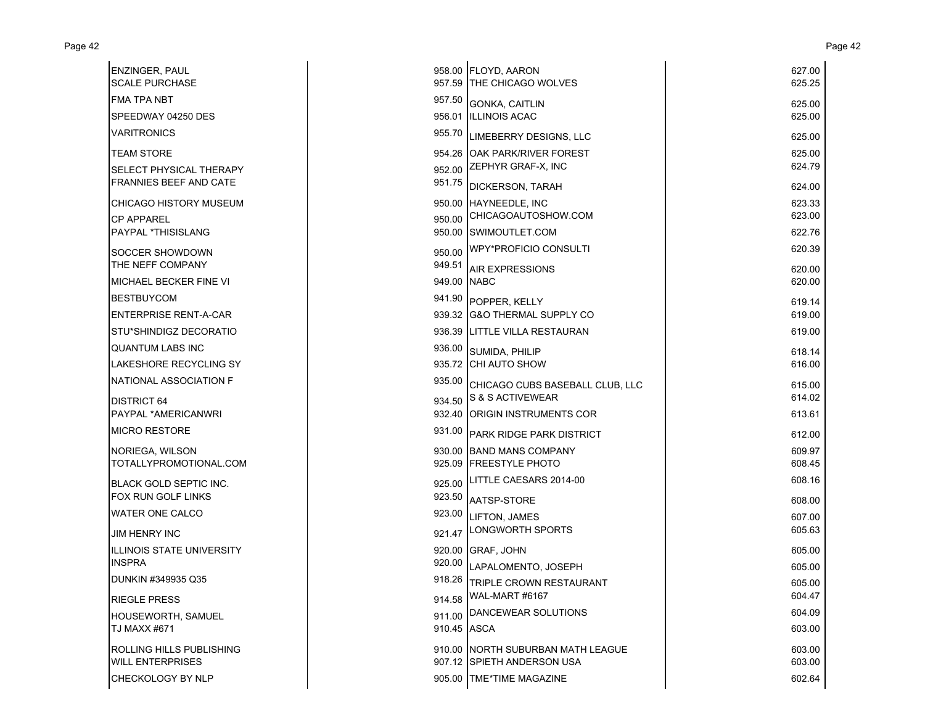| <b>ENZINGER, PAUL</b><br><b>SCALE PURCHASE</b> |             | 958.00 FLOYD, AARON<br>957.59 THE CHICAGO WOLVES | 627.00<br>625.25 |
|------------------------------------------------|-------------|--------------------------------------------------|------------------|
| <b>FMA TPA NBT</b>                             |             | 957.50 GONKA, CAITLIN                            | 625.00           |
| SPEEDWAY 04250 DES                             |             | 956.01 ILLINOIS ACAC                             | 625.00           |
| <b>VARITRONICS</b>                             |             | 955.70 LIMEBERRY DESIGNS, LLC                    | 625.00           |
| <b>TEAM STORE</b>                              |             | 954.26 OAK PARK/RIVER FOREST                     | 625.00           |
| SELECT PHYSICAL THERAPY                        | 952.00      | ZEPHYR GRAF-X, INC                               | 624.79           |
| <b>FRANNIES BEEF AND CATE</b>                  |             | 951.75 DICKERSON, TARAH                          | 624.00           |
| <b>CHICAGO HISTORY MUSEUM</b>                  |             | 950.00 HAYNEEDLE, INC                            | 623.33           |
| <b>CP APPAREL</b>                              | 950.00      | CHICAGOAUTOSHOW.COM                              | 623.00           |
| PAYPAL *THISISLANG                             |             | 950.00 SWIMOUTLET.COM                            | 622.76           |
| SOCCER SHOWDOWN                                |             | 950.00 WPY*PROFICIO CONSULTI                     | 620.39           |
| THE NEFF COMPANY                               | 949.51      | <b>AIR EXPRESSIONS</b>                           | 620.00           |
| <b>MICHAEL BECKER FINE VI</b>                  | 949.00 NABC |                                                  | 620.00           |
| <b>BESTBUYCOM</b>                              |             | 941.90 POPPER, KELLY                             | 619.14           |
| <b>ENTERPRISE RENT-A-CAR</b>                   |             | 939.32 G&O THERMAL SUPPLY CO                     | 619.00           |
| STU*SHINDIGZ DECORATIO                         |             | 936.39 LITTLE VILLA RESTAURAN                    | 619.00           |
| <b>QUANTUM LABS INC</b>                        | 936.00      | SUMIDA, PHILIP                                   | 618.14           |
| LAKESHORE RECYCLING SY                         |             | 935.72 CHI AUTO SHOW                             | 616.00           |
| NATIONAL ASSOCIATION F                         | 935.00      | CHICAGO CUBS BASEBALL CLUB, LLC                  | 615.00           |
| <b>DISTRICT 64</b>                             |             | 934.50 S & S ACTIVEWEAR                          | 614.02           |
| PAYPAL *AMERICANWRI                            |             | 932.40 ORIGIN INSTRUMENTS COR                    | 613.61           |
| <b>MICRO RESTORE</b>                           | 931.00      | PARK RIDGE PARK DISTRICT                         | 612.00           |
| NORIEGA, WILSON                                |             | 930.00 BAND MANS COMPANY                         | 609.97           |
| TOTALLYPROMOTIONAL.COM                         |             | 925.09 FREESTYLE PHOTO                           | 608.45           |
| <b>BLACK GOLD SEPTIC INC.</b>                  | 925.00      | LITTLE CAESARS 2014-00                           | 608.16           |
| FOX RUN GOLF LINKS                             | 923.50      | AATSP-STORE                                      | 608.00           |
| <b>WATER ONE CALCO</b>                         | 923.00      | LIFTON, JAMES                                    | 607.00           |
| <b>JIM HENRY INC</b>                           |             | 921.47 LONGWORTH SPORTS                          | 605.63           |
| <b>ILLINOIS STATE UNIVERSITY</b>               |             | 920.00 GRAF, JOHN                                | 605.00           |
| <b>INSPRA</b>                                  |             | 920.00 LAPALOMENTO, JOSEPH                       | 605.00           |
| DUNKIN #349935 Q35                             | 918.26      | TRIPLE CROWN RESTAURANT                          | 605.00           |
| <b>RIEGLE PRESS</b>                            | 914.58      | WAL-MART #6167                                   | 604.47           |
| HOUSEWORTH, SAMUEL                             |             | 911.00 DANCEWEAR SOLUTIONS                       | 604.09           |
| TJ MAXX #671                                   | 910.45 ASCA |                                                  | 603.00           |
| ROLLING HILLS PUBLISHING                       |             | 910.00 NORTH SUBURBAN MATH LEAGUE                | 603.00           |
| <b>WILL ENTERPRISES</b>                        |             | 907.12 SPIETH ANDERSON USA                       | 603.00           |
| CHECKOLOGY BY NLP                              |             | 905.00 TME*TIME MAGAZINE                         | 602.64           |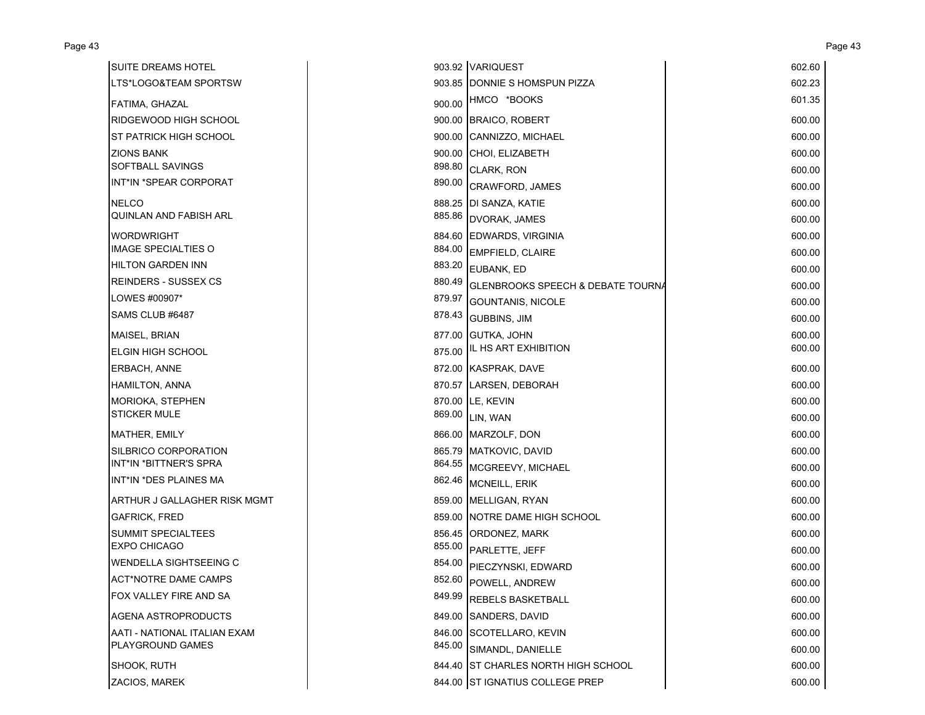| <b>SUITE DREAMS HOTEL</b>     |        | 903.92 VARIQUEST                             | 602.60 |
|-------------------------------|--------|----------------------------------------------|--------|
| LTS*LOGO&TEAM SPORTSW         |        | 903.85 DONNIE S HOMSPUN PIZZA                | 602.23 |
| FATIMA, GHAZAL                |        | 900.00 HMCO *BOOKS                           | 601.35 |
| RIDGEWOOD HIGH SCHOOL         |        | 900.00 BRAICO, ROBERT                        | 600.00 |
| ST PATRICK HIGH SCHOOL        |        | 900.00 CANNIZZO, MICHAEL                     | 600.00 |
| <b>ZIONS BANK</b>             |        | 900.00 CHOI, ELIZABETH                       | 600.00 |
| SOFTBALL SAVINGS              |        | 898.80 CLARK, RON                            | 600.00 |
| INT*IN *SPEAR CORPORAT        | 890.00 | CRAWFORD, JAMES                              | 600.00 |
| <b>NELCO</b>                  |        | 888.25 DI SANZA, KATIE                       | 600.00 |
| <b>QUINLAN AND FABISH ARL</b> |        | 885.86 DVORAK, JAMES                         | 600.00 |
| <b>WORDWRIGHT</b>             |        | 884.60 EDWARDS, VIRGINIA                     | 600.00 |
| IMAGE SPECIALTIES O           |        | 884.00 EMPFIELD, CLAIRE                      | 600.00 |
| <b>HILTON GARDEN INN</b>      |        | 883.20 EUBANK, ED                            | 600.00 |
| <b>REINDERS - SUSSEX CS</b>   | 880.49 | <b>GLENBROOKS SPEECH &amp; DEBATE TOURNA</b> | 600.00 |
| LOWES #00907*                 | 879.97 | <b>GOUNTANIS, NICOLE</b>                     | 600.00 |
| SAMS CLUB #6487               | 878.43 | <b>GUBBINS, JIM</b>                          | 600.00 |
| MAISEL, BRIAN                 |        | 877.00 GUTKA, JOHN                           | 600.00 |
| <b>ELGIN HIGH SCHOOL</b>      | 875.00 | IL HS ART EXHIBITION                         | 600.00 |
| ERBACH, ANNE                  |        | 872.00 KASPRAK, DAVE                         | 600.00 |
| <b>HAMILTON, ANNA</b>         |        | 870.57 LARSEN, DEBORAH                       | 600.00 |
| <b>MORIOKA, STEPHEN</b>       |        | 870.00 LE, KEVIN                             | 600.00 |
| <b>STICKER MULE</b>           |        | 869.00 LIN, WAN                              | 600.00 |
| <b>MATHER, EMILY</b>          |        | 866.00 MARZOLF, DON                          | 600.00 |
| SILBRICO CORPORATION          |        | 865.79 MATKOVIC, DAVID                       | 600.00 |
| INT*IN *BITTNER'S SPRA        |        | 864.55 MCGREEVY, MICHAEL                     | 600.00 |
| INT*IN *DES PLAINES MA        |        | 862.46 MCNEILL, ERIK                         | 600.00 |
| ARTHUR J GALLAGHER RISK MGMT  |        | 859.00 MELLIGAN, RYAN                        | 600.00 |
| <b>GAFRICK, FRED</b>          |        | 859.00 NOTRE DAME HIGH SCHOOL                | 600.00 |
| <b>SUMMIT SPECIALTEES</b>     |        | 856.45 ORDONEZ, MARK                         | 600.00 |
| <b>EXPO CHICAGO</b>           |        | 855.00 PARLETTE, JEFF                        | 600.00 |
| <b>WENDELLA SIGHTSEEING C</b> |        | 854.00 PIECZYNSKI, EDWARD                    | 600.00 |
| ACT*NOTRE DAME CAMPS          |        | 852.60 POWELL, ANDREW                        | 600.00 |
| FOX VALLEY FIRE AND SA        |        | 849.99 REBELS BASKETBALL                     | 600.00 |
| AGENA ASTROPRODUCTS           |        | 849.00 SANDERS, DAVID                        | 600.00 |
| AATI - NATIONAL ITALIAN EXAM  |        | 846.00 SCOTELLARO, KEVIN                     | 600.00 |
| PLAYGROUND GAMES              | 845.00 | SIMANDL, DANIELLE                            | 600.00 |
| SHOOK, RUTH                   |        | 844.40 ST CHARLES NORTH HIGH SCHOOL          | 600.00 |
| ZACIOS, MAREK                 |        | 844.00 ST IGNATIUS COLLEGE PREP              | 600.00 |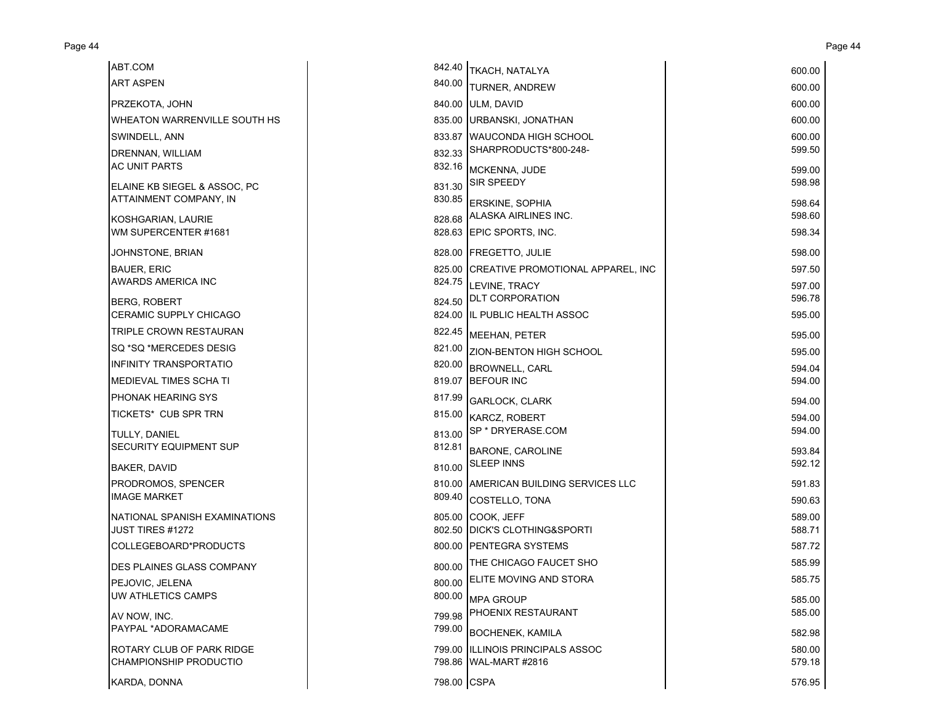| ABT.COM                          | 842.40      | TKACH, NATALYA                           | 600.00 |
|----------------------------------|-------------|------------------------------------------|--------|
| <b>ART ASPEN</b>                 | 840.00      | <b>TURNER, ANDREW</b>                    | 600.00 |
| PRZEKOTA, JOHN                   |             | 840.00 ULM, DAVID                        | 600.00 |
| WHEATON WARRENVILLE SOUTH HS     |             | 835.00 URBANSKI, JONATHAN                | 600.00 |
| SWINDELL, ANN                    |             | 833.87 WAUCONDA HIGH SCHOOL              | 600.00 |
| DRENNAN, WILLIAM                 | 832.33      | SHARPRODUCTS*800-248-                    | 599.50 |
| <b>AC UNIT PARTS</b>             |             | 832.16 MCKENNA, JUDE                     | 599.00 |
| ELAINE KB SIEGEL & ASSOC, PC     | 831.30      | <b>SIR SPEEDY</b>                        | 598.98 |
| ATTAINMENT COMPANY, IN           |             | 830.85 ERSKINE, SOPHIA                   | 598.64 |
| KOSHGARIAN, LAURIE               |             | 828.68 ALASKA AIRLINES INC.              | 598.60 |
| WM SUPERCENTER #1681             |             | 828.63 EPIC SPORTS, INC.                 | 598.34 |
| JOHNSTONE, BRIAN                 |             | 828.00 FREGETTO, JULIE                   | 598.00 |
| <b>BAUER, ERIC</b>               |             | 825.00 CREATIVE PROMOTIONAL APPAREL, INC | 597.50 |
| AWARDS AMERICA INC               |             | 824.75 LEVINE, TRACY                     | 597.00 |
| BERG, ROBERT                     |             | 824.50 DLT CORPORATION                   | 596.78 |
| <b>CERAMIC SUPPLY CHICAGO</b>    |             | 824.00 IL PUBLIC HEALTH ASSOC            | 595.00 |
| TRIPLE CROWN RESTAURAN           |             | 822.45 MEEHAN, PETER                     | 595.00 |
| SQ *SQ *MERCEDES DESIG           |             | 821.00 ZION-BENTON HIGH SCHOOL           | 595.00 |
| <b>INFINITY TRANSPORTATIO</b>    | 820.00      | <b>BROWNELL, CARL</b>                    | 594.04 |
| MEDIEVAL TIMES SCHA TI           |             | 819.07 BEFOUR INC                        | 594.00 |
| PHONAK HEARING SYS               | 817.99      | <b>GARLOCK, CLARK</b>                    | 594.00 |
| TICKETS* CUB SPR TRN             |             | 815.00 KARCZ, ROBERT                     | 594.00 |
| TULLY, DANIEL                    | 813.00      | SP * DRYERASE.COM                        | 594.00 |
| SECURITY EQUIPMENT SUP           | 812.81      | <b>BARONE, CAROLINE</b>                  | 593.84 |
| <b>BAKER, DAVID</b>              | 810.00      | <b>SLEEP INNS</b>                        | 592.12 |
| PRODROMOS, SPENCER               |             | 810.00 AMERICAN BUILDING SERVICES LLC    | 591.83 |
| <b>IMAGE MARKET</b>              | 809.40      | <b>COSTELLO, TONA</b>                    | 590.63 |
| NATIONAL SPANISH EXAMINATIONS    |             | 805.00 COOK, JEFF                        | 589.00 |
| <b>JUST TIRES #1272</b>          |             | 802.50 IDICK'S CLOTHING&SPORTI           | 588.71 |
| COLLEGEBOARD*PRODUCTS            |             | 800.00 PENTEGRA SYSTEMS                  | 587.72 |
| <b>DES PLAINES GLASS COMPANY</b> | 800.00      | THE CHICAGO FAUCET SHO                   | 585.99 |
| PEJOVIC, JELENA                  | 800.00      | <b>ELITE MOVING AND STORA</b>            | 585.75 |
| UW ATHLETICS CAMPS               |             | 800.00 MPA GROUP                         | 585.00 |
| AV NOW. INC.                     | 799.98      | PHOENIX RESTAURANT                       | 585.00 |
| PAYPAL *ADORAMACAME              |             | 799.00 BOCHENEK, KAMILA                  | 582.98 |
| ROTARY CLUB OF PARK RIDGE        |             | 799.00 IILLINOIS PRINCIPALS ASSOC        | 580.00 |
| CHAMPIONSHIP PRODUCTIO           |             | 798.86 WAL-MART #2816                    | 579.18 |
| KARDA, DONNA                     | 798.00 CSPA |                                          | 576.95 |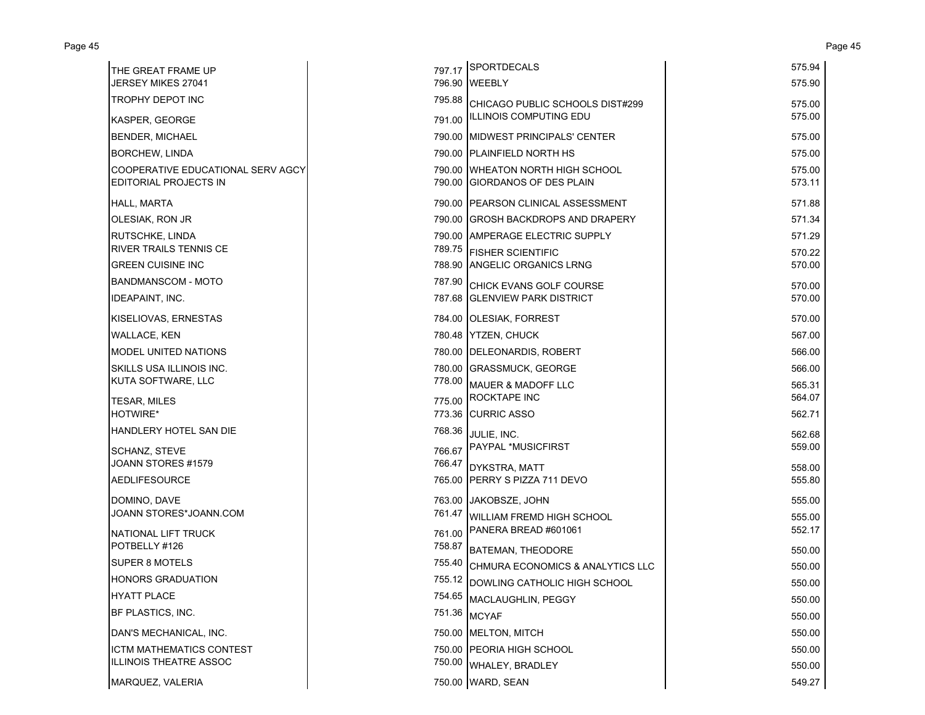| THE GREAT FRAME UP                                                |        | 797.17 SPORTDECALS                                                | 575.94           |
|-------------------------------------------------------------------|--------|-------------------------------------------------------------------|------------------|
| <b>JERSEY MIKES 27041</b>                                         |        | 796.90 WEEBLY                                                     | 575.90           |
| <b>TROPHY DEPOT INC</b>                                           | 795.88 | CHICAGO PUBLIC SCHOOLS DIST#299                                   | 575.00           |
| KASPER, GEORGE                                                    | 791.00 | ILLINOIS COMPUTING EDU                                            | 575.00           |
| <b>BENDER, MICHAEL</b>                                            |        | 790.00 MIDWEST PRINCIPALS' CENTER                                 | 575.00           |
| <b>BORCHEW, LINDA</b>                                             |        | 790.00 PLAINFIELD NORTH HS                                        | 575.00           |
| COOPERATIVE EDUCATIONAL SERV AGCY<br><b>EDITORIAL PROJECTS IN</b> |        | 790.00 WHEATON NORTH HIGH SCHOOL<br>790.00 GIORDANOS OF DES PLAIN | 575.00<br>573.11 |
| <b>HALL, MARTA</b>                                                |        | 790.00 PEARSON CLINICAL ASSESSMENT                                | 571.88           |
| OLESIAK, RON JR                                                   |        | 790.00 IGROSH BACKDROPS AND DRAPERY                               | 571.34           |
| <b>RUTSCHKE, LINDA</b>                                            |        | 790.00 AMPERAGE ELECTRIC SUPPLY                                   | 571.29           |
| RIVER TRAILS TENNIS CE                                            | 789.75 | <b>FISHER SCIENTIFIC</b>                                          | 570.22           |
| <b>GREEN CUISINE INC</b>                                          |        | 788.90 ANGELIC ORGANICS LRNG                                      | 570.00           |
| <b>BANDMANSCOM - MOTO</b>                                         | 787.90 | CHICK EVANS GOLF COURSE                                           | 570.00           |
| <b>IDEAPAINT, INC.</b>                                            |        | 787.68 GLENVIEW PARK DISTRICT                                     | 570.00           |
| KISELIOVAS, ERNESTAS                                              |        | 784.00 OLESIAK, FORREST                                           | 570.00           |
| <b>WALLACE, KEN</b>                                               |        | 780.48 YTZEN, CHUCK                                               | 567.00           |
| MODEL UNITED NATIONS                                              |        | 780.00 DELEONARDIS, ROBERT                                        | 566.00           |
| SKILLS USA ILLINOIS INC.                                          |        | 780.00 GRASSMUCK, GEORGE                                          | 566.00           |
| KUTA SOFTWARE, LLC                                                | 778.00 | <b>MAUER &amp; MADOFF LLC</b>                                     | 565.31           |
| <b>TESAR, MILES</b>                                               |        | 775.00 ROCKTAPE INC                                               | 564.07           |
| HOTWIRE*                                                          |        | 773.36 CURRIC ASSO                                                | 562.71           |
| HANDLERY HOTEL SAN DIE                                            | 768.36 | JULIE, INC.                                                       | 562.68           |
| SCHANZ, STEVE                                                     |        | 766.67 PAYPAL *MUSICFIRST                                         | 559.00           |
| JOANN STORES #1579                                                | 766.47 | DYKSTRA, MATT                                                     | 558.00           |
| <b>AEDLIFESOURCE</b>                                              |        | 765.00 PERRY S PIZZA 711 DEVO                                     | 555.80           |
| DOMINO, DAVE                                                      |        | 763.00 JAKOBSZE, JOHN                                             | 555.00           |
| JOANN STORES*JOANN.COM                                            | 761.47 | <b>WILLIAM FREMD HIGH SCHOOL</b>                                  | 555.00           |
| NATIONAL LIFT TRUCK                                               | 761.00 | PANERA BREAD #601061                                              | 552.17           |
| POTBELLY #126                                                     | 758.87 | <b>BATEMAN, THEODORE</b>                                          | 550.00           |
| SUPER 8 MOTELS                                                    | 755.40 | CHMURA ECONOMICS & ANALYTICS LLC                                  | 550.00           |
| <b>HONORS GRADUATION</b>                                          |        | 755.12 DOWLING CATHOLIC HIGH SCHOOL                               | 550.00           |
| <b>HYATT PLACE</b>                                                | 754.65 | MACLAUGHLIN, PEGGY                                                | 550.00           |
| BF PLASTICS. INC.                                                 |        | 751.36 MCYAF                                                      | 550.00           |
| DAN'S MECHANICAL, INC.                                            |        | 750.00 MELTON, MITCH                                              | 550.00           |
| <b>ICTM MATHEMATICS CONTEST</b>                                   |        | 750.00 PEORIA HIGH SCHOOL                                         | 550.00           |
| ILLINOIS THEATRE ASSOC                                            |        | 750.00 WHALEY, BRADLEY                                            | 550.00           |
| MARQUEZ, VALERIA                                                  |        | 750.00 WARD, SEAN                                                 | 549.27           |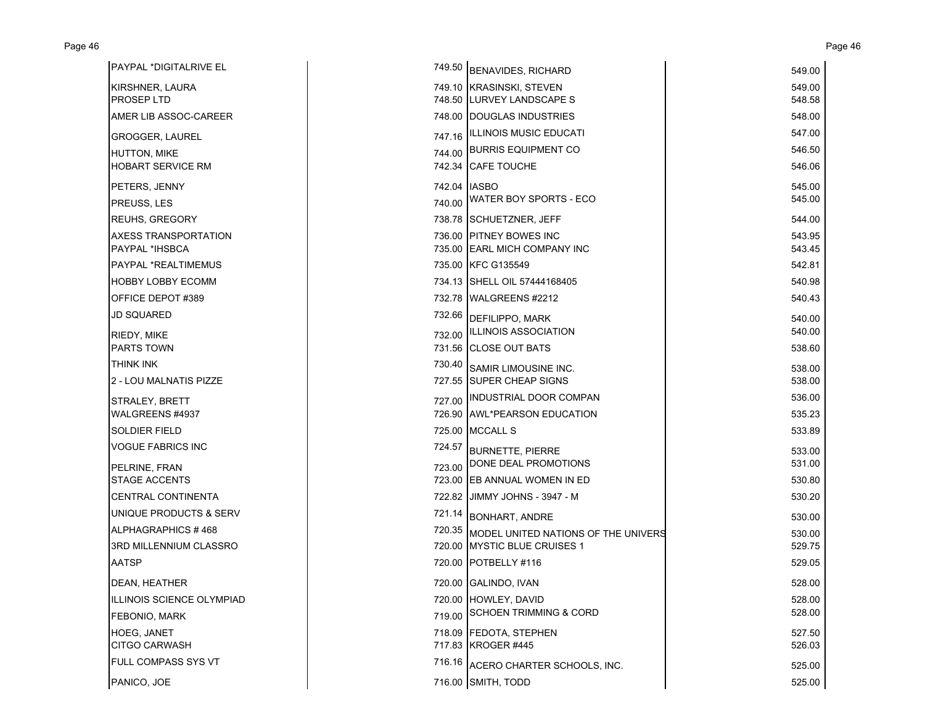| PAYPAL *DIGITALRIVE EL    |              | 749.50 BENAVIDES, RICHARD                  | 549.00 |
|---------------------------|--------------|--------------------------------------------|--------|
| KIRSHNER, LAURA           |              | 749.10 KRASINSKI, STEVEN                   | 549.00 |
| <b>PROSEP LTD</b>         |              | 748.50 LURVEY LANDSCAPE S                  | 548.58 |
| AMER LIB ASSOC-CAREER     |              | 748.00 DOUGLAS INDUSTRIES                  | 548.00 |
| <b>GROGGER, LAUREL</b>    |              | 747.16   ILLINOIS MUSIC EDUCATI            | 547.00 |
| HUTTON, MIKE              |              | 744.00 BURRIS EQUIPMENT CO                 | 546.50 |
| <b>HOBART SERVICE RM</b>  |              | 742.34 CAFE TOUCHE                         | 546.06 |
| PETERS, JENNY             | 742.04 IASBO |                                            | 545.00 |
| PREUSS, LES               |              | 740.00 WATER BOY SPORTS - ECO              | 545.00 |
| <b>REUHS, GREGORY</b>     |              | 738.78 SCHUETZNER, JEFF                    | 544.00 |
| AXESS TRANSPORTATION      |              | 736.00 PITNEY BOWES INC                    | 543.95 |
| PAYPAL *IHSBCA            |              | 735.00 EARL MICH COMPANY INC               | 543.45 |
| PAYPAL *REALTIMEMUS       |              | 735.00 KFC G135549                         | 542.81 |
| <b>HOBBY LOBBY ECOMM</b>  |              | 734.13 SHELL OIL 57444168405               | 540.98 |
| OFFICE DEPOT #389         |              | 732.78 WALGREENS #2212                     | 540.43 |
| JD SQUARED                |              | 732.66 DEFILIPPO, MARK                     | 540.00 |
| RIEDY, MIKE               |              | 732.00 ILLINOIS ASSOCIATION                | 540.00 |
| <b>PARTS TOWN</b>         |              | 731.56 CLOSE OUT BATS                      | 538.60 |
| THINK INK                 | 730.40       | <b>SAMIR LIMOUSINE INC.</b>                | 538.00 |
| 2 - LOU MALNATIS PIZZE    |              | 727.55 SUPER CHEAP SIGNS                   | 538.00 |
| STRALEY, BRETT            |              | 727.00 INDUSTRIAL DOOR COMPAN              | 536.00 |
| WALGREENS #4937           |              | 726.90 AWL*PEARSON EDUCATION               | 535.23 |
| SOLDIER FIELD             |              | 725.00 MCCALL S                            | 533.89 |
| <b>VOGUE FABRICS INC</b>  | 724.57       | <b>BURNETTE, PIERRE</b>                    | 533.00 |
| PELRINE, FRAN             | 723.00       | DONE DEAL PROMOTIONS                       | 531.00 |
| <b>STAGE ACCENTS</b>      |              | 723.00 EB ANNUAL WOMEN IN ED               | 530.80 |
| <b>CENTRAL CONTINENTA</b> |              | 722.82 JIMMY JOHNS - 3947 - M              | 530.20 |
| UNIQUE PRODUCTS & SERV    |              | 721.14 BONHART, ANDRE                      | 530.00 |
| ALPHAGRAPHICS #468        |              | 720.35 MODEL UNITED NATIONS OF THE UNIVERS | 530.00 |
| 3RD MILLENNIUM CLASSRO    |              | 720.00 MYSTIC BLUE CRUISES 1               | 529.75 |
| <b>AATSP</b>              |              | 720.00 POTBELLY #116                       | 529.05 |
| DEAN, HEATHER             |              | 720.00 GALINDO, IVAN                       | 528.00 |
| ILLINOIS SCIENCE OLYMPIAD |              | 720.00 HOWLEY, DAVID                       | 528.00 |
| FEBONIO, MARK             |              | 719.00 SCHOEN TRIMMING & CORD              | 528.00 |
| HOEG, JANET               |              | 718.09 FEDOTA, STEPHEN                     | 527.50 |
| <b>CITGO CARWASH</b>      |              | 717.83 KROGER #445                         | 526.03 |
| FULL COMPASS SYS VT       |              | 716.16 ACERO CHARTER SCHOOLS, INC.         | 525.00 |
| PANICO, JOE               |              | 716.00 SMITH, TODD                         | 525.00 |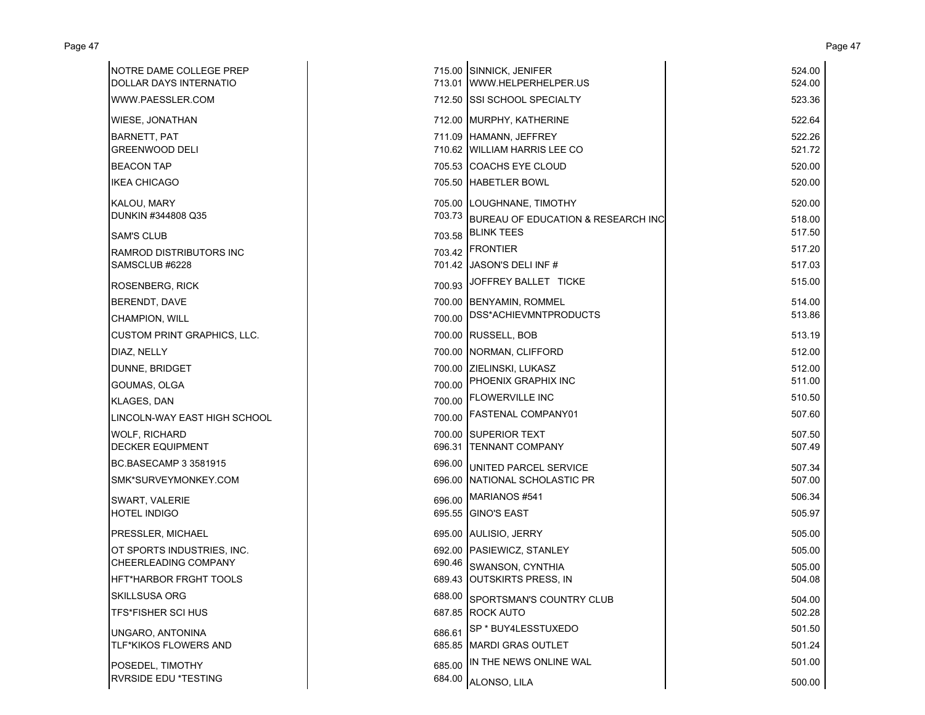| NOTRE DAME COLLEGE PREP<br>DOLLAR DAYS INTERNATIO |        | 715.00 SINNICK, JENIFER<br>713.01 WWW.HELPERHELPER.US | 524.00<br>524.00 |
|---------------------------------------------------|--------|-------------------------------------------------------|------------------|
| WWW.PAESSLER.COM                                  |        | 712.50 SSI SCHOOL SPECIALTY                           | 523.36           |
| WIESE, JONATHAN                                   |        | 712.00 MURPHY, KATHERINE                              | 522.64           |
| <b>BARNETT, PAT</b>                               |        | 711.09 HAMANN, JEFFREY                                | 522.26           |
| <b>GREENWOOD DELI</b>                             |        | 710.62 WILLIAM HARRIS LEE CO                          | 521.72           |
| <b>BEACON TAP</b>                                 |        | 705.53 COACHS EYE CLOUD                               | 520.00           |
| <b>IKEA CHICAGO</b>                               |        | 705.50 HABETLER BOWL                                  | 520.00           |
| <b>KALOU, MARY</b>                                |        | 705.00 LOUGHNANE, TIMOTHY                             | 520.00           |
| DUNKIN #344808 Q35                                | 703.73 | BUREAU OF EDUCATION & RESEARCH INC                    | 518.00           |
| <b>SAM'S CLUB</b>                                 | 703.58 | <b>BLINK TEES</b>                                     | 517.50           |
| <b>RAMROD DISTRIBUTORS INC</b>                    |        | 703.42 FRONTIER                                       | 517.20           |
| SAMSCLUB #6228                                    |        | 701.42 JASON'S DELI INF #                             | 517.03           |
| <b>ROSENBERG, RICK</b>                            | 700.93 | JOFFREY BALLET TICKE                                  | 515.00           |
| BERENDT, DAVE                                     |        | 700.00 BENYAMIN, ROMMEL                               | 514.00           |
| CHAMPION, WILL                                    |        | 700.00 DSS*ACHIEVMNTPRODUCTS                          | 513.86           |
| <b>CUSTOM PRINT GRAPHICS, LLC.</b>                |        | 700.00 RUSSELL, BOB                                   | 513.19           |
| DIAZ, NELLY                                       |        | 700.00 NORMAN, CLIFFORD                               | 512.00           |
| DUNNE, BRIDGET                                    |        | 700.00 ZIELINSKI, LUKASZ                              | 512.00           |
| GOUMAS, OLGA                                      | 700.00 | PHOENIX GRAPHIX INC                                   | 511.00           |
| <b>KLAGES, DAN</b>                                |        | 700.00 FLOWERVILLE INC                                | 510.50           |
| LINCOLN-WAY EAST HIGH SCHOOL                      |        | 700.00 FASTENAL COMPANY01                             | 507.60           |
| <b>WOLF, RICHARD</b>                              |        | 700.00 SUPERIOR TEXT                                  | 507.50           |
| <b>DECKER EQUIPMENT</b>                           |        | 696.31 TENNANT COMPANY                                | 507.49           |
| BC.BASECAMP 3 3581915                             | 696.00 | UNITED PARCEL SERVICE                                 | 507.34           |
| SMK*SURVEYMONKEY.COM                              |        | 696.00 NATIONAL SCHOLASTIC PR                         | 507.00           |
| SWART, VALERIE                                    |        | 696.00 MARIANOS #541                                  | 506.34           |
| <b>HOTEL INDIGO</b>                               |        | 695.55 GINO'S EAST                                    | 505.97           |
| PRESSLER, MICHAEL                                 |        | 695.00 AULISIO, JERRY                                 | 505.00           |
| OT SPORTS INDUSTRIES, INC.                        |        | 692.00 PASIEWICZ, STANLEY                             | 505.00           |
| CHEERLEADING COMPANY                              |        | 690.46 SWANSON, CYNTHIA                               | 505.00           |
| HFT*HARBOR FRGHT TOOLS                            |        | 689.43 OUTSKIRTS PRESS, IN                            | 504.08           |
| <b>SKILLSUSA ORG</b>                              |        | 688.00 SPORTSMAN'S COUNTRY CLUB                       | 504.00           |
| <b>TFS*FISHER SCI HUS</b>                         |        | 687.85 ROCK AUTO                                      | 502.28           |
| UNGARO, ANTONINA                                  | 686.61 | SP * BUY4LESSTUXEDO                                   | 501.50           |
| TLF*KIKOS FLOWERS AND                             |        | 685.85 MARDI GRAS OUTLET                              | 501.24           |
| POSEDEL, TIMOTHY                                  | 685.00 | IN THE NEWS ONLINE WAL                                | 501.00           |
| RVRSIDE EDU *TESTING                              | 684.00 | ALONSO, LILA                                          | 500.00           |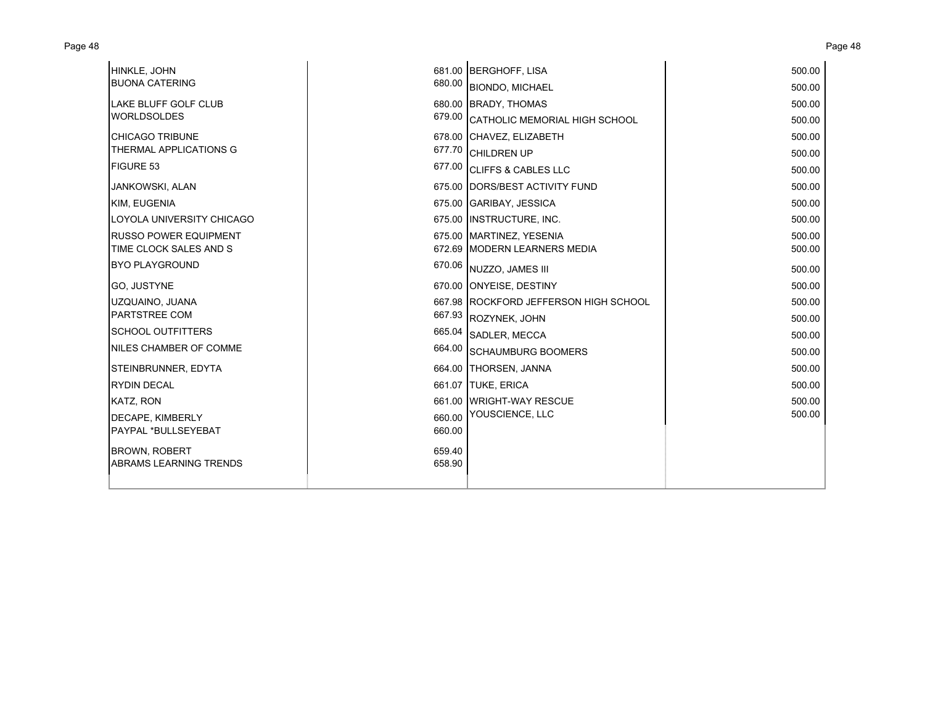| HINKLE, JOHN                  |        | 681.00 BERGHOFF, LISA                 | 500.00 |
|-------------------------------|--------|---------------------------------------|--------|
| <b>BUONA CATERING</b>         |        | 680.00 BIONDO, MICHAEL                | 500.00 |
| <b>LAKE BLUFF GOLF CLUB</b>   |        | 680.00 BRADY, THOMAS                  | 500.00 |
| <b>WORLDSOLDES</b>            |        | 679.00 CATHOLIC MEMORIAL HIGH SCHOOL  | 500.00 |
| <b>CHICAGO TRIBUNE</b>        |        | 678.00 CHAVEZ, ELIZABETH              | 500.00 |
| THERMAL APPLICATIONS G        | 677.70 | <b>CHILDREN UP</b>                    | 500.00 |
| FIGURE 53                     |        | 677.00 CLIFFS & CABLES LLC            | 500.00 |
| <b>JANKOWSKI, ALAN</b>        |        | 675.00 DORS/BEST ACTIVITY FUND        | 500.00 |
| KIM, EUGENIA                  |        | 675.00 GARIBAY, JESSICA               | 500.00 |
| LOYOLA UNIVERSITY CHICAGO     |        | 675.00 INSTRUCTURE, INC.              | 500.00 |
| <b>RUSSO POWER EQUIPMENT</b>  |        | 675.00 MARTINEZ, YESENIA              | 500.00 |
| TIME CLOCK SALES AND S        |        | 672.69 MODERN LEARNERS MEDIA          | 500.00 |
| <b>BYO PLAYGROUND</b>         |        | 670.06 NUZZO, JAMES III               | 500.00 |
| GO, JUSTYNE                   |        | 670.00 ONYEISE, DESTINY               | 500.00 |
| UZQUAINO, JUANA               |        | 667.98 ROCKFORD JEFFERSON HIGH SCHOOL | 500.00 |
| PARTSTREE COM                 |        | 667.93 ROZYNEK, JOHN                  | 500.00 |
| <b>SCHOOL OUTFITTERS</b>      | 665.04 | <b>SADLER, MECCA</b>                  | 500.00 |
| NILES CHAMBER OF COMME        |        | 664.00 SCHAUMBURG BOOMERS             | 500.00 |
| STEINBRUNNER, EDYTA           |        | 664.00 THORSEN, JANNA                 | 500.00 |
| <b>RYDIN DECAL</b>            |        | 661.07 TUKE, ERICA                    | 500.00 |
| KATZ, RON                     |        | 661.00 WRIGHT-WAY RESCUE              | 500.00 |
| DECAPE, KIMBERLY              | 660.00 | YOUSCIENCE, LLC                       | 500.00 |
| PAYPAL *BULLSEYEBAT           | 660.00 |                                       |        |
| <b>BROWN, ROBERT</b>          | 659.40 |                                       |        |
| <b>ABRAMS LEARNING TRENDS</b> | 658.90 |                                       |        |
|                               |        |                                       |        |